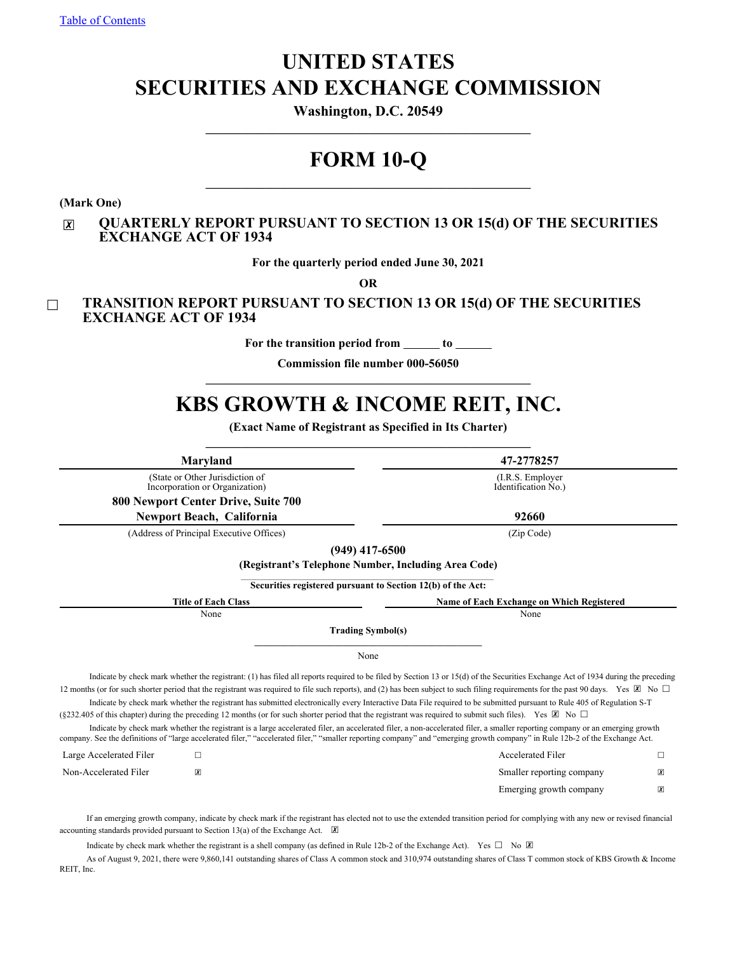# **UNITED STATES SECURITIES AND EXCHANGE COMMISSION**

**Washington, D.C. 20549**

# **FORM 10-Q**

**(Mark One)**

## ☒ **QUARTERLY REPORT PURSUANT TO SECTION 13 OR 15(d) OF THE SECURITIES EXCHANGE ACT OF 1934**

**For the quarterly period ended June 30, 2021**

**OR**

## ☐ **TRANSITION REPORT PURSUANT TO SECTION 13 OR 15(d) OF THE SECURITIES EXCHANGE ACT OF 1934**

For the transition period from \_\_\_\_\_\_ to \_

**Commission file number 000-56050**  $\mathcal{L}_\mathcal{L} = \{ \mathcal{L}_\mathcal{L} = \{ \mathcal{L}_\mathcal{L} \}$ 

# **KBS GROWTH & INCOME REIT, INC.**

**(Exact Name of Registrant as Specified in Its Charter)**

| Maryland                                                                                                                                                                      | 47-2778257                                                                                                                                                                                                                                                                                                                                                                                                                                                                                                                                                                                                                                                                                                                                                                                                                                                                                                                 |
|-------------------------------------------------------------------------------------------------------------------------------------------------------------------------------|----------------------------------------------------------------------------------------------------------------------------------------------------------------------------------------------------------------------------------------------------------------------------------------------------------------------------------------------------------------------------------------------------------------------------------------------------------------------------------------------------------------------------------------------------------------------------------------------------------------------------------------------------------------------------------------------------------------------------------------------------------------------------------------------------------------------------------------------------------------------------------------------------------------------------|
| (State or Other Jurisdiction of<br>Incorporation or Organization)                                                                                                             | (I.R.S. Employer<br>Identification No.)                                                                                                                                                                                                                                                                                                                                                                                                                                                                                                                                                                                                                                                                                                                                                                                                                                                                                    |
| 800 Newport Center Drive, Suite 700                                                                                                                                           |                                                                                                                                                                                                                                                                                                                                                                                                                                                                                                                                                                                                                                                                                                                                                                                                                                                                                                                            |
| Newport Beach, California                                                                                                                                                     | 92660                                                                                                                                                                                                                                                                                                                                                                                                                                                                                                                                                                                                                                                                                                                                                                                                                                                                                                                      |
| (Address of Principal Executive Offices)                                                                                                                                      | (Zip Code)                                                                                                                                                                                                                                                                                                                                                                                                                                                                                                                                                                                                                                                                                                                                                                                                                                                                                                                 |
|                                                                                                                                                                               | $(949)$ 417-6500                                                                                                                                                                                                                                                                                                                                                                                                                                                                                                                                                                                                                                                                                                                                                                                                                                                                                                           |
|                                                                                                                                                                               | (Registrant's Telephone Number, Including Area Code)                                                                                                                                                                                                                                                                                                                                                                                                                                                                                                                                                                                                                                                                                                                                                                                                                                                                       |
|                                                                                                                                                                               | Securities registered pursuant to Section 12(b) of the Act:                                                                                                                                                                                                                                                                                                                                                                                                                                                                                                                                                                                                                                                                                                                                                                                                                                                                |
| <b>Title of Each Class</b>                                                                                                                                                    | <b>Name of Each Exchange on Which Registered</b>                                                                                                                                                                                                                                                                                                                                                                                                                                                                                                                                                                                                                                                                                                                                                                                                                                                                           |
| None                                                                                                                                                                          | None                                                                                                                                                                                                                                                                                                                                                                                                                                                                                                                                                                                                                                                                                                                                                                                                                                                                                                                       |
|                                                                                                                                                                               | <b>Trading Symbol(s)</b>                                                                                                                                                                                                                                                                                                                                                                                                                                                                                                                                                                                                                                                                                                                                                                                                                                                                                                   |
|                                                                                                                                                                               | None                                                                                                                                                                                                                                                                                                                                                                                                                                                                                                                                                                                                                                                                                                                                                                                                                                                                                                                       |
| (§232.405 of this chapter) during the preceding 12 months (or for such shorter period that the registrant was required to submit such files). Yes $[\mathbb{X}]$ No $\square$ | Indicate by check mark whether the registrant: (1) has filed all reports required to be filed by Section 13 or 15(d) of the Securities Exchange Act of 1934 during the preceding<br>12 months (or for such shorter period that the registrant was required to file such reports), and (2) has been subject to such filing requirements for the past 90 days. Yes $[2]$ No $\Box$<br>Indicate by check mark whether the registrant has submitted electronically every Interactive Data File required to be submitted pursuant to Rule 405 of Regulation S-T<br>Indicate by check mark whether the registrant is a large accelerated filer, an accelerated filer, a non-accelerated filer, a smaller reporting company or an emerging growth<br>company. See the definitions of "large accelerated filer," "accelerated filer," "smaller reporting company" and "emerging growth company" in Rule 12b-2 of the Exchange Act. |
| Large Accelerated Filer<br>$\Box$                                                                                                                                             | <b>Accelerated Filer</b><br>$\Box$                                                                                                                                                                                                                                                                                                                                                                                                                                                                                                                                                                                                                                                                                                                                                                                                                                                                                         |
| Non-Accelerated Filer<br>$\overline{x}$                                                                                                                                       | Smaller reporting company<br>$\mathbf{x}$                                                                                                                                                                                                                                                                                                                                                                                                                                                                                                                                                                                                                                                                                                                                                                                                                                                                                  |
|                                                                                                                                                                               | Emerging growth company<br>$\overline{\mathbf{x}}$                                                                                                                                                                                                                                                                                                                                                                                                                                                                                                                                                                                                                                                                                                                                                                                                                                                                         |
|                                                                                                                                                                               |                                                                                                                                                                                                                                                                                                                                                                                                                                                                                                                                                                                                                                                                                                                                                                                                                                                                                                                            |

If an emerging growth company, indicate by check mark if the registrant has elected not to use the extended transition period for complying with any new or revised financial accounting standards provided pursuant to Section 13(a) of the Exchange Act.  $\boxed{\mathbb{X}}$ 

Indicate by check mark whether the registrant is a shell company (as defined in Rule 12b-2 of the Exchange Act). Yes  $\Box$  No  $\Box$ 

As of August 9, 2021, there were 9,860,141 outstanding shares of Class A common stock and 310,974 outstanding shares of Class T common stock of KBS Growth & Income REIT, Inc.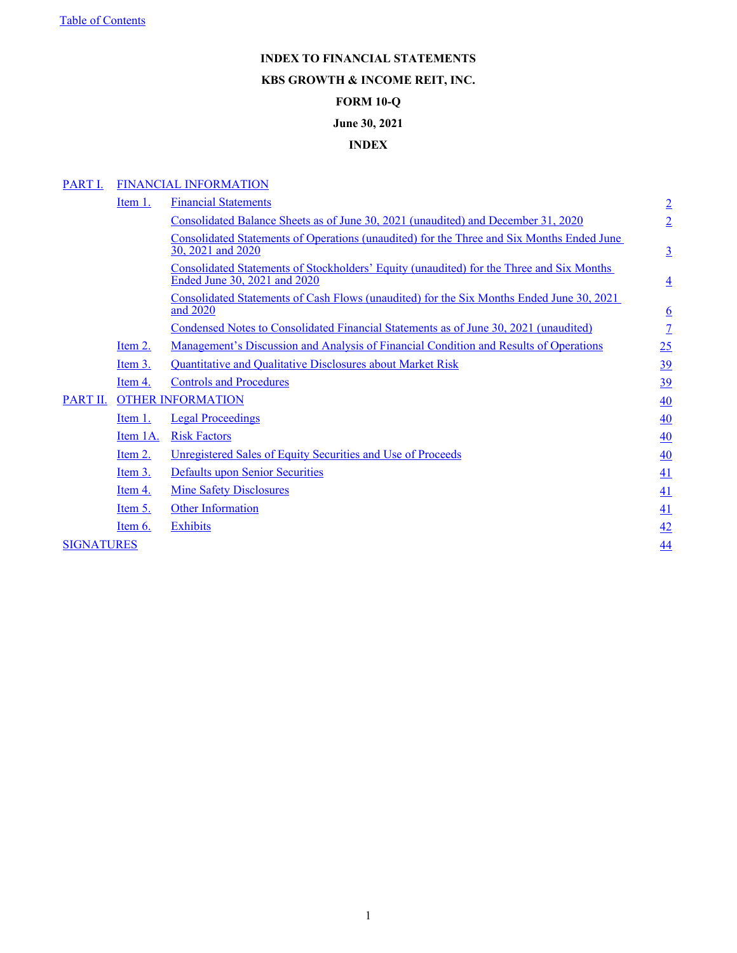<span id="page-1-0"></span>Table of Contents

# **INDEX TO FINANCIAL STATEMENTS KBS GROWTH & INCOME REIT, INC. FORM 10-Q June 30, 2021**

## **INDEX**

## [PART I.](#page-2-0) [FINANCIAL INFORMATION](#page-2-0)

|                   | Item 1.   | <b>Financial Statements</b>                                                                                              | $\overline{2}$  |
|-------------------|-----------|--------------------------------------------------------------------------------------------------------------------------|-----------------|
|                   |           | Consolidated Balance Sheets as of June 30, 2021 (unaudited) and December 31, 2020                                        | $\overline{2}$  |
|                   |           | Consolidated Statements of Operations (unaudited) for the Three and Six Months Ended June<br>30, 2021 and 2020           | $\overline{3}$  |
|                   |           | Consolidated Statements of Stockholders' Equity (unaudited) for the Three and Six Months<br>Ended June 30, 2021 and 2020 | $\overline{4}$  |
|                   |           | Consolidated Statements of Cash Flows (unaudited) for the Six Months Ended June 30, 2021<br>and 2020                     | $\underline{6}$ |
|                   |           | Condensed Notes to Consolidated Financial Statements as of June 30, 2021 (unaudited)                                     | $\overline{1}$  |
|                   | Item 2.   | Management's Discussion and Analysis of Financial Condition and Results of Operations                                    | 25              |
|                   | Item 3.   | <b>Quantitative and Qualitative Disclosures about Market Risk</b>                                                        | <u>39</u>       |
|                   | Item 4.   | <b>Controls and Procedures</b>                                                                                           | <u>39</u>       |
| PART II.          |           | <b>OTHER INFORMATION</b>                                                                                                 | 40              |
|                   | Item 1.   | <b>Legal Proceedings</b>                                                                                                 | 40              |
|                   | Item 1A.  | <b>Risk Factors</b>                                                                                                      | 40              |
|                   | Item $2.$ | Unregistered Sales of Equity Securities and Use of Proceeds                                                              | 40              |
|                   | Item 3.   | <b>Defaults upon Senior Securities</b>                                                                                   | 41              |
|                   | Item 4.   | <b>Mine Safety Disclosures</b>                                                                                           | 41              |
|                   | Item 5.   | <b>Other Information</b>                                                                                                 | 41              |
|                   | Item 6.   | <b>Exhibits</b>                                                                                                          | 42              |
| <b>SIGNATURES</b> |           |                                                                                                                          | 44              |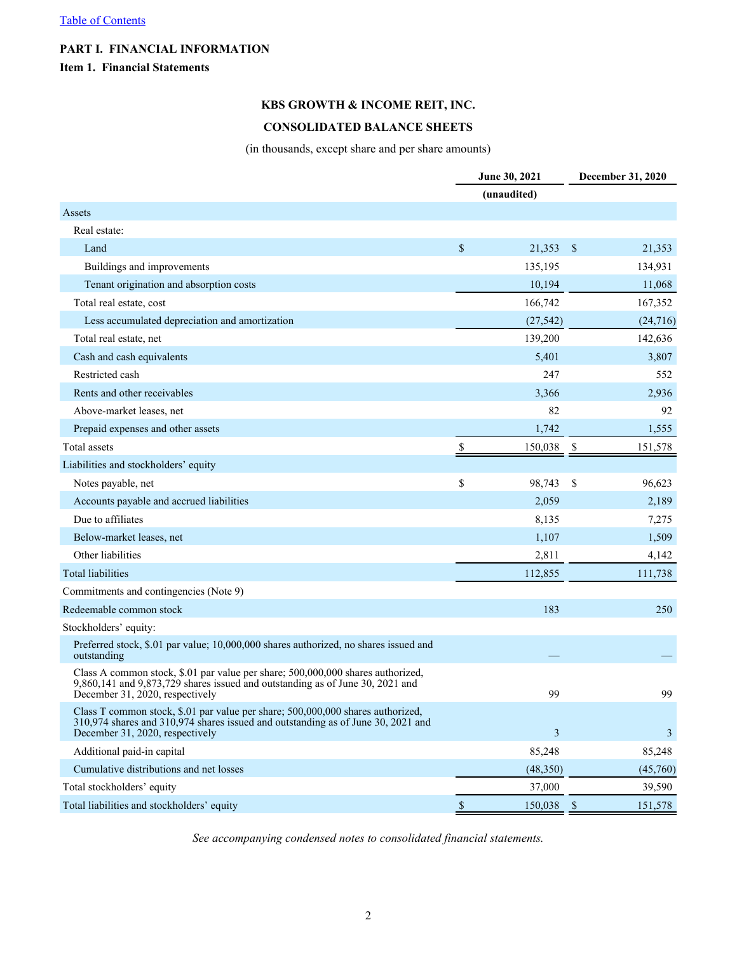## <span id="page-2-0"></span>**PART I. FINANCIAL INFORMATION**

## **Item 1. Financial Statements**

## **KBS GROWTH & INCOME REIT, INC.**

## **CONSOLIDATED BALANCE SHEETS**

(in thousands, except share and per share amounts)

|                                                                                                                                                                                                        |               | June 30, 2021 |                    | December 31, 2020 |
|--------------------------------------------------------------------------------------------------------------------------------------------------------------------------------------------------------|---------------|---------------|--------------------|-------------------|
|                                                                                                                                                                                                        |               | (unaudited)   |                    |                   |
| Assets                                                                                                                                                                                                 |               |               |                    |                   |
| Real estate:                                                                                                                                                                                           |               |               |                    |                   |
| Land                                                                                                                                                                                                   | $\mathbf S$   | 21,353        | - \$               | 21,353            |
| Buildings and improvements                                                                                                                                                                             |               | 135,195       |                    | 134,931           |
| Tenant origination and absorption costs                                                                                                                                                                |               | 10,194        |                    | 11,068            |
| Total real estate, cost                                                                                                                                                                                |               | 166,742       |                    | 167,352           |
| Less accumulated depreciation and amortization                                                                                                                                                         |               | (27, 542)     |                    | (24, 716)         |
| Total real estate, net                                                                                                                                                                                 |               | 139,200       |                    | 142,636           |
| Cash and cash equivalents                                                                                                                                                                              |               | 5,401         |                    | 3,807             |
| Restricted cash                                                                                                                                                                                        |               | 247           |                    | 552               |
| Rents and other receivables                                                                                                                                                                            |               | 3,366         |                    | 2,936             |
| Above-market leases, net                                                                                                                                                                               |               | 82            |                    | 92                |
| Prepaid expenses and other assets                                                                                                                                                                      |               | 1,742         |                    | 1,555             |
| Total assets                                                                                                                                                                                           | \$            | 150,038       | -S                 | 151,578           |
| Liabilities and stockholders' equity                                                                                                                                                                   |               |               |                    |                   |
| Notes payable, net                                                                                                                                                                                     | \$            | 98,743        | \$                 | 96,623            |
| Accounts payable and accrued liabilities                                                                                                                                                               |               | 2,059         |                    | 2,189             |
| Due to affiliates                                                                                                                                                                                      |               | 8,135         |                    | 7,275             |
| Below-market leases, net                                                                                                                                                                               |               | 1,107         |                    | 1,509             |
| Other liabilities                                                                                                                                                                                      |               | 2,811         |                    | 4,142             |
| <b>Total liabilities</b>                                                                                                                                                                               |               | 112,855       |                    | 111,738           |
| Commitments and contingencies (Note 9)                                                                                                                                                                 |               |               |                    |                   |
| Redeemable common stock                                                                                                                                                                                |               | 183           |                    | 250               |
| Stockholders' equity:                                                                                                                                                                                  |               |               |                    |                   |
| Preferred stock, \$.01 par value; 10,000,000 shares authorized, no shares issued and<br>outstanding                                                                                                    |               |               |                    |                   |
| Class A common stock, \$.01 par value per share; 500,000,000 shares authorized,<br>9,860,141 and 9,873,729 shares issued and outstanding as of June 30, 2021 and<br>December 31, 2020, respectively    |               | 99            |                    | 99                |
| Class T common stock, \$.01 par value per share; 500,000,000 shares authorized,<br>310,974 shares and 310,974 shares issued and outstanding as of June 30, 2021 and<br>December 31, 2020, respectively |               | 3             |                    | 3                 |
| Additional paid-in capital                                                                                                                                                                             |               | 85,248        |                    | 85,248            |
| Cumulative distributions and net losses                                                                                                                                                                |               | (48,350)      |                    | (45,760)          |
| Total stockholders' equity                                                                                                                                                                             |               | 37,000        |                    | 39,590            |
| Total liabilities and stockholders' equity                                                                                                                                                             | $\mathsf{\$}$ | 150,038       | $\mathbf{\hat{s}}$ | 151,578           |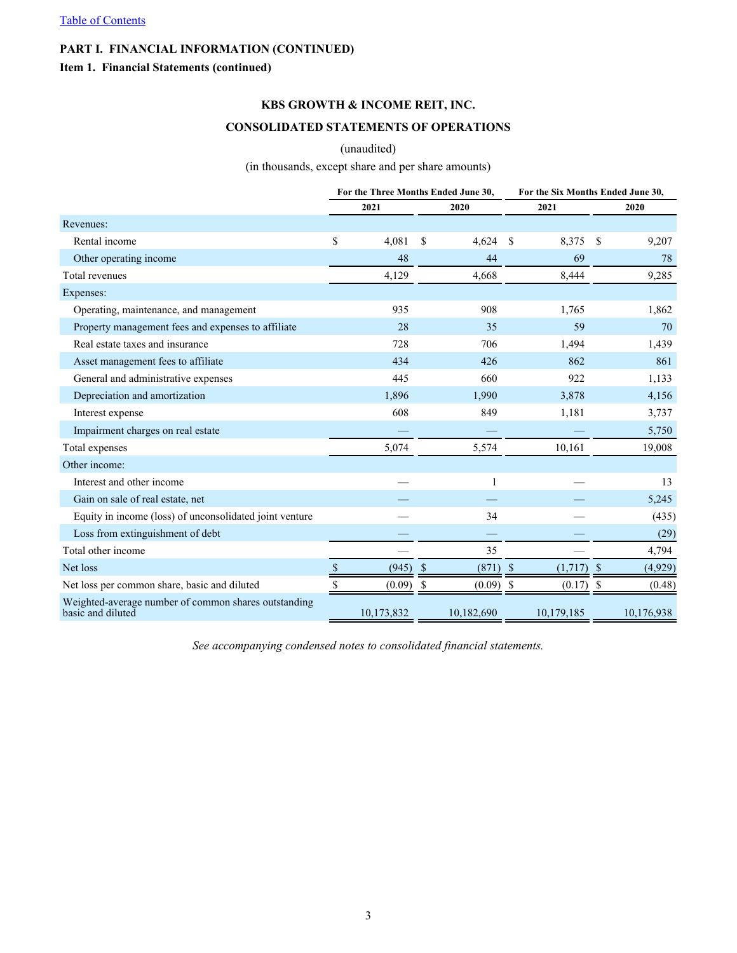<span id="page-3-0"></span>**Item 1. Financial Statements (continued)**

## **KBS GROWTH & INCOME REIT, INC.**

## **CONSOLIDATED STATEMENTS OF OPERATIONS**

## (unaudited)

## (in thousands, except share and per share amounts)

|                                                                           | For the Three Months Ended June 30, |              |            | For the Six Months Ended June 30, |            |                    |            |  |  |
|---------------------------------------------------------------------------|-------------------------------------|--------------|------------|-----------------------------------|------------|--------------------|------------|--|--|
|                                                                           | 2021                                |              | 2020       |                                   | 2021       |                    | 2020       |  |  |
| Revenues:                                                                 |                                     |              |            |                                   |            |                    |            |  |  |
| Rental income                                                             | \$<br>4,081                         | \$           | 4,624      | <sup>\$</sup>                     | 8,375      | \$.                | 9,207      |  |  |
| Other operating income                                                    | 48                                  |              | 44         |                                   | 69         |                    | 78         |  |  |
| Total revenues                                                            | 4,129                               |              | 4,668      |                                   | 8,444      |                    | 9,285      |  |  |
| Expenses:                                                                 |                                     |              |            |                                   |            |                    |            |  |  |
| Operating, maintenance, and management                                    | 935                                 |              | 908        |                                   | 1,765      |                    | 1,862      |  |  |
| Property management fees and expenses to affiliate                        | 28                                  |              | 35         |                                   | 59         |                    | 70         |  |  |
| Real estate taxes and insurance                                           | 728                                 |              | 706        |                                   | 1,494      |                    | 1,439      |  |  |
| Asset management fees to affiliate                                        | 434                                 |              | 426        |                                   | 862        |                    | 861        |  |  |
| General and administrative expenses                                       | 445                                 |              | 660        |                                   | 922        |                    | 1,133      |  |  |
| Depreciation and amortization                                             | 1,896                               |              | 1,990      |                                   | 3,878      |                    | 4,156      |  |  |
| Interest expense                                                          | 608                                 |              | 849        |                                   | 1,181      |                    | 3,737      |  |  |
| Impairment charges on real estate                                         |                                     |              |            |                                   |            |                    | 5,750      |  |  |
| Total expenses                                                            | 5,074                               |              | 5,574      |                                   | 10,161     |                    | 19,008     |  |  |
| Other income:                                                             |                                     |              |            |                                   |            |                    |            |  |  |
| Interest and other income                                                 |                                     |              | 1          |                                   |            |                    | 13         |  |  |
| Gain on sale of real estate, net                                          |                                     |              |            |                                   |            |                    | 5,245      |  |  |
| Equity in income (loss) of unconsolidated joint venture                   |                                     |              | 34         |                                   |            |                    | (435)      |  |  |
| Loss from extinguishment of debt                                          |                                     |              |            |                                   |            |                    | (29)       |  |  |
| Total other income                                                        |                                     |              | 35         |                                   |            |                    | 4,794      |  |  |
| Net loss                                                                  | (945)                               | $\mathbb{S}$ | $(871)$ \$ |                                   | (1,717)    | $\mathbf{\hat{s}}$ | (4,929)    |  |  |
| Net loss per common share, basic and diluted                              | (0.09)                              | S            | (0.09)     | -S                                | (0.17)     | -S                 | (0.48)     |  |  |
| Weighted-average number of common shares outstanding<br>basic and diluted | 10,173,832                          |              | 10,182,690 |                                   | 10,179,185 |                    | 10,176,938 |  |  |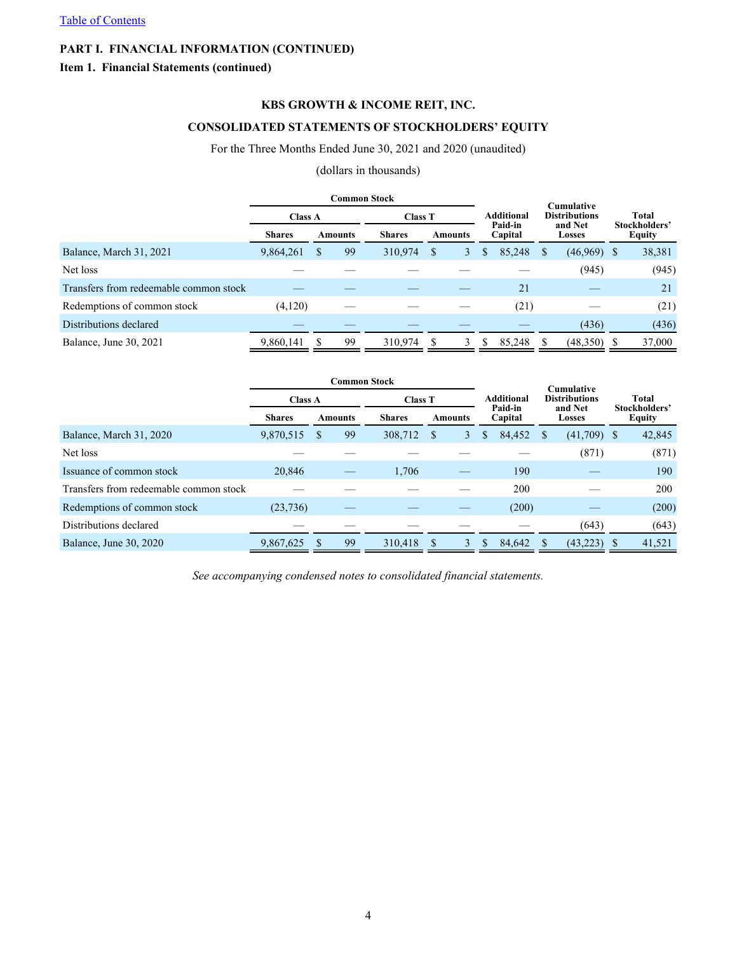## <span id="page-4-0"></span>**Item 1. Financial Statements (continued)**

## **KBS GROWTH & INCOME REIT, INC.**

## **CONSOLIDATED STATEMENTS OF STOCKHOLDERS' EQUITY**

## For the Three Months Ended June 30, 2021 and 2020 (unaudited)

## (dollars in thousands)

|                                        |                | <b>Common Stock</b> |                |               |                | <b>Cumulative</b> |   |                    |    |                      |  |                         |  |
|----------------------------------------|----------------|---------------------|----------------|---------------|----------------|-------------------|---|--------------------|----|----------------------|--|-------------------------|--|
|                                        | <b>Class A</b> |                     |                |               | <b>Class T</b> |                   |   | Additional         |    | <b>Distributions</b> |  | Total                   |  |
|                                        | <b>Shares</b>  |                     | <b>Amounts</b> | <b>Shares</b> |                | <b>Amounts</b>    |   | Paid-in<br>Capital |    | and Net<br>Losses    |  | Stockholders'<br>Equity |  |
| Balance, March 31, 2021                | 9,864,261      |                     | 99             | 310,974       | S              | 3                 | S | 85,248             | -S | $(46,969)$ \$        |  | 38,381                  |  |
| Net loss                               |                |                     |                |               |                |                   |   |                    |    | (945)                |  | (945)                   |  |
| Transfers from redeemable common stock |                |                     |                |               |                |                   |   | 21                 |    |                      |  | 21                      |  |
| Redemptions of common stock            | (4,120)        |                     |                |               |                |                   |   | (21)               |    |                      |  | (21)                    |  |
| Distributions declared                 |                |                     |                |               |                |                   |   |                    |    | (436)                |  | (436)                   |  |
| Balance, June 30, 2021                 | 9,860,141      |                     | 99             | 310.974       |                |                   | S | 85,248             |    | (48,350)             |  | 37,000                  |  |

|                                        |                |   | <b>Common Stock</b> |               |                |                |    |                    |   | <b>Cumulative</b>        |  |                                |  |
|----------------------------------------|----------------|---|---------------------|---------------|----------------|----------------|----|--------------------|---|--------------------------|--|--------------------------------|--|
|                                        | <b>Class A</b> |   |                     |               | <b>Class T</b> |                |    | Additional         |   | <b>Distributions</b>     |  | Total                          |  |
|                                        | <b>Shares</b>  |   | <b>Amounts</b>      | <b>Shares</b> |                | <b>Amounts</b> |    | Paid-in<br>Capital |   | and Net<br><b>Losses</b> |  | Stockholders'<br><b>Equity</b> |  |
| Balance, March 31, 2020                | 9,870,515      | S | 99                  | 308,712       | S              | 3              | \$ | 84,452             | S | $(41,709)$ \$            |  | 42,845                         |  |
| Net loss                               |                |   |                     |               |                |                |    |                    |   | (871)                    |  | (871)                          |  |
| Issuance of common stock               | 20,846         |   |                     | 1,706         |                |                |    | 190                |   |                          |  | 190                            |  |
| Transfers from redeemable common stock |                |   |                     |               |                |                |    | 200                |   |                          |  | 200                            |  |
| Redemptions of common stock            | (23, 736)      |   |                     |               |                |                |    | (200)              |   |                          |  | (200)                          |  |
| Distributions declared                 |                |   |                     |               |                |                |    |                    |   | (643)                    |  | (643)                          |  |
| Balance, June 30, 2020                 | 9,867,625      |   | 99                  | 310,418       |                | 3              | S  | 84,642             |   | (43, 223)                |  | 41,521                         |  |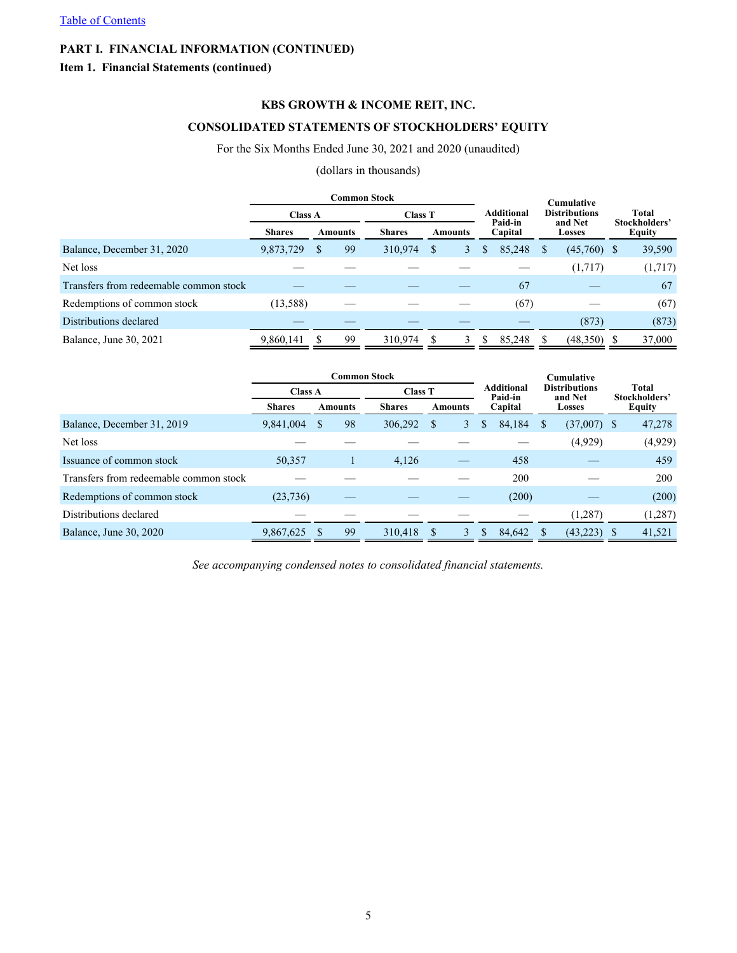## **Item 1. Financial Statements (continued)**

## **KBS GROWTH & INCOME REIT, INC.**

## **CONSOLIDATED STATEMENTS OF STOCKHOLDERS' EQUITY**

## For the Six Months Ended June 30, 2021 and 2020 (unaudited)

## (dollars in thousands)

|                                        | Common Stock   |  |                |               |                |                |   |                              |   | <b>Cumulative</b>               |  |                               |
|----------------------------------------|----------------|--|----------------|---------------|----------------|----------------|---|------------------------------|---|---------------------------------|--|-------------------------------|
|                                        | <b>Class A</b> |  |                |               | <b>Class T</b> |                |   | <b>Additional</b><br>Paid-in |   | <b>Distributions</b><br>and Net |  | <b>Total</b><br>Stockholders' |
|                                        | <b>Shares</b>  |  | <b>Amounts</b> | <b>Shares</b> |                | <b>Amounts</b> |   | Capital                      |   | Losses                          |  | <b>Equity</b>                 |
| Balance, December 31, 2020             | 9,873,729      |  | 99             | 310,974       | S              | 3              | S | 85,248                       | S | $(45,760)$ \$                   |  | 39,590                        |
| Net loss                               |                |  |                |               |                |                |   |                              |   | (1,717)                         |  | (1,717)                       |
| Transfers from redeemable common stock |                |  |                |               |                |                |   | 67                           |   |                                 |  | 67                            |
| Redemptions of common stock            | (13, 588)      |  |                |               |                |                |   | (67)                         |   |                                 |  | (67)                          |
| Distributions declared                 |                |  |                |               |                |                |   |                              |   | (873)                           |  | (873)                         |
| Balance, June 30, 2021                 | 9,860,141      |  | 99             | 310.974       |                |                |   | 85,248                       |   | (48,350)                        |  | 37,000                        |

|                                        | <b>Common Stock</b> |   |         |               |                |                |   |                              |   | <b>Cumulative</b>               |    |                        |
|----------------------------------------|---------------------|---|---------|---------------|----------------|----------------|---|------------------------------|---|---------------------------------|----|------------------------|
|                                        | <b>Class A</b>      |   |         |               | <b>Class T</b> |                |   | <b>Additional</b><br>Paid-in |   | <b>Distributions</b><br>and Net |    | Total<br>Stockholders' |
|                                        | <b>Shares</b>       |   | Amounts | <b>Shares</b> |                | <b>Amounts</b> |   | Capital                      |   | <b>Losses</b>                   |    | Equity                 |
| Balance, December 31, 2019             | 9,841,004           | S | 98      | 306,292       | S              | 3              | S | 84,184                       | S | (37,007)                        | -S | 47,278                 |
| Net loss                               |                     |   |         |               |                |                |   |                              |   | (4,929)                         |    | (4,929)                |
| Issuance of common stock               | 50,357              |   |         | 4,126         |                |                |   | 458                          |   |                                 |    | 459                    |
| Transfers from redeemable common stock |                     |   |         |               |                |                |   | 200                          |   |                                 |    | 200                    |
| Redemptions of common stock            | (23, 736)           |   |         |               |                |                |   | (200)                        |   |                                 |    | (200)                  |
| Distributions declared                 |                     |   |         |               |                |                |   |                              |   | (1,287)                         |    | (1, 287)               |
| Balance, June 30, 2020                 | 9,867,625           |   | 99      | 310,418       |                | 3              | S | 84,642                       |   | (43, 223)                       |    | 41,521                 |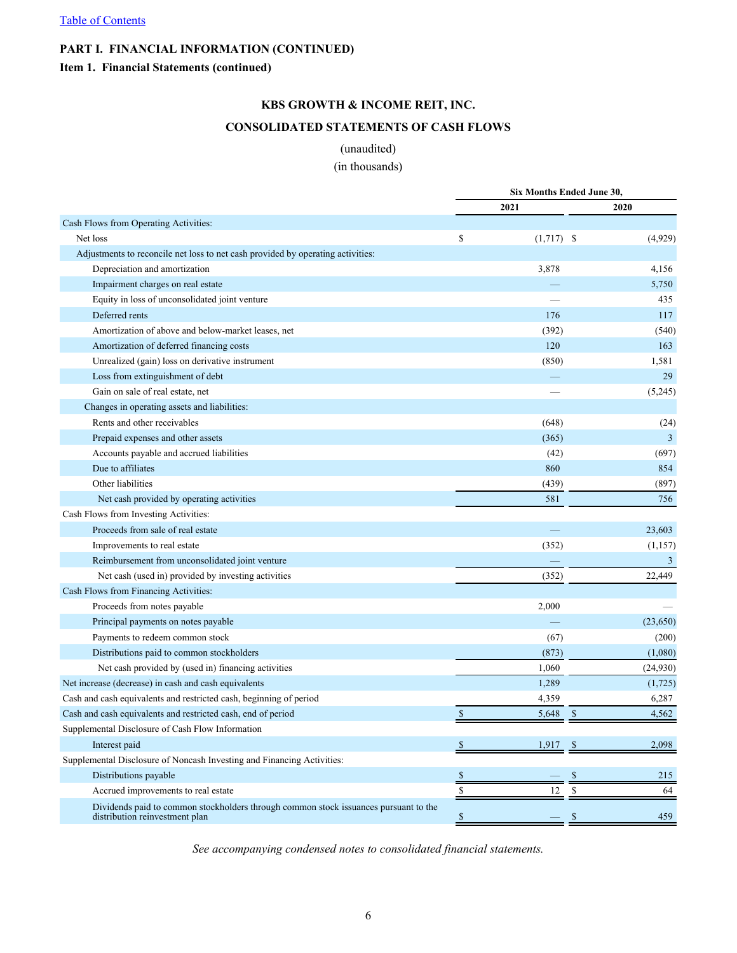## <span id="page-6-0"></span>**Item 1. Financial Statements (continued)**

## **KBS GROWTH & INCOME REIT, INC.**

## **CONSOLIDATED STATEMENTS OF CASH FLOWS**

## (unaudited)

(in thousands)

|                                                                                                                        |               | Six Months Ended June 30, |               |              |
|------------------------------------------------------------------------------------------------------------------------|---------------|---------------------------|---------------|--------------|
|                                                                                                                        |               | 2021                      |               | 2020         |
| Cash Flows from Operating Activities:                                                                                  |               |                           |               |              |
| Net loss                                                                                                               | \$            | $(1,717)$ \$              |               | (4,929)      |
| Adjustments to reconcile net loss to net cash provided by operating activities:                                        |               |                           |               |              |
| Depreciation and amortization                                                                                          |               | 3,878                     |               | 4,156        |
| Impairment charges on real estate                                                                                      |               |                           |               | 5,750        |
| Equity in loss of unconsolidated joint venture                                                                         |               |                           |               | 435          |
| Deferred rents                                                                                                         |               | 176                       |               | 117          |
| Amortization of above and below-market leases, net                                                                     |               | (392)                     |               | (540)        |
| Amortization of deferred financing costs                                                                               |               | 120                       |               | 163          |
| Unrealized (gain) loss on derivative instrument                                                                        |               | (850)                     |               | 1,581        |
| Loss from extinguishment of debt                                                                                       |               |                           |               | 29           |
| Gain on sale of real estate, net                                                                                       |               |                           |               | (5,245)      |
| Changes in operating assets and liabilities:                                                                           |               |                           |               |              |
| Rents and other receivables                                                                                            |               | (648)                     |               | (24)         |
| Prepaid expenses and other assets                                                                                      |               | (365)                     |               | $\mathbf{3}$ |
| Accounts payable and accrued liabilities                                                                               |               | (42)                      |               | (697)        |
| Due to affiliates                                                                                                      |               | 860                       |               | 854          |
| Other liabilities                                                                                                      |               | (439)                     |               | (897)        |
| Net cash provided by operating activities                                                                              |               | 581                       |               | 756          |
| Cash Flows from Investing Activities:                                                                                  |               |                           |               |              |
| Proceeds from sale of real estate                                                                                      |               |                           |               | 23,603       |
| Improvements to real estate                                                                                            |               | (352)                     |               | (1,157)      |
| Reimbursement from unconsolidated joint venture                                                                        |               |                           |               | 3            |
| Net cash (used in) provided by investing activities                                                                    |               | (352)                     |               | 22,449       |
| Cash Flows from Financing Activities:                                                                                  |               |                           |               |              |
| Proceeds from notes payable                                                                                            |               | 2,000                     |               |              |
| Principal payments on notes payable                                                                                    |               |                           |               | (23,650)     |
| Payments to redeem common stock                                                                                        |               | (67)                      |               | (200)        |
| Distributions paid to common stockholders                                                                              |               | (873)                     |               | (1,080)      |
| Net cash provided by (used in) financing activities                                                                    |               | 1,060                     |               | (24,930)     |
| Net increase (decrease) in cash and cash equivalents                                                                   |               | 1,289                     |               | (1,725)      |
| Cash and cash equivalents and restricted cash, beginning of period                                                     |               | 4,359                     |               | 6,287        |
| Cash and cash equivalents and restricted cash, end of period                                                           | \$            | 5,648                     | \$            | 4,562        |
| Supplemental Disclosure of Cash Flow Information                                                                       |               |                           |               |              |
| Interest paid                                                                                                          | \$            | $1,917$ \$                |               | 2,098        |
| Supplemental Disclosure of Noncash Investing and Financing Activities:                                                 |               |                           |               |              |
| Distributions payable                                                                                                  | $\frac{1}{2}$ |                           | $\frac{1}{2}$ | 215          |
| Accrued improvements to real estate                                                                                    | \$            | 12                        | ${\mathbb S}$ | 64           |
| Dividends paid to common stockholders through common stock issuances pursuant to the<br>distribution reinvestment plan | \$            |                           | \$            | 459          |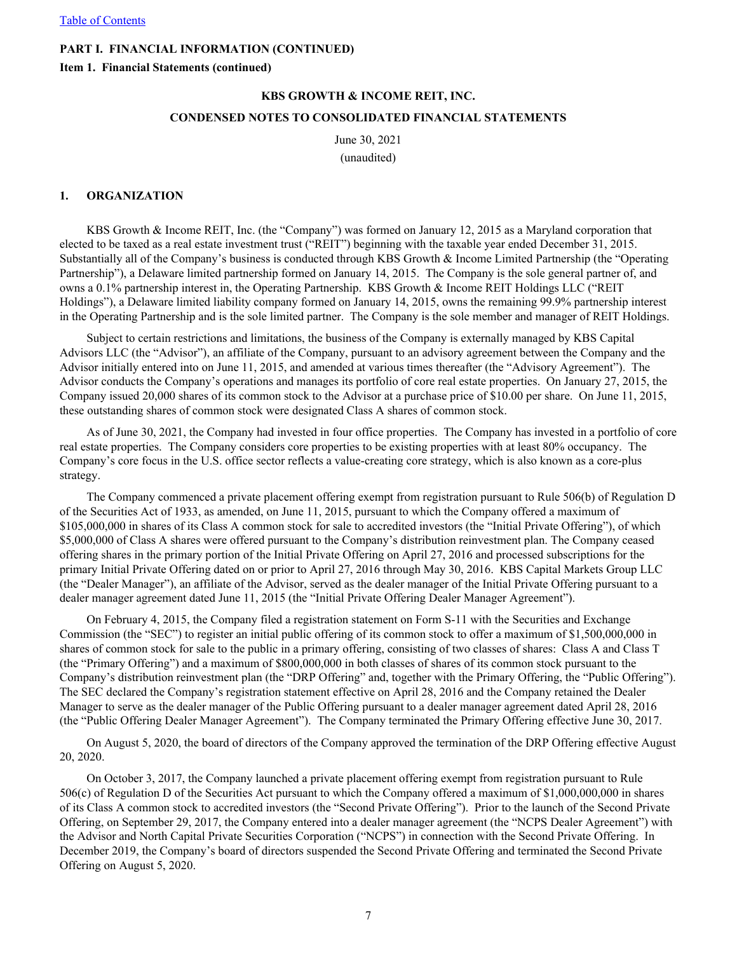<span id="page-7-0"></span>**Item 1. Financial Statements (continued)**

#### **KBS GROWTH & INCOME REIT, INC.**

### **CONDENSED NOTES TO CONSOLIDATED FINANCIAL STATEMENTS**

June 30, 2021 (unaudited)

#### **1. ORGANIZATION**

KBS Growth & Income REIT, Inc. (the "Company") was formed on January 12, 2015 as a Maryland corporation that elected to be taxed as a real estate investment trust ("REIT") beginning with the taxable year ended December 31, 2015. Substantially all of the Company's business is conducted through KBS Growth & Income Limited Partnership (the "Operating Partnership"), a Delaware limited partnership formed on January 14, 2015. The Company is the sole general partner of, and owns a 0.1% partnership interest in, the Operating Partnership. KBS Growth & Income REIT Holdings LLC ("REIT Holdings"), a Delaware limited liability company formed on January 14, 2015, owns the remaining 99.9% partnership interest in the Operating Partnership and is the sole limited partner. The Company is the sole member and manager of REIT Holdings.

Subject to certain restrictions and limitations, the business of the Company is externally managed by KBS Capital Advisors LLC (the "Advisor"), an affiliate of the Company, pursuant to an advisory agreement between the Company and the Advisor initially entered into on June 11, 2015, and amended at various times thereafter (the "Advisory Agreement"). The Advisor conducts the Company's operations and manages its portfolio of core real estate properties. On January 27, 2015, the Company issued 20,000 shares of its common stock to the Advisor at a purchase price of \$10.00 per share. On June 11, 2015, these outstanding shares of common stock were designated Class A shares of common stock.

As of June 30, 2021, the Company had invested in four office properties. The Company has invested in a portfolio of core real estate properties. The Company considers core properties to be existing properties with at least 80% occupancy. The Company's core focus in the U.S. office sector reflects a value-creating core strategy, which is also known as a core-plus strategy.

The Company commenced a private placement offering exempt from registration pursuant to Rule 506(b) of Regulation D of the Securities Act of 1933, as amended, on June 11, 2015, pursuant to which the Company offered a maximum of \$105,000,000 in shares of its Class A common stock for sale to accredited investors (the "Initial Private Offering"), of which \$5,000,000 of Class A shares were offered pursuant to the Company's distribution reinvestment plan. The Company ceased offering shares in the primary portion of the Initial Private Offering on April 27, 2016 and processed subscriptions for the primary Initial Private Offering dated on or prior to April 27, 2016 through May 30, 2016. KBS Capital Markets Group LLC (the "Dealer Manager"), an affiliate of the Advisor, served as the dealer manager of the Initial Private Offering pursuant to a dealer manager agreement dated June 11, 2015 (the "Initial Private Offering Dealer Manager Agreement").

On February 4, 2015, the Company filed a registration statement on Form S-11 with the Securities and Exchange Commission (the "SEC") to register an initial public offering of its common stock to offer a maximum of \$1,500,000,000 in shares of common stock for sale to the public in a primary offering, consisting of two classes of shares: Class A and Class T (the "Primary Offering") and a maximum of \$800,000,000 in both classes of shares of its common stock pursuant to the Company's distribution reinvestment plan (the "DRP Offering" and, together with the Primary Offering, the "Public Offering"). The SEC declared the Company's registration statement effective on April 28, 2016 and the Company retained the Dealer Manager to serve as the dealer manager of the Public Offering pursuant to a dealer manager agreement dated April 28, 2016 (the "Public Offering Dealer Manager Agreement"). The Company terminated the Primary Offering effective June 30, 2017.

On August 5, 2020, the board of directors of the Company approved the termination of the DRP Offering effective August 20, 2020.

On October 3, 2017, the Company launched a private placement offering exempt from registration pursuant to Rule 506(c) of Regulation D of the Securities Act pursuant to which the Company offered a maximum of \$1,000,000,000 in shares of its Class A common stock to accredited investors (the "Second Private Offering"). Prior to the launch of the Second Private Offering, on September 29, 2017, the Company entered into a dealer manager agreement (the "NCPS Dealer Agreement") with the Advisor and North Capital Private Securities Corporation ("NCPS") in connection with the Second Private Offering. In December 2019, the Company's board of directors suspended the Second Private Offering and terminated the Second Private Offering on August 5, 2020.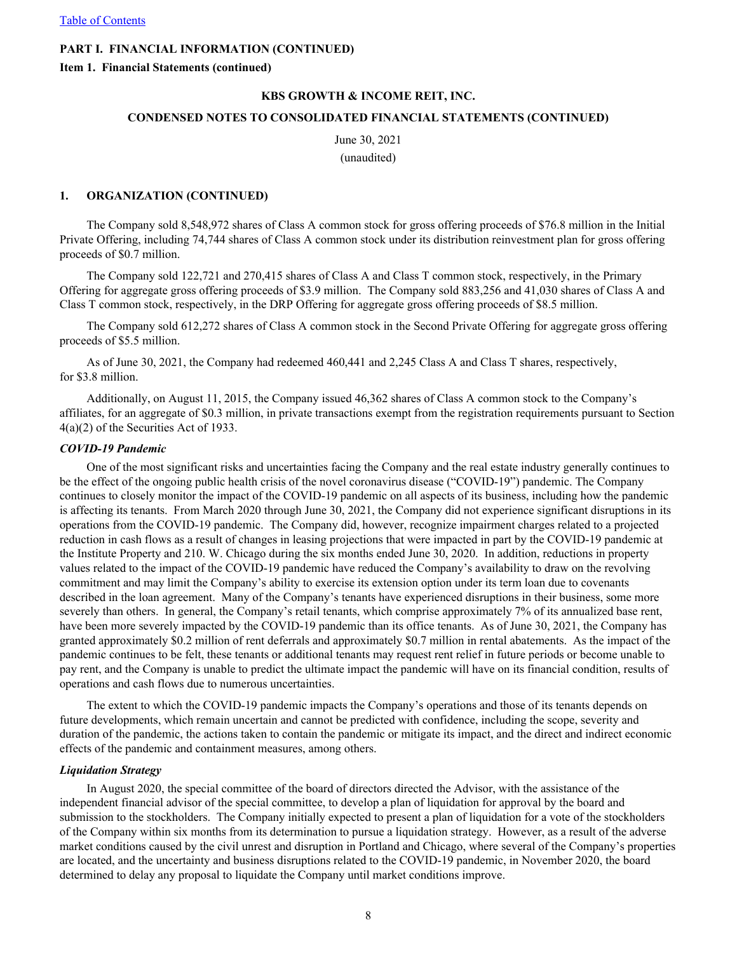**Item 1. Financial Statements (continued)**

#### **KBS GROWTH & INCOME REIT, INC.**

## **CONDENSED NOTES TO CONSOLIDATED FINANCIAL STATEMENTS (CONTINUED)**

June 30, 2021 (unaudited)

#### **1. ORGANIZATION (CONTINUED)**

The Company sold 8,548,972 shares of Class A common stock for gross offering proceeds of \$76.8 million in the Initial Private Offering, including 74,744 shares of Class A common stock under its distribution reinvestment plan for gross offering proceeds of \$0.7 million.

The Company sold 122,721 and 270,415 shares of Class A and Class T common stock, respectively, in the Primary Offering for aggregate gross offering proceeds of \$3.9 million. The Company sold 883,256 and 41,030 shares of Class A and Class T common stock, respectively, in the DRP Offering for aggregate gross offering proceeds of \$8.5 million.

The Company sold 612,272 shares of Class A common stock in the Second Private Offering for aggregate gross offering proceeds of \$5.5 million.

As of June 30, 2021, the Company had redeemed 460,441 and 2,245 Class A and Class T shares, respectively, for \$3.8 million.

Additionally, on August 11, 2015, the Company issued 46,362 shares of Class A common stock to the Company's affiliates, for an aggregate of \$0.3 million, in private transactions exempt from the registration requirements pursuant to Section 4(a)(2) of the Securities Act of 1933.

#### *COVID-19 Pandemic*

One of the most significant risks and uncertainties facing the Company and the real estate industry generally continues to be the effect of the ongoing public health crisis of the novel coronavirus disease ("COVID-19") pandemic. The Company continues to closely monitor the impact of the COVID-19 pandemic on all aspects of its business, including how the pandemic is affecting its tenants. From March 2020 through June 30, 2021, the Company did not experience significant disruptions in its operations from the COVID-19 pandemic. The Company did, however, recognize impairment charges related to a projected reduction in cash flows as a result of changes in leasing projections that were impacted in part by the COVID-19 pandemic at the Institute Property and 210. W. Chicago during the six months ended June 30, 2020. In addition, reductions in property values related to the impact of the COVID-19 pandemic have reduced the Company's availability to draw on the revolving commitment and may limit the Company's ability to exercise its extension option under its term loan due to covenants described in the loan agreement. Many of the Company's tenants have experienced disruptions in their business, some more severely than others. In general, the Company's retail tenants, which comprise approximately 7% of its annualized base rent, have been more severely impacted by the COVID-19 pandemic than its office tenants. As of June 30, 2021, the Company has granted approximately \$0.2 million of rent deferrals and approximately \$0.7 million in rental abatements. As the impact of the pandemic continues to be felt, these tenants or additional tenants may request rent relief in future periods or become unable to pay rent, and the Company is unable to predict the ultimate impact the pandemic will have on its financial condition, results of operations and cash flows due to numerous uncertainties.

The extent to which the COVID-19 pandemic impacts the Company's operations and those of its tenants depends on future developments, which remain uncertain and cannot be predicted with confidence, including the scope, severity and duration of the pandemic, the actions taken to contain the pandemic or mitigate its impact, and the direct and indirect economic effects of the pandemic and containment measures, among others.

#### *Liquidation Strategy*

In August 2020, the special committee of the board of directors directed the Advisor, with the assistance of the independent financial advisor of the special committee, to develop a plan of liquidation for approval by the board and submission to the stockholders. The Company initially expected to present a plan of liquidation for a vote of the stockholders of the Company within six months from its determination to pursue a liquidation strategy. However, as a result of the adverse market conditions caused by the civil unrest and disruption in Portland and Chicago, where several of the Company's properties are located, and the uncertainty and business disruptions related to the COVID-19 pandemic, in November 2020, the board determined to delay any proposal to liquidate the Company until market conditions improve.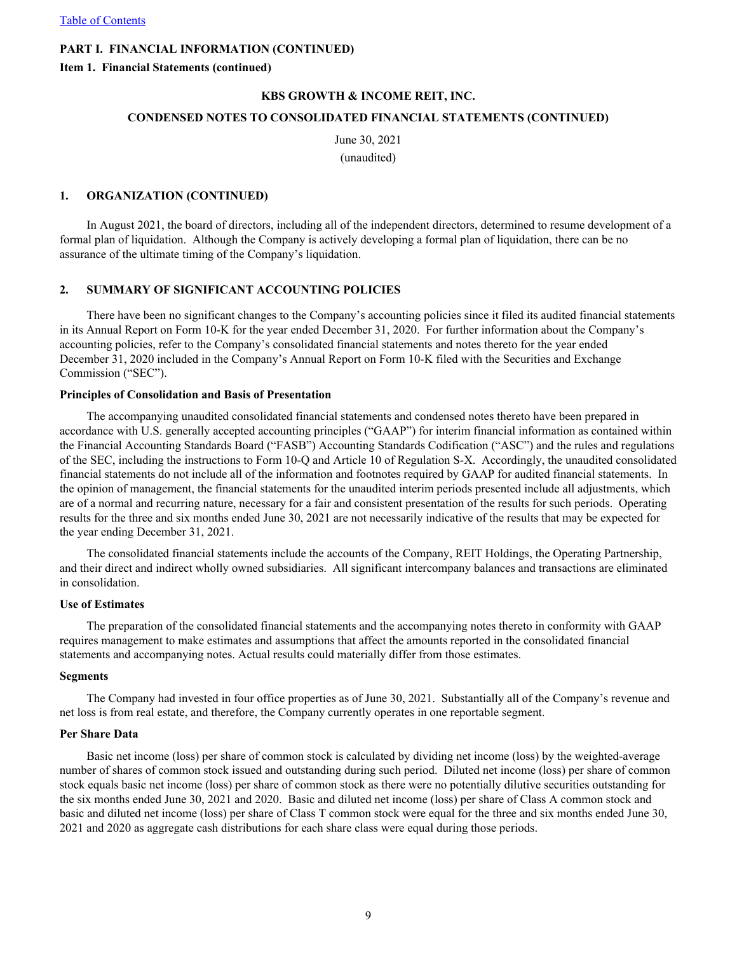**Item 1. Financial Statements (continued)**

#### **KBS GROWTH & INCOME REIT, INC.**

## **CONDENSED NOTES TO CONSOLIDATED FINANCIAL STATEMENTS (CONTINUED)**

June 30, 2021 (unaudited)

#### **1. ORGANIZATION (CONTINUED)**

In August 2021, the board of directors, including all of the independent directors, determined to resume development of a formal plan of liquidation. Although the Company is actively developing a formal plan of liquidation, there can be no assurance of the ultimate timing of the Company's liquidation.

#### **2. SUMMARY OF SIGNIFICANT ACCOUNTING POLICIES**

There have been no significant changes to the Company's accounting policies since it filed its audited financial statements in its Annual Report on Form 10-K for the year ended December 31, 2020. For further information about the Company's accounting policies, refer to the Company's consolidated financial statements and notes thereto for the year ended December 31, 2020 included in the Company's Annual Report on Form 10-K filed with the Securities and Exchange Commission ("SEC").

#### **Principles of Consolidation and Basis of Presentation**

The accompanying unaudited consolidated financial statements and condensed notes thereto have been prepared in accordance with U.S. generally accepted accounting principles ("GAAP") for interim financial information as contained within the Financial Accounting Standards Board ("FASB") Accounting Standards Codification ("ASC") and the rules and regulations of the SEC, including the instructions to Form 10-Q and Article 10 of Regulation S-X. Accordingly, the unaudited consolidated financial statements do not include all of the information and footnotes required by GAAP for audited financial statements. In the opinion of management, the financial statements for the unaudited interim periods presented include all adjustments, which are of a normal and recurring nature, necessary for a fair and consistent presentation of the results for such periods. Operating results for the three and six months ended June 30, 2021 are not necessarily indicative of the results that may be expected for the year ending December 31, 2021.

The consolidated financial statements include the accounts of the Company, REIT Holdings, the Operating Partnership, and their direct and indirect wholly owned subsidiaries. All significant intercompany balances and transactions are eliminated in consolidation.

#### **Use of Estimates**

The preparation of the consolidated financial statements and the accompanying notes thereto in conformity with GAAP requires management to make estimates and assumptions that affect the amounts reported in the consolidated financial statements and accompanying notes. Actual results could materially differ from those estimates.

#### **Segments**

The Company had invested in four office properties as of June 30, 2021. Substantially all of the Company's revenue and net loss is from real estate, and therefore, the Company currently operates in one reportable segment.

#### **Per Share Data**

Basic net income (loss) per share of common stock is calculated by dividing net income (loss) by the weighted-average number of shares of common stock issued and outstanding during such period. Diluted net income (loss) per share of common stock equals basic net income (loss) per share of common stock as there were no potentially dilutive securities outstanding for the six months ended June 30, 2021 and 2020. Basic and diluted net income (loss) per share of Class A common stock and basic and diluted net income (loss) per share of Class T common stock were equal for the three and six months ended June 30, 2021 and 2020 as aggregate cash distributions for each share class were equal during those periods.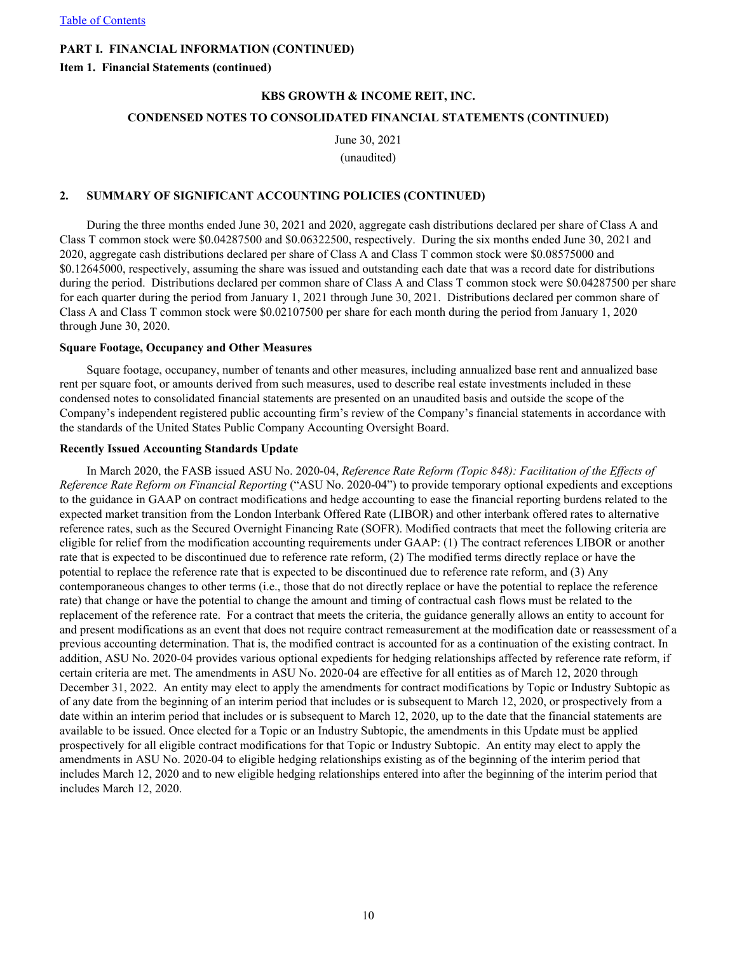**Item 1. Financial Statements (continued)**

#### **KBS GROWTH & INCOME REIT, INC.**

## **CONDENSED NOTES TO CONSOLIDATED FINANCIAL STATEMENTS (CONTINUED)**

June 30, 2021

(unaudited)

#### **2. SUMMARY OF SIGNIFICANT ACCOUNTING POLICIES (CONTINUED)**

During the three months ended June 30, 2021 and 2020, aggregate cash distributions declared per share of Class A and Class T common stock were \$0.04287500 and \$0.06322500, respectively. During the six months ended June 30, 2021 and 2020, aggregate cash distributions declared per share of Class A and Class T common stock were \$0.08575000 and \$0.12645000, respectively, assuming the share was issued and outstanding each date that was a record date for distributions during the period. Distributions declared per common share of Class A and Class T common stock were \$0.04287500 per share for each quarter during the period from January 1, 2021 through June 30, 2021. Distributions declared per common share of Class A and Class T common stock were \$0.02107500 per share for each month during the period from January 1, 2020 through June 30, 2020.

#### **Square Footage, Occupancy and Other Measures**

Square footage, occupancy, number of tenants and other measures, including annualized base rent and annualized base rent per square foot, or amounts derived from such measures, used to describe real estate investments included in these condensed notes to consolidated financial statements are presented on an unaudited basis and outside the scope of the Company's independent registered public accounting firm's review of the Company's financial statements in accordance with the standards of the United States Public Company Accounting Oversight Board.

#### **Recently Issued Accounting Standards Update**

In March 2020, the FASB issued ASU No. 2020-04, *Reference Rate Reform (Topic 848): Facilitation of the Effects of Reference Rate Reform on Financial Reporting* ("ASU No. 2020-04") to provide temporary optional expedients and exceptions to the guidance in GAAP on contract modifications and hedge accounting to ease the financial reporting burdens related to the expected market transition from the London Interbank Offered Rate (LIBOR) and other interbank offered rates to alternative reference rates, such as the Secured Overnight Financing Rate (SOFR). Modified contracts that meet the following criteria are eligible for relief from the modification accounting requirements under GAAP: (1) The contract references LIBOR or another rate that is expected to be discontinued due to reference rate reform, (2) The modified terms directly replace or have the potential to replace the reference rate that is expected to be discontinued due to reference rate reform, and (3) Any contemporaneous changes to other terms (i.e., those that do not directly replace or have the potential to replace the reference rate) that change or have the potential to change the amount and timing of contractual cash flows must be related to the replacement of the reference rate. For a contract that meets the criteria, the guidance generally allows an entity to account for and present modifications as an event that does not require contract remeasurement at the modification date or reassessment of a previous accounting determination. That is, the modified contract is accounted for as a continuation of the existing contract. In addition, ASU No. 2020-04 provides various optional expedients for hedging relationships affected by reference rate reform, if certain criteria are met. The amendments in ASU No. 2020-04 are effective for all entities as of March 12, 2020 through December 31, 2022. An entity may elect to apply the amendments for contract modifications by Topic or Industry Subtopic as of any date from the beginning of an interim period that includes or is subsequent to March 12, 2020, or prospectively from a date within an interim period that includes or is subsequent to March 12, 2020, up to the date that the financial statements are available to be issued. Once elected for a Topic or an Industry Subtopic, the amendments in this Update must be applied prospectively for all eligible contract modifications for that Topic or Industry Subtopic. An entity may elect to apply the amendments in ASU No. 2020-04 to eligible hedging relationships existing as of the beginning of the interim period that includes March 12, 2020 and to new eligible hedging relationships entered into after the beginning of the interim period that includes March 12, 2020.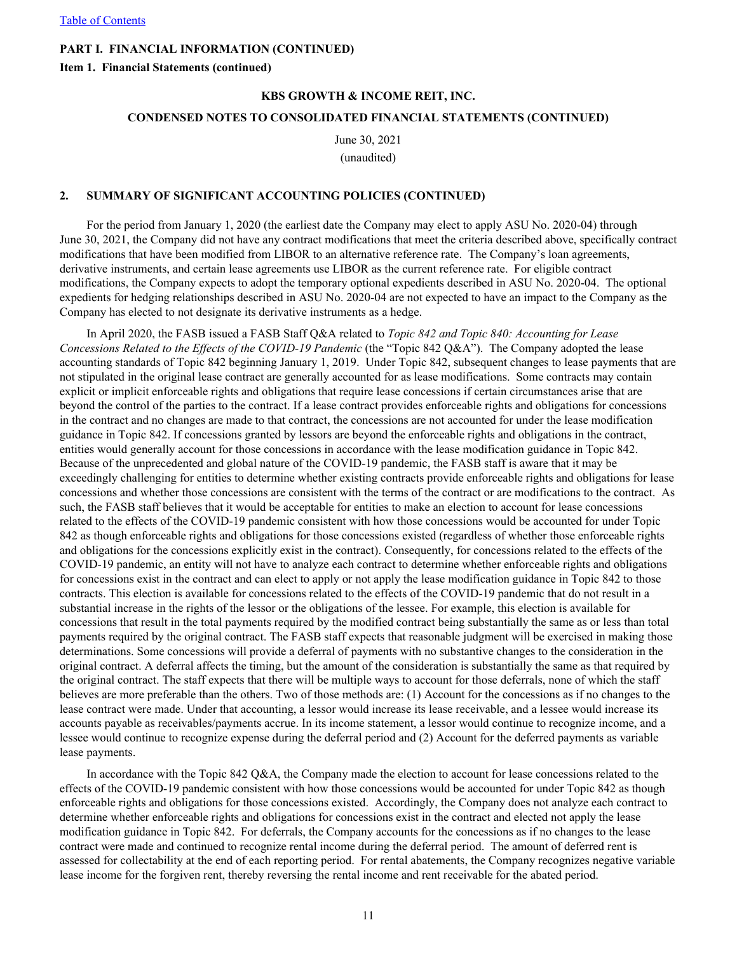**Item 1. Financial Statements (continued)**

#### **KBS GROWTH & INCOME REIT, INC.**

## **CONDENSED NOTES TO CONSOLIDATED FINANCIAL STATEMENTS (CONTINUED)**

June 30, 2021

(unaudited)

#### **2. SUMMARY OF SIGNIFICANT ACCOUNTING POLICIES (CONTINUED)**

For the period from January 1, 2020 (the earliest date the Company may elect to apply ASU No. 2020-04) through June 30, 2021, the Company did not have any contract modifications that meet the criteria described above, specifically contract modifications that have been modified from LIBOR to an alternative reference rate. The Company's loan agreements, derivative instruments, and certain lease agreements use LIBOR as the current reference rate. For eligible contract modifications, the Company expects to adopt the temporary optional expedients described in ASU No. 2020-04. The optional expedients for hedging relationships described in ASU No. 2020-04 are not expected to have an impact to the Company as the Company has elected to not designate its derivative instruments as a hedge.

In April 2020, the FASB issued a FASB Staff Q&A related to *Topic 842 and Topic 840: Accounting for Lease Concessions Related to the Effects of the COVID-19 Pandemic* (the "Topic 842 Q&A"). The Company adopted the lease accounting standards of Topic 842 beginning January 1, 2019. Under Topic 842, subsequent changes to lease payments that are not stipulated in the original lease contract are generally accounted for as lease modifications. Some contracts may contain explicit or implicit enforceable rights and obligations that require lease concessions if certain circumstances arise that are beyond the control of the parties to the contract. If a lease contract provides enforceable rights and obligations for concessions in the contract and no changes are made to that contract, the concessions are not accounted for under the lease modification guidance in Topic 842. If concessions granted by lessors are beyond the enforceable rights and obligations in the contract, entities would generally account for those concessions in accordance with the lease modification guidance in Topic 842. Because of the unprecedented and global nature of the COVID-19 pandemic, the FASB staff is aware that it may be exceedingly challenging for entities to determine whether existing contracts provide enforceable rights and obligations for lease concessions and whether those concessions are consistent with the terms of the contract or are modifications to the contract. As such, the FASB staff believes that it would be acceptable for entities to make an election to account for lease concessions related to the effects of the COVID-19 pandemic consistent with how those concessions would be accounted for under Topic 842 as though enforceable rights and obligations for those concessions existed (regardless of whether those enforceable rights and obligations for the concessions explicitly exist in the contract). Consequently, for concessions related to the effects of the COVID-19 pandemic, an entity will not have to analyze each contract to determine whether enforceable rights and obligations for concessions exist in the contract and can elect to apply or not apply the lease modification guidance in Topic 842 to those contracts. This election is available for concessions related to the effects of the COVID-19 pandemic that do not result in a substantial increase in the rights of the lessor or the obligations of the lessee. For example, this election is available for concessions that result in the total payments required by the modified contract being substantially the same as or less than total payments required by the original contract. The FASB staff expects that reasonable judgment will be exercised in making those determinations. Some concessions will provide a deferral of payments with no substantive changes to the consideration in the original contract. A deferral affects the timing, but the amount of the consideration is substantially the same as that required by the original contract. The staff expects that there will be multiple ways to account for those deferrals, none of which the staff believes are more preferable than the others. Two of those methods are: (1) Account for the concessions as if no changes to the lease contract were made. Under that accounting, a lessor would increase its lease receivable, and a lessee would increase its accounts payable as receivables/payments accrue. In its income statement, a lessor would continue to recognize income, and a lessee would continue to recognize expense during the deferral period and (2) Account for the deferred payments as variable lease payments.

In accordance with the Topic 842 Q&A, the Company made the election to account for lease concessions related to the effects of the COVID-19 pandemic consistent with how those concessions would be accounted for under Topic 842 as though enforceable rights and obligations for those concessions existed. Accordingly, the Company does not analyze each contract to determine whether enforceable rights and obligations for concessions exist in the contract and elected not apply the lease modification guidance in Topic 842. For deferrals, the Company accounts for the concessions as if no changes to the lease contract were made and continued to recognize rental income during the deferral period. The amount of deferred rent is assessed for collectability at the end of each reporting period. For rental abatements, the Company recognizes negative variable lease income for the forgiven rent, thereby reversing the rental income and rent receivable for the abated period.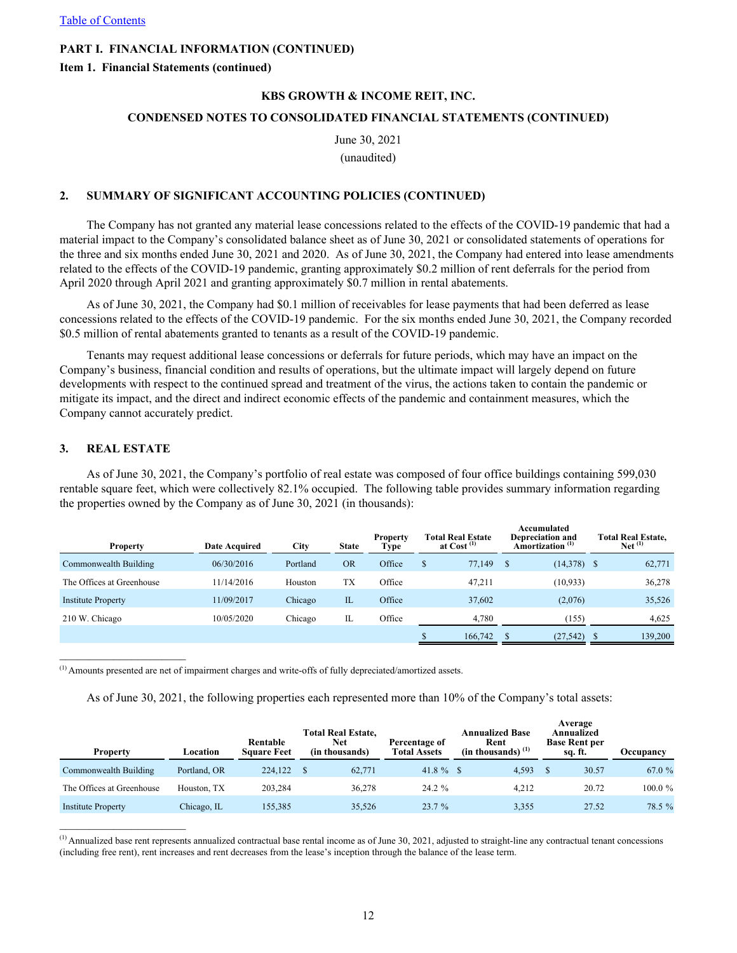**Item 1. Financial Statements (continued)**

#### **KBS GROWTH & INCOME REIT, INC.**

## **CONDENSED NOTES TO CONSOLIDATED FINANCIAL STATEMENTS (CONTINUED)**

June 30, 2021

(unaudited)

#### **2. SUMMARY OF SIGNIFICANT ACCOUNTING POLICIES (CONTINUED)**

The Company has not granted any material lease concessions related to the effects of the COVID-19 pandemic that had a material impact to the Company's consolidated balance sheet as of June 30, 2021 or consolidated statements of operations for the three and six months ended June 30, 2021 and 2020. As of June 30, 2021, the Company had entered into lease amendments related to the effects of the COVID-19 pandemic, granting approximately \$0.2 million of rent deferrals for the period from April 2020 through April 2021 and granting approximately \$0.7 million in rental abatements.

As of June 30, 2021, the Company had \$0.1 million of receivables for lease payments that had been deferred as lease concessions related to the effects of the COVID-19 pandemic. For the six months ended June 30, 2021, the Company recorded \$0.5 million of rental abatements granted to tenants as a result of the COVID-19 pandemic.

Tenants may request additional lease concessions or deferrals for future periods, which may have an impact on the Company's business, financial condition and results of operations, but the ultimate impact will largely depend on future developments with respect to the continued spread and treatment of the virus, the actions taken to contain the pandemic or mitigate its impact, and the direct and indirect economic effects of the pandemic and containment measures, which the Company cannot accurately predict.

#### **3. REAL ESTATE**

 $\mathcal{L}_\text{max}$  and  $\mathcal{L}_\text{max}$  and  $\mathcal{L}_\text{max}$ 

As of June 30, 2021, the Company's portfolio of real estate was composed of four office buildings containing 599,030 rentable square feet, which were collectively 82.1% occupied. The following table provides summary information regarding the properties owned by the Company as of June 30, 2021 (in thousands):

| <b>Property</b>           | <b>Date Acquired</b> | City     | <b>State</b> | <b>Property</b><br><b>Type</b> |               | <b>Total Real Estate</b><br>at Cost $^{(1)}$ | Accumulated<br><b>Depreciation and</b><br>Amortization <sup>(1)</sup> | <b>Total Real Estate,</b><br>Net <sup>(1)</sup> |
|---------------------------|----------------------|----------|--------------|--------------------------------|---------------|----------------------------------------------|-----------------------------------------------------------------------|-------------------------------------------------|
| Commonwealth Building     | 06/30/2016           | Portland | <b>OR</b>    | Office                         | <sup>\$</sup> | 77.149                                       | $(14,378)$ \$                                                         | 62,771                                          |
| The Offices at Greenhouse | 11/14/2016           | Houston  | TX           | Office                         |               | 47.211                                       | (10, 933)                                                             | 36,278                                          |
| <b>Institute Property</b> | 11/09/2017           | Chicago  | IL           | Office                         |               | 37.602                                       | (2,076)                                                               | 35,526                                          |
| 210 W. Chicago            | 10/05/2020           | Chicago  | IL           | Office                         |               | 4,780                                        | (155)                                                                 | 4,625                                           |
|                           |                      |          |              |                                |               | 166,742                                      | (27, 542)                                                             | 139,200                                         |

(1) Amounts presented are net of impairment charges and write-offs of fully depreciated/amortized assets.

As of June 30, 2021, the following properties each represented more than 10% of the Company's total assets:

| <b>Property</b>           | Location     | Rentable<br><b>Square Feet</b> | <b>Total Real Estate,</b><br>Net<br>(in thousands) | Percentage of<br><b>Total Assets</b> | <b>Annualized Base</b><br>Rent<br>(in thousands) $^{(1)}$ | Average<br>Annualized<br><b>Base Rent per</b><br>sq. ft. | Occupancv |
|---------------------------|--------------|--------------------------------|----------------------------------------------------|--------------------------------------|-----------------------------------------------------------|----------------------------------------------------------|-----------|
| Commonwealth Building     | Portland, OR | 224.122                        | 62.771                                             | 41.8 $%$ \$                          | 4.593                                                     | 30.57                                                    | 67.0 %    |
| The Offices at Greenhouse | Houston, TX  | 203.284                        | 36.278                                             | 24.2 %                               | 4.212                                                     | 20.72                                                    | 100.0%    |
| <b>Institute Property</b> | Chicago, IL  | 155,385                        | 35,526                                             | 23.7%                                | 3,355                                                     | 27.52                                                    | 78.5 %    |

 $<sup>(1)</sup>$  Annualized base rent represents annualized contractual base rental income as of June 30, 2021, adjusted to straight-line any contractual tenant concessions</sup> (including free rent), rent increases and rent decreases from the lease's inception through the balance of the lease term.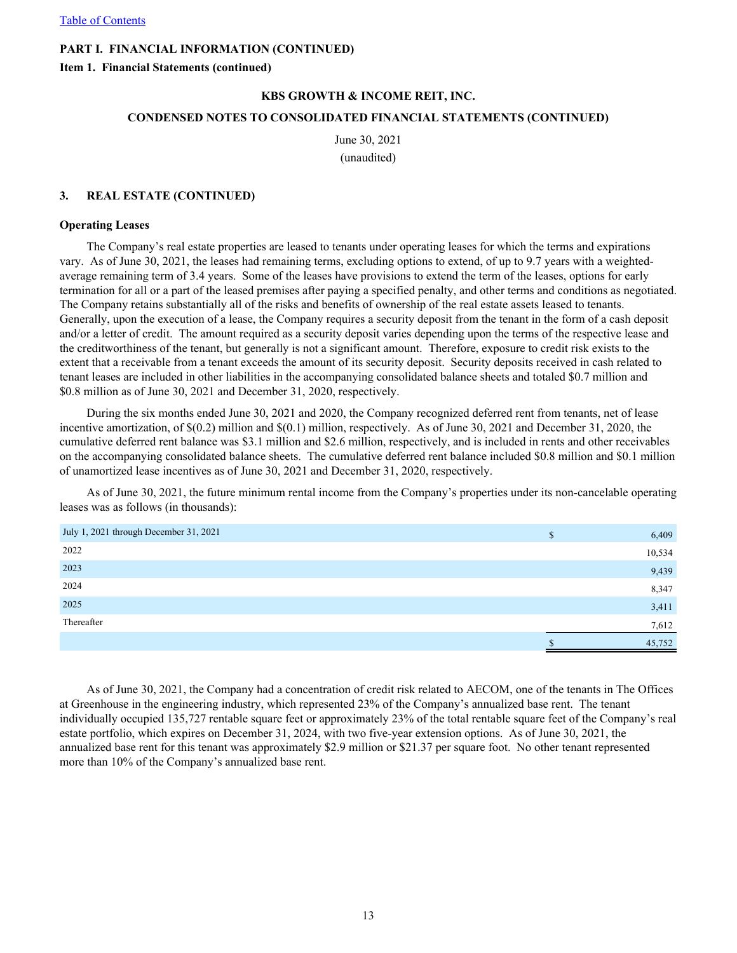**Item 1. Financial Statements (continued)**

#### **KBS GROWTH & INCOME REIT, INC.**

## **CONDENSED NOTES TO CONSOLIDATED FINANCIAL STATEMENTS (CONTINUED)**

June 30, 2021 (unaudited)

#### **3. REAL ESTATE (CONTINUED)**

#### **Operating Leases**

The Company's real estate properties are leased to tenants under operating leases for which the terms and expirations vary. As of June 30, 2021, the leases had remaining terms, excluding options to extend, of up to 9.7 years with a weightedaverage remaining term of 3.4 years. Some of the leases have provisions to extend the term of the leases, options for early termination for all or a part of the leased premises after paying a specified penalty, and other terms and conditions as negotiated. The Company retains substantially all of the risks and benefits of ownership of the real estate assets leased to tenants. Generally, upon the execution of a lease, the Company requires a security deposit from the tenant in the form of a cash deposit and/or a letter of credit. The amount required as a security deposit varies depending upon the terms of the respective lease and the creditworthiness of the tenant, but generally is not a significant amount. Therefore, exposure to credit risk exists to the extent that a receivable from a tenant exceeds the amount of its security deposit. Security deposits received in cash related to tenant leases are included in other liabilities in the accompanying consolidated balance sheets and totaled \$0.7 million and \$0.8 million as of June 30, 2021 and December 31, 2020, respectively.

During the six months ended June 30, 2021 and 2020, the Company recognized deferred rent from tenants, net of lease incentive amortization, of \$(0.2) million and \$(0.1) million, respectively. As of June 30, 2021 and December 31, 2020, the cumulative deferred rent balance was \$3.1 million and \$2.6 million, respectively, and is included in rents and other receivables on the accompanying consolidated balance sheets. The cumulative deferred rent balance included \$0.8 million and \$0.1 million of unamortized lease incentives as of June 30, 2021 and December 31, 2020, respectively.

As of June 30, 2021, the future minimum rental income from the Company's properties under its non-cancelable operating leases was as follows (in thousands):

| July 1, 2021 through December 31, 2021 | \$<br>6,409 |
|----------------------------------------|-------------|
| 2022                                   | 10,534      |
| 2023                                   | 9,439       |
| 2024                                   | 8,347       |
| 2025                                   | 3,411       |
| Thereafter                             | 7,612       |
|                                        | 45,752      |

As of June 30, 2021, the Company had a concentration of credit risk related to AECOM, one of the tenants in The Offices at Greenhouse in the engineering industry, which represented 23% of the Company's annualized base rent. The tenant individually occupied 135,727 rentable square feet or approximately 23% of the total rentable square feet of the Company's real estate portfolio, which expires on December 31, 2024, with two five-year extension options. As of June 30, 2021, the annualized base rent for this tenant was approximately \$2.9 million or \$21.37 per square foot. No other tenant represented more than 10% of the Company's annualized base rent.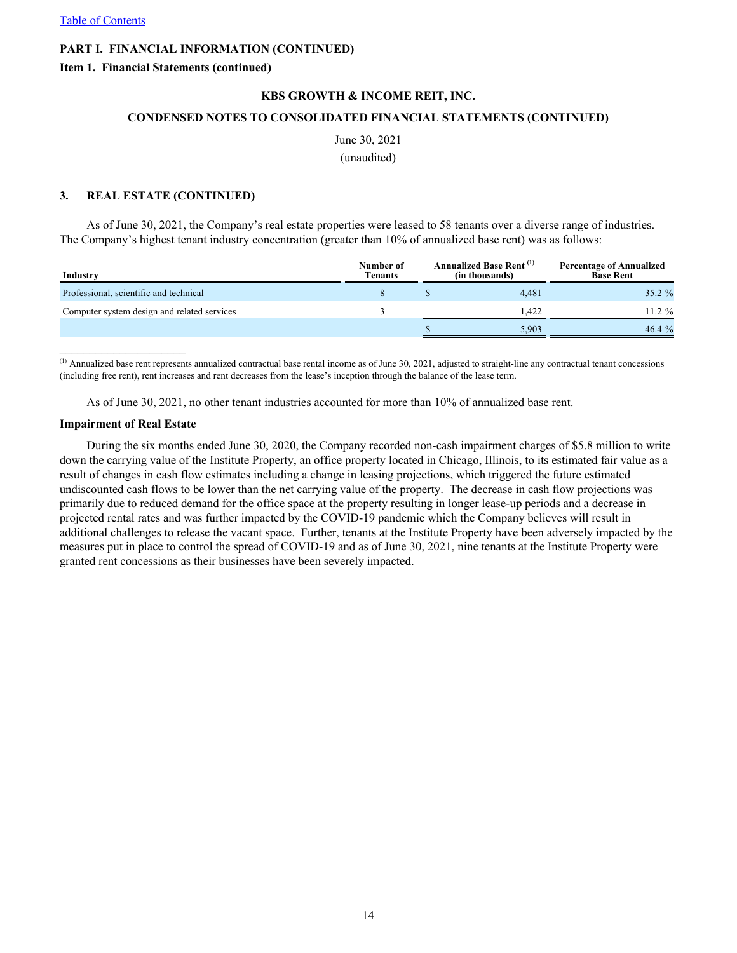#### **Item 1. Financial Statements (continued)**

#### **KBS GROWTH & INCOME REIT, INC.**

## **CONDENSED NOTES TO CONSOLIDATED FINANCIAL STATEMENTS (CONTINUED)**

## June 30, 2021 (unaudited)

#### **3. REAL ESTATE (CONTINUED)**

As of June 30, 2021, the Company's real estate properties were leased to 58 tenants over a diverse range of industries. The Company's highest tenant industry concentration (greater than 10% of annualized base rent) was as follows:

| Industry                                    | Number of<br><b>Tenants</b> | <b>Annualized Base Rent (1)</b><br>(in thousands) | <b>Percentage of Annualized</b><br><b>Base Rent</b> |
|---------------------------------------------|-----------------------------|---------------------------------------------------|-----------------------------------------------------|
| Professional, scientific and technical      |                             | 4.481                                             | $35.2 \%$                                           |
| Computer system design and related services |                             | .422                                              | 11.2%                                               |
|                                             |                             | 5.903                                             | 46.4%                                               |

(1) Annualized base rent represents annualized contractual base rental income as of June 30, 2021, adjusted to straight-line any contractual tenant concessions (including free rent), rent increases and rent decreases from the lease's inception through the balance of the lease term.

As of June 30, 2021, no other tenant industries accounted for more than 10% of annualized base rent.

#### **Impairment of Real Estate**

During the six months ended June 30, 2020, the Company recorded non-cash impairment charges of \$5.8 million to write down the carrying value of the Institute Property, an office property located in Chicago, Illinois, to its estimated fair value as a result of changes in cash flow estimates including a change in leasing projections, which triggered the future estimated undiscounted cash flows to be lower than the net carrying value of the property. The decrease in cash flow projections was primarily due to reduced demand for the office space at the property resulting in longer lease-up periods and a decrease in projected rental rates and was further impacted by the COVID-19 pandemic which the Company believes will result in additional challenges to release the vacant space. Further, tenants at the Institute Property have been adversely impacted by the measures put in place to control the spread of COVID-19 and as of June 30, 2021, nine tenants at the Institute Property were granted rent concessions as their businesses have been severely impacted.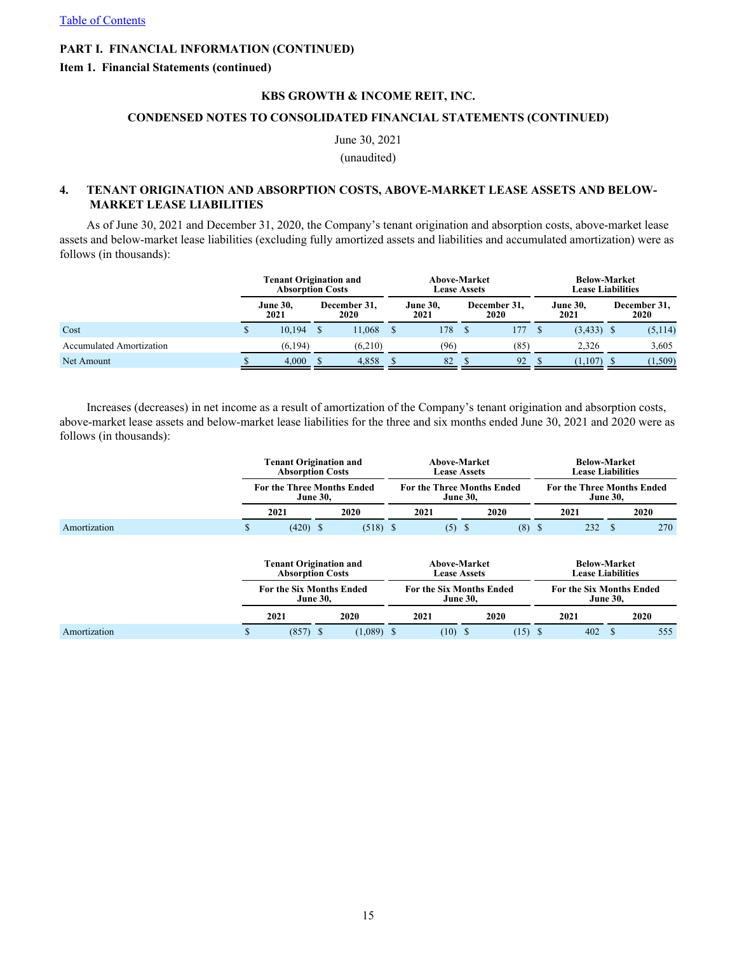#### **Item 1. Financial Statements (continued)**

#### **KBS GROWTH & INCOME REIT, INC.**

## **CONDENSED NOTES TO CONSOLIDATED FINANCIAL STATEMENTS (CONTINUED)**

# June 30, 2021

## (unaudited)

## **4. TENANT ORIGINATION AND ABSORPTION COSTS, ABOVE-MARKET LEASE ASSETS AND BELOW- MARKET LEASE LIABILITIES**

As of June 30, 2021 and December 31, 2020, the Company's tenant origination and absorption costs, above-market lease assets and below-market lease liabilities (excluding fully amortized assets and liabilities and accumulated amortization) were as follows (in thousands):

|                                 |   | <b>Tenant Origination and</b><br><b>Absorption Costs</b> |  |                      | <b>Above-Market</b><br><b>Lease Assets</b> |                      | <b>Below-Market</b><br><b>Lease Liabilities</b> |                         |  |                      |  |
|---------------------------------|---|----------------------------------------------------------|--|----------------------|--------------------------------------------|----------------------|-------------------------------------------------|-------------------------|--|----------------------|--|
|                                 |   | <b>June 30,</b><br>2021                                  |  | December 31.<br>2020 | <b>June 30,</b><br>2021                    | December 31,<br>2020 |                                                 | <b>June 30,</b><br>2021 |  | December 31,<br>2020 |  |
| Cost                            | ъ | 10.194                                                   |  | 11.068               | 178                                        | 177                  |                                                 | $(3,433)$ \$            |  | (5,114)              |  |
| <b>Accumulated Amortization</b> |   | (6, 194)                                                 |  | (6,210)              | (96)                                       | (85)                 |                                                 | 2.326                   |  | 3,605                |  |
| Net Amount                      |   | 4.000                                                    |  | 4,858                | 82                                         | 92                   |                                                 | (1,107)                 |  | (1,509)              |  |

Increases (decreases) in net income as a result of amortization of the Company's tenant origination and absorption costs, above-market lease assets and below-market lease liabilities for the three and six months ended June 30, 2021 and 2020 were as follows (in thousands):

|              | <b>Tenant Origination and</b><br><b>Absorption Costs</b>                                                       |            |  |                                                      |     | Above-Market<br><b>Lease Assets</b> |                           |                                                    | <b>Below-Market</b><br><b>Lease Liabilities</b>      |                   |      |      |  |
|--------------|----------------------------------------------------------------------------------------------------------------|------------|--|------------------------------------------------------|-----|-------------------------------------|---------------------------|----------------------------------------------------|------------------------------------------------------|-------------------|------|------|--|
|              | <b>For the Three Months Ended</b><br><b>June 30,</b>                                                           |            |  | <b>For the Three Months Ended</b><br><b>June 30,</b> |     |                                     |                           |                                                    | <b>For the Three Months Ended</b><br><b>June 30,</b> |                   |      |      |  |
|              | 2021                                                                                                           |            |  | 2020                                                 |     | 2021                                |                           | 2020                                               |                                                      | 2021              |      | 2020 |  |
| Amortization | S                                                                                                              | $(420)$ \$ |  | $(518)$ \$                                           | (5) |                                     | $(8)$ \$<br><sup>\$</sup> |                                                    |                                                      | 232<br>$\sqrt{s}$ |      | 270  |  |
|              | <b>Tenant Origination and</b><br><b>Absorption Costs</b><br><b>For the Six Months Ended</b><br><b>June 30,</b> |            |  | <b>Above-Market</b><br><b>Lease Assets</b>           |     |                                     |                           | <b>Below-Market</b><br><b>Lease Liabilities</b>    |                                                      |                   |      |      |  |
|              |                                                                                                                |            |  | <b>For the Six Months Ended</b><br><b>June 30,</b>   |     |                                     |                           | <b>For the Six Months Ended</b><br><b>June 30,</b> |                                                      |                   |      |      |  |
|              | 2021                                                                                                           |            |  | 2020                                                 |     | 2021                                |                           | 2020                                               |                                                      | 2021              |      | 2020 |  |
| Amortization | <sup>S</sup>                                                                                                   | $(857)$ \$ |  | $(1,089)$ \$                                         |     | $(10)$ \$                           |                           | $(15)$ \$                                          |                                                      | 402               | - \$ | 555  |  |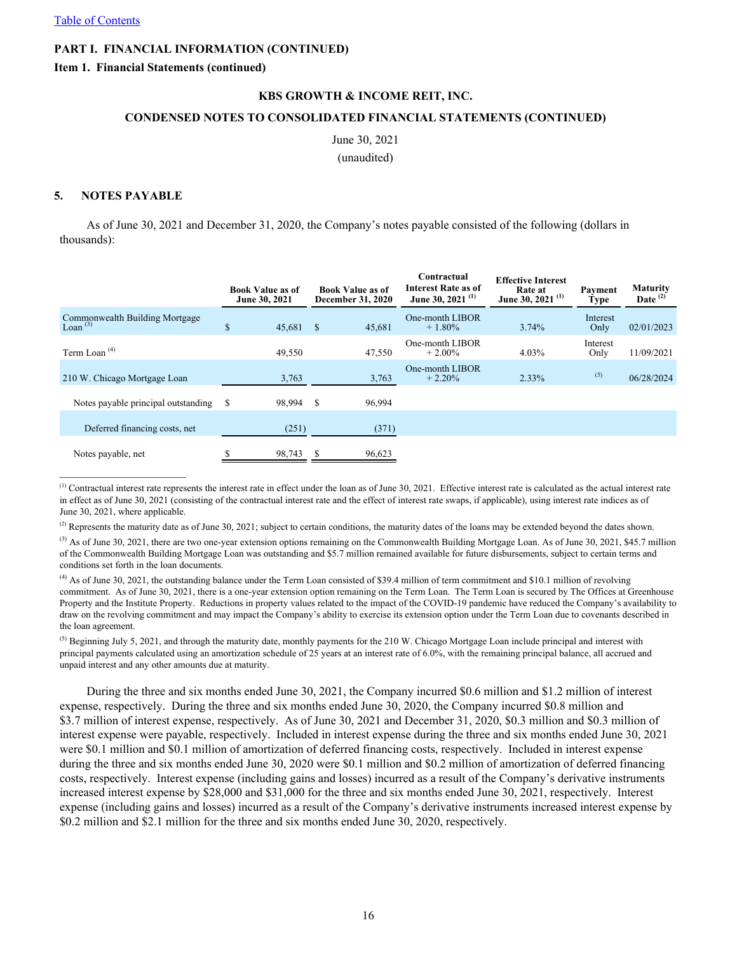#### **Item 1. Financial Statements (continued)**

#### **KBS GROWTH & INCOME REIT, INC.**

## **CONDENSED NOTES TO CONSOLIDATED FINANCIAL STATEMENTS (CONTINUED)**

June 30, 2021 (unaudited)

#### **5. NOTES PAYABLE**

As of June 30, 2021 and December 31, 2020, the Company's notes payable consisted of the following (dollars in thousands):

|                                              | <b>Book Value as of</b><br>June 30, 2021 |               | <b>Book Value as of</b><br><b>December 31, 2020</b> | Contractual<br><b>Interest Rate as of</b><br>June 30, 2021 <sup>(1)</sup> | <b>Effective Interest</b><br>Rate at<br>June 30, 2021 <sup>(1)</sup> | Payment<br>Type  | <b>Maturity</b><br>Date $(2)$ |
|----------------------------------------------|------------------------------------------|---------------|-----------------------------------------------------|---------------------------------------------------------------------------|----------------------------------------------------------------------|------------------|-------------------------------|
| Commonwealth Building Mortgage<br>Loan $(3)$ | \$<br>45,681                             | <sup>\$</sup> | 45,681                                              | One-month LIBOR<br>$+1.80%$                                               | 3.74%                                                                | Interest<br>Only | 02/01/2023                    |
| Term Loan $(4)$                              | 49,550                                   |               | 47,550                                              | One-month LIBOR<br>$+2.00\%$                                              | 4.03%                                                                | Interest<br>Only | 11/09/2021                    |
| 210 W. Chicago Mortgage Loan                 | 3,763                                    |               | 3,763                                               | One-month LIBOR<br>$+2.20%$                                               | 2.33%                                                                | (5)              | 06/28/2024                    |
| Notes payable principal outstanding          | \$<br>98,994                             | S             | 96,994                                              |                                                                           |                                                                      |                  |                               |
| Deferred financing costs, net                | (251)                                    |               | (371)                                               |                                                                           |                                                                      |                  |                               |
| Notes payable, net                           | 98,743                                   | S             | 96,623                                              |                                                                           |                                                                      |                  |                               |

<sup>(1)</sup> Contractual interest rate represents the interest rate in effect under the loan as of June 30, 2021. Effective interest rate is calculated as the actual interest rate in effect as of June 30, 2021 (consisting of the contractual interest rate and the effect of interest rate swaps, if applicable), using interest rate indices as of June 30, 2021, where applicable.

(2) Represents the maturity date as of June 30, 2021; subject to certain conditions, the maturity dates of the loans may be extended beyond the dates shown.

<sup>(3)</sup> As of June 30, 2021, there are two one-year extension options remaining on the Commonwealth Building Mortgage Loan. As of June 30, 2021, \$45.7 million of the Commonwealth Building Mortgage Loan was outstanding and \$5.7 million remained available for future disbursements, subject to certain terms and conditions set forth in the loan documents.

(4) As of June 30, 2021, the outstanding balance under the Term Loan consisted of \$39.4 million of term commitment and \$10.1 million of revolving commitment. As of June 30, 2021, there is a one-year extension option remaining on the Term Loan. The Term Loan is secured by The Offices at Greenhouse Property and the Institute Property. Reductions in property values related to the impact of the COVID-19 pandemic have reduced the Company's availability to draw on the revolving commitment and may impact the Company's ability to exercise its extension option under the Term Loan due to covenants described in the loan agreement.

<sup>(5)</sup> Beginning July 5, 2021, and through the maturity date, monthly payments for the 210 W. Chicago Mortgage Loan include principal and interest with principal payments calculated using an amortization schedule of 25 years at an interest rate of 6.0%, with the remaining principal balance, all accrued and unpaid interest and any other amounts due at maturity.

During the three and six months ended June 30, 2021, the Company incurred \$0.6 million and \$1.2 million of interest expense, respectively. During the three and six months ended June 30, 2020, the Company incurred \$0.8 million and \$3.7 million of interest expense, respectively. As of June 30, 2021 and December 31, 2020, \$0.3 million and \$0.3 million of interest expense were payable, respectively. Included in interest expense during the three and six months ended June 30, 2021 were \$0.1 million and \$0.1 million of amortization of deferred financing costs, respectively. Included in interest expense during the three and six months ended June 30, 2020 were \$0.1 million and \$0.2 million of amortization of deferred financing costs, respectively. Interest expense (including gains and losses) incurred as a result of the Company's derivative instruments increased interest expense by \$28,000 and \$31,000 for the three and six months ended June 30, 2021, respectively. Interest expense (including gains and losses) incurred as a result of the Company's derivative instruments increased interest expense by \$0.2 million and \$2.1 million for the three and six months ended June 30, 2020, respectively.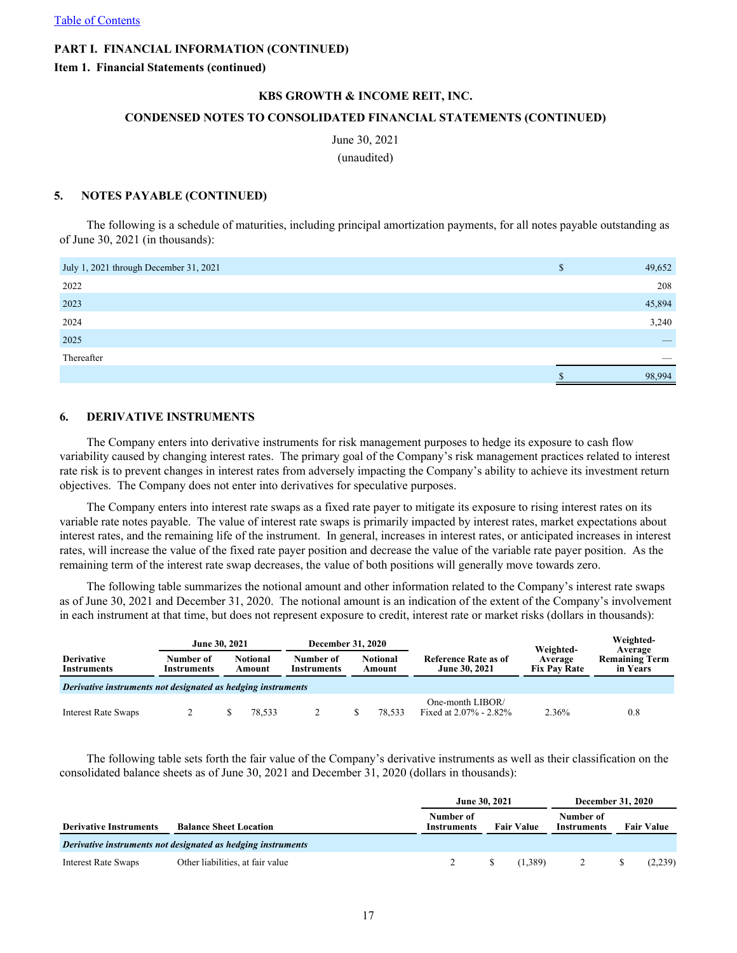#### **Item 1. Financial Statements (continued)**

#### **KBS GROWTH & INCOME REIT, INC.**

#### **CONDENSED NOTES TO CONSOLIDATED FINANCIAL STATEMENTS (CONTINUED)**

## June 30, 2021 (unaudited)

#### **5. NOTES PAYABLE (CONTINUED)**

The following is a schedule of maturities, including principal amortization payments, for all notes payable outstanding as of June 30, 2021 (in thousands):

| July 1, 2021 through December 31, 2021 | \$<br>49,652 |
|----------------------------------------|--------------|
| 2022                                   | 208          |
| 2023                                   | 45,894       |
| 2024                                   | 3,240        |
| 2025                                   | _            |
| Thereafter                             |              |
|                                        | 98,994       |

#### **6. DERIVATIVE INSTRUMENTS**

The Company enters into derivative instruments for risk management purposes to hedge its exposure to cash flow variability caused by changing interest rates. The primary goal of the Company's risk management practices related to interest rate risk is to prevent changes in interest rates from adversely impacting the Company's ability to achieve its investment return objectives. The Company does not enter into derivatives for speculative purposes.

The Company enters into interest rate swaps as a fixed rate payer to mitigate its exposure to rising interest rates on its variable rate notes payable. The value of interest rate swaps is primarily impacted by interest rates, market expectations about interest rates, and the remaining life of the instrument. In general, increases in interest rates, or anticipated increases in interest rates, will increase the value of the fixed rate payer position and decrease the value of the variable rate payer position. As the remaining term of the interest rate swap decreases, the value of both positions will generally move towards zero.

The following table summarizes the notional amount and other information related to the Company's interest rate swaps as of June 30, 2021 and December 31, 2020. The notional amount is an indication of the extent of the Company's involvement in each instrument at that time, but does not represent exposure to credit, interest rate or market risks (dollars in thousands):

|                                                              | June 30, 2021            |                           |                          | <b>December 31, 2020</b>  |                                                  | Weighted-                      | Weighted-<br>Average              |
|--------------------------------------------------------------|--------------------------|---------------------------|--------------------------|---------------------------|--------------------------------------------------|--------------------------------|-----------------------------------|
| <b>Derivative</b><br><b>Instruments</b>                      | Number of<br>Instruments | <b>Notional</b><br>Amount | Number of<br>Instruments | <b>Notional</b><br>Amount | Reference Rate as of<br>June 30, 2021            | Average<br><b>Fix Pav Rate</b> | <b>Remaining Term</b><br>in Years |
| Derivative instruments not designated as hedging instruments |                          |                           |                          |                           |                                                  |                                |                                   |
| <b>Interest Rate Swaps</b>                                   |                          | 78.533                    |                          | 78.533                    | One-month LIBOR/<br>Fixed at $2.07\%$ - $2.82\%$ | 2.36%                          | 0.8                               |

The following table sets forth the fair value of the Company's derivative instruments as well as their classification on the consolidated balance sheets as of June 30, 2021 and December 31, 2020 (dollars in thousands):

|                               |                                                              | <b>June 30, 2021</b>     |                   | <b>December 31, 2020</b> |                          |                   |         |  |
|-------------------------------|--------------------------------------------------------------|--------------------------|-------------------|--------------------------|--------------------------|-------------------|---------|--|
| <b>Derivative Instruments</b> | <b>Balance Sheet Location</b>                                | Number of<br>Instruments | <b>Fair Value</b> |                          | Number of<br>Instruments | <b>Fair Value</b> |         |  |
|                               | Derivative instruments not designated as hedging instruments |                          |                   |                          |                          |                   |         |  |
| <b>Interest Rate Swaps</b>    | Other liabilities, at fair value                             |                          |                   | (1.389)                  |                          |                   | (2,239) |  |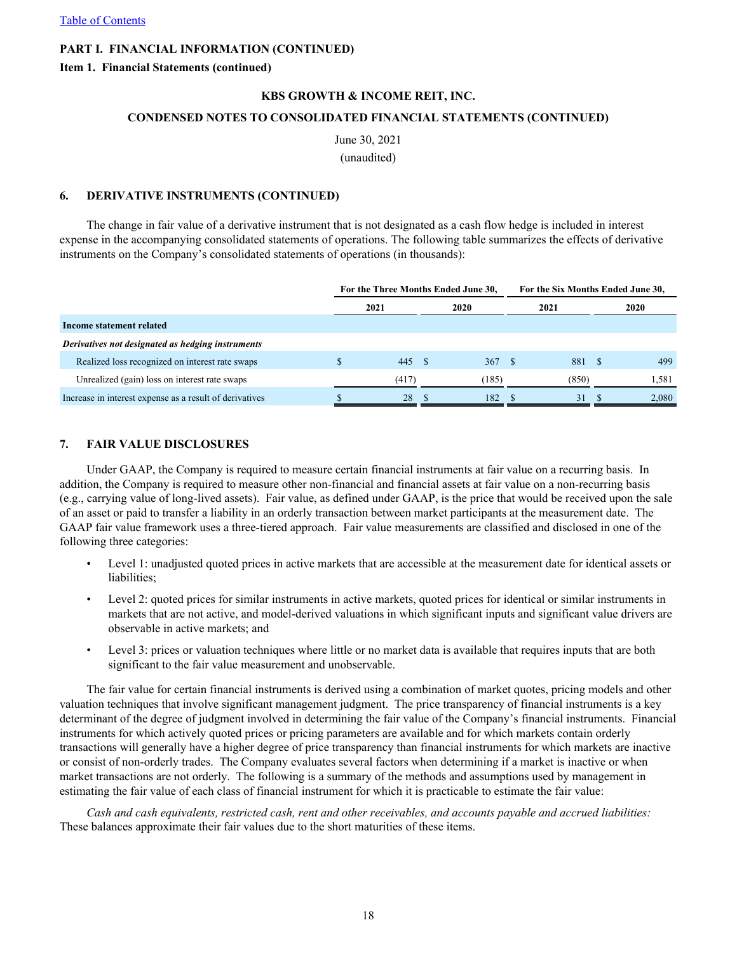#### **Item 1. Financial Statements (continued)**

#### **KBS GROWTH & INCOME REIT, INC.**

## **CONDENSED NOTES TO CONSOLIDATED FINANCIAL STATEMENTS (CONTINUED)**

# June 30, 2021

## (unaudited)

#### **6. DERIVATIVE INSTRUMENTS (CONTINUED)**

The change in fair value of a derivative instrument that is not designated as a cash flow hedge is included in interest expense in the accompanying consolidated statements of operations. The following table summarizes the effects of derivative instruments on the Company's consolidated statements of operations (in thousands):

|                                                         |       | For the Three Months Ended June 30, | For the Six Months Ended June 30, |           |  |  |  |
|---------------------------------------------------------|-------|-------------------------------------|-----------------------------------|-----------|--|--|--|
|                                                         | 2021  | 2020                                | 2021                              | 2020      |  |  |  |
| Income statement related                                |       |                                     |                                   |           |  |  |  |
| Derivatives not designated as hedging instruments       |       |                                     |                                   |           |  |  |  |
| Realized loss recognized on interest rate swaps         | 445   | 367 S                               | 881                               | 499<br>-8 |  |  |  |
| Unrealized (gain) loss on interest rate swaps           | (417) | (185)                               | (850)                             | 1.581     |  |  |  |
| Increase in interest expense as a result of derivatives | 28    | 182                                 | 31                                | 2,080     |  |  |  |

## **7. FAIR VALUE DISCLOSURES**

Under GAAP, the Company is required to measure certain financial instruments at fair value on a recurring basis. In addition, the Company is required to measure other non-financial and financial assets at fair value on a non-recurring basis (e.g., carrying value of long-lived assets). Fair value, as defined under GAAP, is the price that would be received upon the sale of an asset or paid to transfer a liability in an orderly transaction between market participants at the measurement date. The GAAP fair value framework uses a three-tiered approach. Fair value measurements are classified and disclosed in one of the following three categories:

- Level 1: unadjusted quoted prices in active markets that are accessible at the measurement date for identical assets or liabilities;
- Level 2: quoted prices for similar instruments in active markets, quoted prices for identical or similar instruments in markets that are not active, and model-derived valuations in which significant inputs and significant value drivers are observable in active markets; and
- Level 3: prices or valuation techniques where little or no market data is available that requires inputs that are both significant to the fair value measurement and unobservable.

The fair value for certain financial instruments is derived using a combination of market quotes, pricing models and other valuation techniques that involve significant management judgment. The price transparency of financial instruments is a key determinant of the degree of judgment involved in determining the fair value of the Company's financial instruments. Financial instruments for which actively quoted prices or pricing parameters are available and for which markets contain orderly transactions will generally have a higher degree of price transparency than financial instruments for which markets are inactive or consist of non-orderly trades. The Company evaluates several factors when determining if a market is inactive or when market transactions are not orderly. The following is a summary of the methods and assumptions used by management in estimating the fair value of each class of financial instrument for which it is practicable to estimate the fair value:

*Cash and cash equivalents, restricted cash, rent and other receivables, and accounts payable and accrued liabilities:* These balances approximate their fair values due to the short maturities of these items.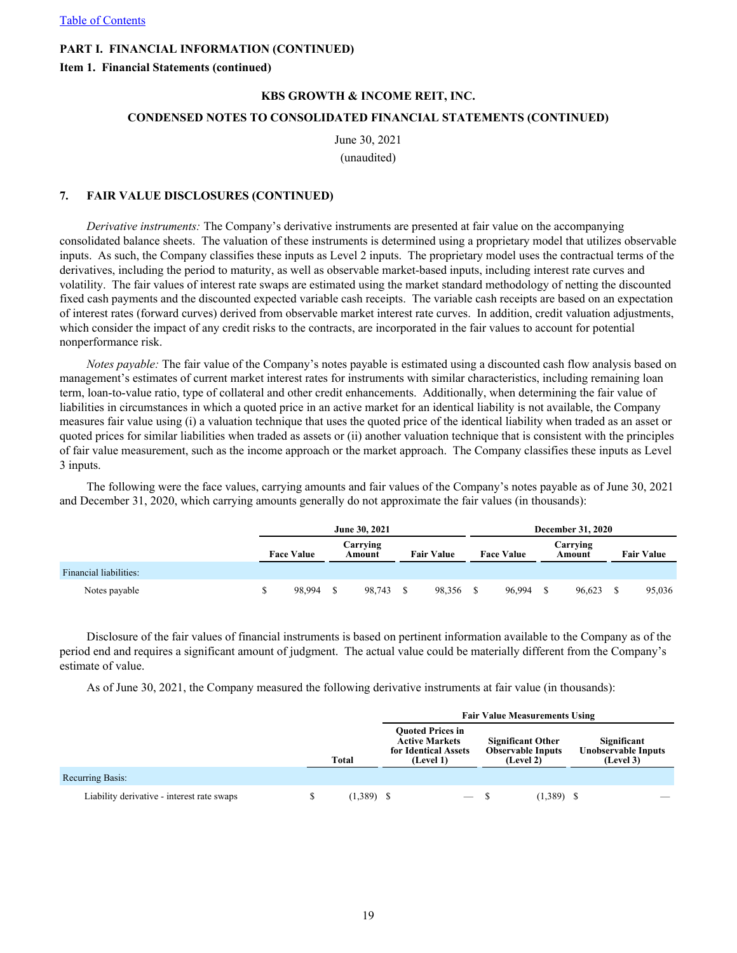**Item 1. Financial Statements (continued)**

#### **KBS GROWTH & INCOME REIT, INC.**

## **CONDENSED NOTES TO CONSOLIDATED FINANCIAL STATEMENTS (CONTINUED)**

June 30, 2021 (unaudited)

#### **7. FAIR VALUE DISCLOSURES (CONTINUED)**

*Derivative instruments:* The Company's derivative instruments are presented at fair value on the accompanying consolidated balance sheets. The valuation of these instruments is determined using a proprietary model that utilizes observable inputs. As such, the Company classifies these inputs as Level 2 inputs. The proprietary model uses the contractual terms of the derivatives, including the period to maturity, as well as observable market-based inputs, including interest rate curves and volatility. The fair values of interest rate swaps are estimated using the market standard methodology of netting the discounted fixed cash payments and the discounted expected variable cash receipts. The variable cash receipts are based on an expectation of interest rates (forward curves) derived from observable market interest rate curves. In addition, credit valuation adjustments, which consider the impact of any credit risks to the contracts, are incorporated in the fair values to account for potential nonperformance risk.

*Notes payable:* The fair value of the Company's notes payable is estimated using a discounted cash flow analysis based on management's estimates of current market interest rates for instruments with similar characteristics, including remaining loan term, loan-to-value ratio, type of collateral and other credit enhancements. Additionally, when determining the fair value of liabilities in circumstances in which a quoted price in an active market for an identical liability is not available, the Company measures fair value using (i) a valuation technique that uses the quoted price of the identical liability when traded as an asset or quoted prices for similar liabilities when traded as assets or (ii) another valuation technique that is consistent with the principles of fair value measurement, such as the income approach or the market approach. The Company classifies these inputs as Level 3 inputs.

The following were the face values, carrying amounts and fair values of the Company's notes payable as of June 30, 2021 and December 31, 2020, which carrying amounts generally do not approximate the fair values (in thousands):

|                        | <b>June 30, 2021</b> |        |                    |        |                   |        |                   | <b>December 31, 2020</b> |                    |        |                   |        |  |  |
|------------------------|----------------------|--------|--------------------|--------|-------------------|--------|-------------------|--------------------------|--------------------|--------|-------------------|--------|--|--|
|                        | <b>Face Value</b>    |        | Carrying<br>Amount |        | <b>Fair Value</b> |        | <b>Face Value</b> |                          | Carrying<br>Amount |        | <b>Fair Value</b> |        |  |  |
| Financial liabilities: |                      |        |                    |        |                   |        |                   |                          |                    |        |                   |        |  |  |
| Notes payable          |                      | 98.994 |                    | 98.743 |                   | 98.356 |                   | 96.994                   |                    | 96.623 |                   | 95,036 |  |  |

Disclosure of the fair values of financial instruments is based on pertinent information available to the Company as of the period end and requires a significant amount of judgment. The actual value could be materially different from the Company's estimate of value.

As of June 30, 2021, the Company measured the following derivative instruments at fair value (in thousands):

|                                            |       |         |                                                                                       |                                 |                                                                   | <b>Fair Value Measurements Using</b> |                                                 |  |
|--------------------------------------------|-------|---------|---------------------------------------------------------------------------------------|---------------------------------|-------------------------------------------------------------------|--------------------------------------|-------------------------------------------------|--|
|                                            | Total |         | <b>Ouoted Prices in</b><br><b>Active Markets</b><br>for Identical Assets<br>(Level 1) |                                 | <b>Significant Other</b><br><b>Observable Inputs</b><br>(Level 2) |                                      | Significant<br>Unobservable Inputs<br>(Level 3) |  |
| Recurring Basis:                           |       |         |                                                                                       |                                 |                                                                   |                                      |                                                 |  |
| Liability derivative - interest rate swaps |       | (1,389) |                                                                                       | $\hspace{0.1mm}-\hspace{0.1mm}$ |                                                                   | $(1,389)$ \$                         |                                                 |  |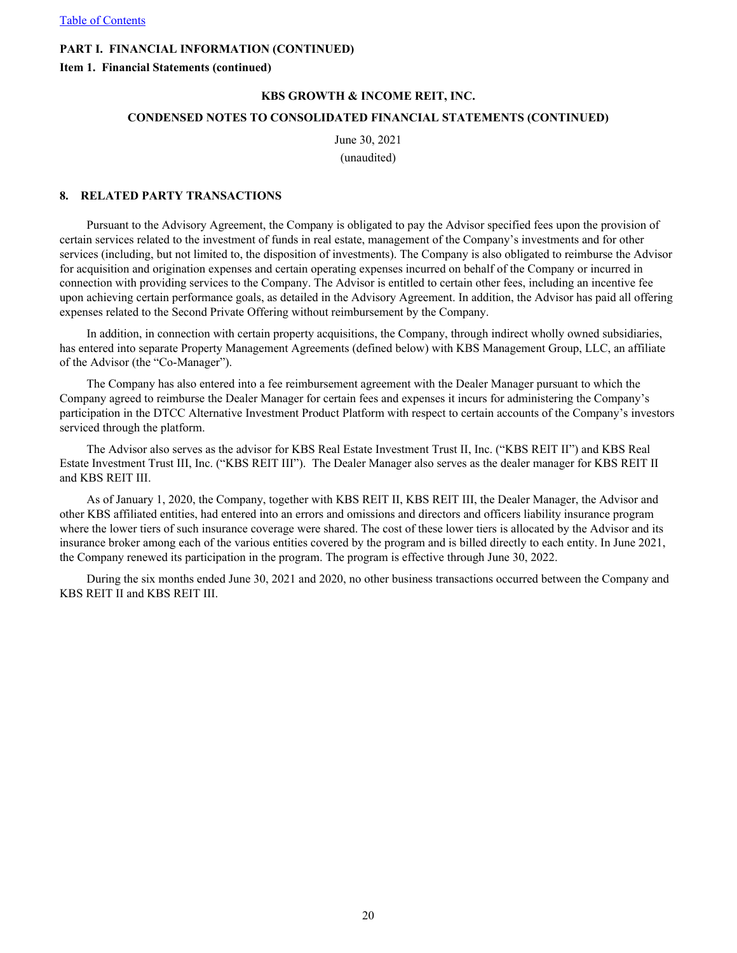**Item 1. Financial Statements (continued)**

#### **KBS GROWTH & INCOME REIT, INC.**

## **CONDENSED NOTES TO CONSOLIDATED FINANCIAL STATEMENTS (CONTINUED)**

June 30, 2021 (unaudited)

#### **8. RELATED PARTY TRANSACTIONS**

Pursuant to the Advisory Agreement, the Company is obligated to pay the Advisor specified fees upon the provision of certain services related to the investment of funds in real estate, management of the Company's investments and for other services (including, but not limited to, the disposition of investments). The Company is also obligated to reimburse the Advisor for acquisition and origination expenses and certain operating expenses incurred on behalf of the Company or incurred in connection with providing services to the Company. The Advisor is entitled to certain other fees, including an incentive fee upon achieving certain performance goals, as detailed in the Advisory Agreement. In addition, the Advisor has paid all offering expenses related to the Second Private Offering without reimbursement by the Company.

In addition, in connection with certain property acquisitions, the Company, through indirect wholly owned subsidiaries, has entered into separate Property Management Agreements (defined below) with KBS Management Group, LLC, an affiliate of the Advisor (the "Co-Manager").

The Company has also entered into a fee reimbursement agreement with the Dealer Manager pursuant to which the Company agreed to reimburse the Dealer Manager for certain fees and expenses it incurs for administering the Company's participation in the DTCC Alternative Investment Product Platform with respect to certain accounts of the Company's investors serviced through the platform.

The Advisor also serves as the advisor for KBS Real Estate Investment Trust II, Inc. ("KBS REIT II") and KBS Real Estate Investment Trust III, Inc. ("KBS REIT III"). The Dealer Manager also serves as the dealer manager for KBS REIT II and KBS REIT III.

As of January 1, 2020, the Company, together with KBS REIT II, KBS REIT III, the Dealer Manager, the Advisor and other KBS affiliated entities, had entered into an errors and omissions and directors and officers liability insurance program where the lower tiers of such insurance coverage were shared. The cost of these lower tiers is allocated by the Advisor and its insurance broker among each of the various entities covered by the program and is billed directly to each entity. In June 2021, the Company renewed its participation in the program. The program is effective through June 30, 2022.

During the six months ended June 30, 2021 and 2020, no other business transactions occurred between the Company and KBS REIT II and KBS REIT III.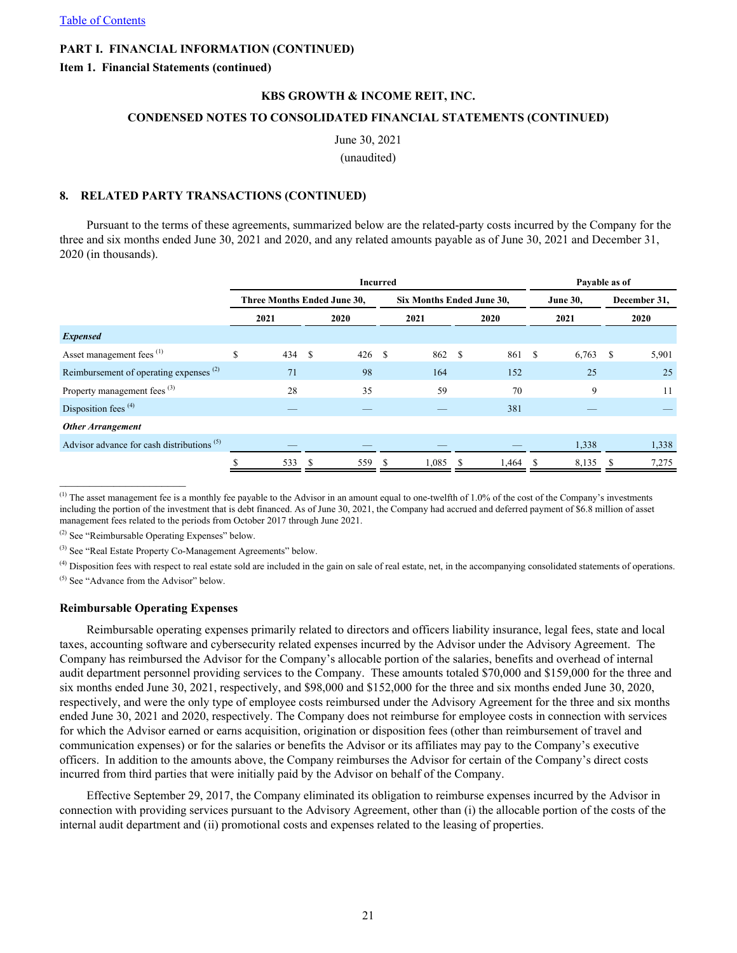#### **Item 1. Financial Statements (continued)**

#### **KBS GROWTH & INCOME REIT, INC.**

## **CONDENSED NOTES TO CONSOLIDATED FINANCIAL STATEMENTS (CONTINUED)**

# June 30, 2021

## (unaudited)

## **8. RELATED PARTY TRANSACTIONS (CONTINUED)**

Pursuant to the terms of these agreements, summarized below are the related-party costs incurred by the Company for the three and six months ended June 30, 2021 and 2020, and any related amounts payable as of June 30, 2021 and December 31, 2020 (in thousands).

|                                                       |                             |        |    | <b>Incurred</b> | Pavable as of |                           |     |       |                 |              |      |       |
|-------------------------------------------------------|-----------------------------|--------|----|-----------------|---------------|---------------------------|-----|-------|-----------------|--------------|------|-------|
|                                                       | Three Months Ended June 30, |        |    |                 |               | Six Months Ended June 30, |     |       | <b>June 30,</b> | December 31, |      |       |
|                                                       | 2021                        |        |    | 2020            |               | 2021                      |     | 2020  |                 | 2021         |      | 2020  |
| <b>Expensed</b>                                       |                             |        |    |                 |               |                           |     |       |                 |              |      |       |
| Asset management fees <sup>(1)</sup>                  | \$                          | 434 \$ |    | 426             | -S            | 862                       | - S | 861   | S               | 6,763        | - \$ | 5,901 |
| Reimbursement of operating expenses <sup>(2)</sup>    |                             | 71     |    | 98              |               | 164                       |     | 152   |                 | 25           |      | 25    |
| Property management fees <sup>(3)</sup>               |                             | 28     |    | 35              |               | 59                        |     | 70    |                 | 9            |      | 11    |
| Disposition fees <sup>(4)</sup>                       |                             |        |    |                 |               |                           |     | 381   |                 |              |      |       |
| <b>Other Arrangement</b>                              |                             |        |    |                 |               |                           |     |       |                 |              |      |       |
| Advisor advance for cash distributions <sup>(5)</sup> |                             |        |    |                 |               |                           |     |       |                 | 1,338        |      | 1,338 |
|                                                       |                             | 533    | -S | 559             | -S            | 1,085                     | -S  | 1,464 | -8              | 8,135        |      | 7,275 |

 $<sup>(1)</sup>$  The asset management fee is a monthly fee payable to the Advisor in an amount equal to one-twelfth of 1.0% of the cost of the Company's investments</sup> including the portion of the investment that is debt financed. As of June 30, 2021, the Company had accrued and deferred payment of \$6.8 million of asset management fees related to the periods from October 2017 through June 2021.

(2) See "Reimbursable Operating Expenses" below.

(3) See "Real Estate Property Co-Management Agreements" below.

<sup>(4)</sup> Disposition fees with respect to real estate sold are included in the gain on sale of real estate, net, in the accompanying consolidated statements of operations. (5) See "Advance from the Advisor" below.

#### **Reimbursable Operating Expenses**

Reimbursable operating expenses primarily related to directors and officers liability insurance, legal fees, state and local taxes, accounting software and cybersecurity related expenses incurred by the Advisor under the Advisory Agreement. The Company has reimbursed the Advisor for the Company's allocable portion of the salaries, benefits and overhead of internal audit department personnel providing services to the Company. These amounts totaled \$70,000 and \$159,000 for the three and six months ended June 30, 2021, respectively, and \$98,000 and \$152,000 for the three and six months ended June 30, 2020, respectively, and were the only type of employee costs reimbursed under the Advisory Agreement for the three and six months ended June 30, 2021 and 2020, respectively. The Company does not reimburse for employee costs in connection with services for which the Advisor earned or earns acquisition, origination or disposition fees (other than reimbursement of travel and communication expenses) or for the salaries or benefits the Advisor or its affiliates may pay to the Company's executive officers. In addition to the amounts above, the Company reimburses the Advisor for certain of the Company's direct costs incurred from third parties that were initially paid by the Advisor on behalf of the Company.

Effective September 29, 2017, the Company eliminated its obligation to reimburse expenses incurred by the Advisor in connection with providing services pursuant to the Advisory Agreement, other than (i) the allocable portion of the costs of the internal audit department and (ii) promotional costs and expenses related to the leasing of properties.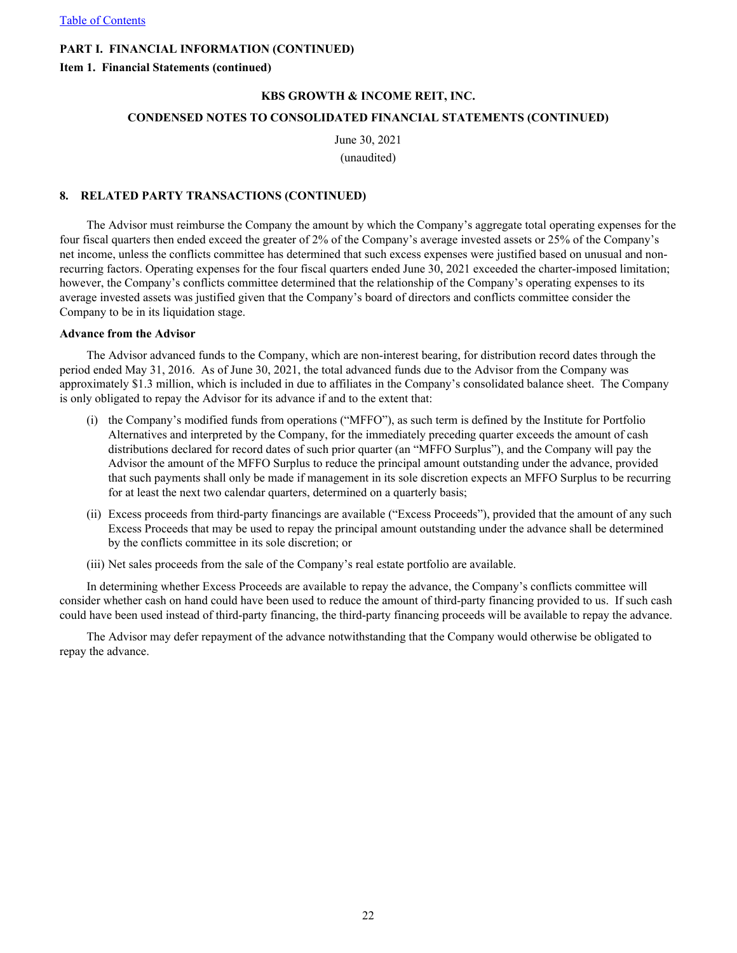**Item 1. Financial Statements (continued)**

#### **KBS GROWTH & INCOME REIT, INC.**

## **CONDENSED NOTES TO CONSOLIDATED FINANCIAL STATEMENTS (CONTINUED)**

June 30, 2021 (unaudited)

#### **8. RELATED PARTY TRANSACTIONS (CONTINUED)**

The Advisor must reimburse the Company the amount by which the Company's aggregate total operating expenses for the four fiscal quarters then ended exceed the greater of 2% of the Company's average invested assets or 25% of the Company's net income, unless the conflicts committee has determined that such excess expenses were justified based on unusual and nonrecurring factors. Operating expenses for the four fiscal quarters ended June 30, 2021 exceeded the charter-imposed limitation; however, the Company's conflicts committee determined that the relationship of the Company's operating expenses to its average invested assets was justified given that the Company's board of directors and conflicts committee consider the Company to be in its liquidation stage.

#### **Advance from the Advisor**

The Advisor advanced funds to the Company, which are non-interest bearing, for distribution record dates through the period ended May 31, 2016. As of June 30, 2021, the total advanced funds due to the Advisor from the Company was approximately \$1.3 million, which is included in due to affiliates in the Company's consolidated balance sheet. The Company is only obligated to repay the Advisor for its advance if and to the extent that:

- (i) the Company's modified funds from operations ("MFFO"), as such term is defined by the Institute for Portfolio Alternatives and interpreted by the Company, for the immediately preceding quarter exceeds the amount of cash distributions declared for record dates of such prior quarter (an "MFFO Surplus"), and the Company will pay the Advisor the amount of the MFFO Surplus to reduce the principal amount outstanding under the advance, provided that such payments shall only be made if management in its sole discretion expects an MFFO Surplus to be recurring for at least the next two calendar quarters, determined on a quarterly basis;
- (ii) Excess proceeds from third-party financings are available ("Excess Proceeds"), provided that the amount of any such Excess Proceeds that may be used to repay the principal amount outstanding under the advance shall be determined by the conflicts committee in its sole discretion; or
- (iii) Net sales proceeds from the sale of the Company's real estate portfolio are available.

In determining whether Excess Proceeds are available to repay the advance, the Company's conflicts committee will consider whether cash on hand could have been used to reduce the amount of third-party financing provided to us. If such cash could have been used instead of third-party financing, the third-party financing proceeds will be available to repay the advance.

The Advisor may defer repayment of the advance notwithstanding that the Company would otherwise be obligated to repay the advance.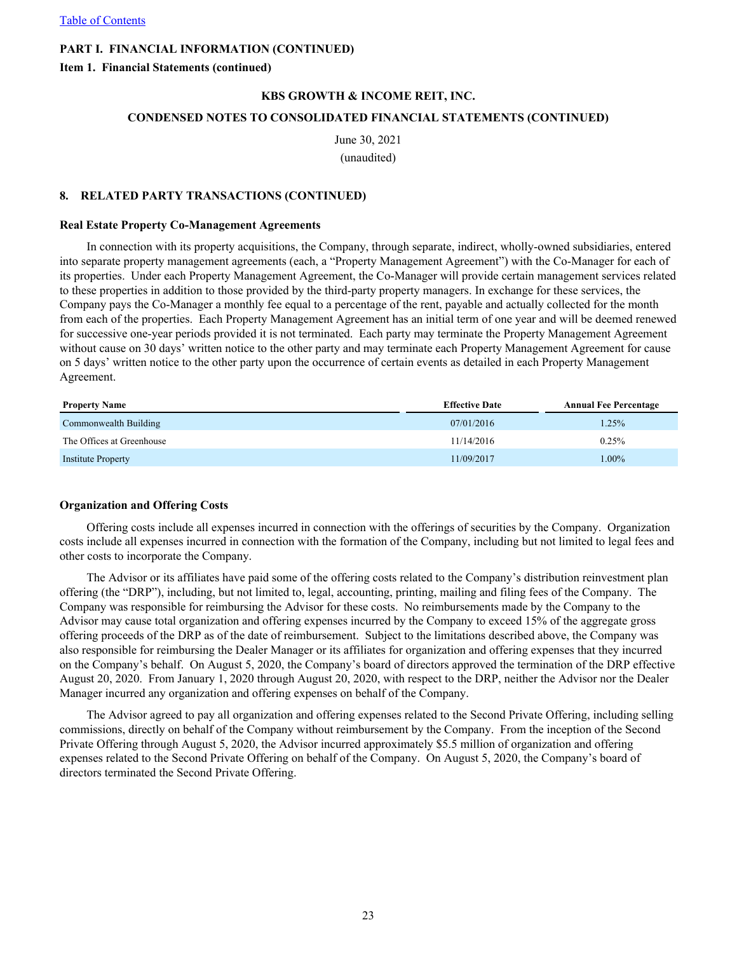**Item 1. Financial Statements (continued)**

### **KBS GROWTH & INCOME REIT, INC.**

## **CONDENSED NOTES TO CONSOLIDATED FINANCIAL STATEMENTS (CONTINUED)**

June 30, 2021 (unaudited)

#### **8. RELATED PARTY TRANSACTIONS (CONTINUED)**

#### **Real Estate Property Co-Management Agreements**

In connection with its property acquisitions, the Company, through separate, indirect, wholly-owned subsidiaries, entered into separate property management agreements (each, a "Property Management Agreement") with the Co-Manager for each of its properties. Under each Property Management Agreement, the Co-Manager will provide certain management services related to these properties in addition to those provided by the third-party property managers. In exchange for these services, the Company pays the Co-Manager a monthly fee equal to a percentage of the rent, payable and actually collected for the month from each of the properties. Each Property Management Agreement has an initial term of one year and will be deemed renewed for successive one-year periods provided it is not terminated. Each party may terminate the Property Management Agreement without cause on 30 days' written notice to the other party and may terminate each Property Management Agreement for cause on 5 days' written notice to the other party upon the occurrence of certain events as detailed in each Property Management Agreement.

| <b>Property Name</b>      | <b>Effective Date</b> | <b>Annual Fee Percentage</b> |
|---------------------------|-----------------------|------------------------------|
| Commonwealth Building     | 07/01/2016            | .25%                         |
| The Offices at Greenhouse | 11/14/2016            | 0.25%                        |
| Institute Property        | 11/09/2017            | $00\%$                       |

#### **Organization and Offering Costs**

Offering costs include all expenses incurred in connection with the offerings of securities by the Company. Organization costs include all expenses incurred in connection with the formation of the Company, including but not limited to legal fees and other costs to incorporate the Company.

The Advisor or its affiliates have paid some of the offering costs related to the Company's distribution reinvestment plan offering (the "DRP"), including, but not limited to, legal, accounting, printing, mailing and filing fees of the Company. The Company was responsible for reimbursing the Advisor for these costs. No reimbursements made by the Company to the Advisor may cause total organization and offering expenses incurred by the Company to exceed 15% of the aggregate gross offering proceeds of the DRP as of the date of reimbursement. Subject to the limitations described above, the Company was also responsible for reimbursing the Dealer Manager or its affiliates for organization and offering expenses that they incurred on the Company's behalf. On August 5, 2020, the Company's board of directors approved the termination of the DRP effective August 20, 2020. From January 1, 2020 through August 20, 2020, with respect to the DRP, neither the Advisor nor the Dealer Manager incurred any organization and offering expenses on behalf of the Company.

The Advisor agreed to pay all organization and offering expenses related to the Second Private Offering, including selling commissions, directly on behalf of the Company without reimbursement by the Company. From the inception of the Second Private Offering through August 5, 2020, the Advisor incurred approximately \$5.5 million of organization and offering expenses related to the Second Private Offering on behalf of the Company. On August 5, 2020, the Company's board of directors terminated the Second Private Offering.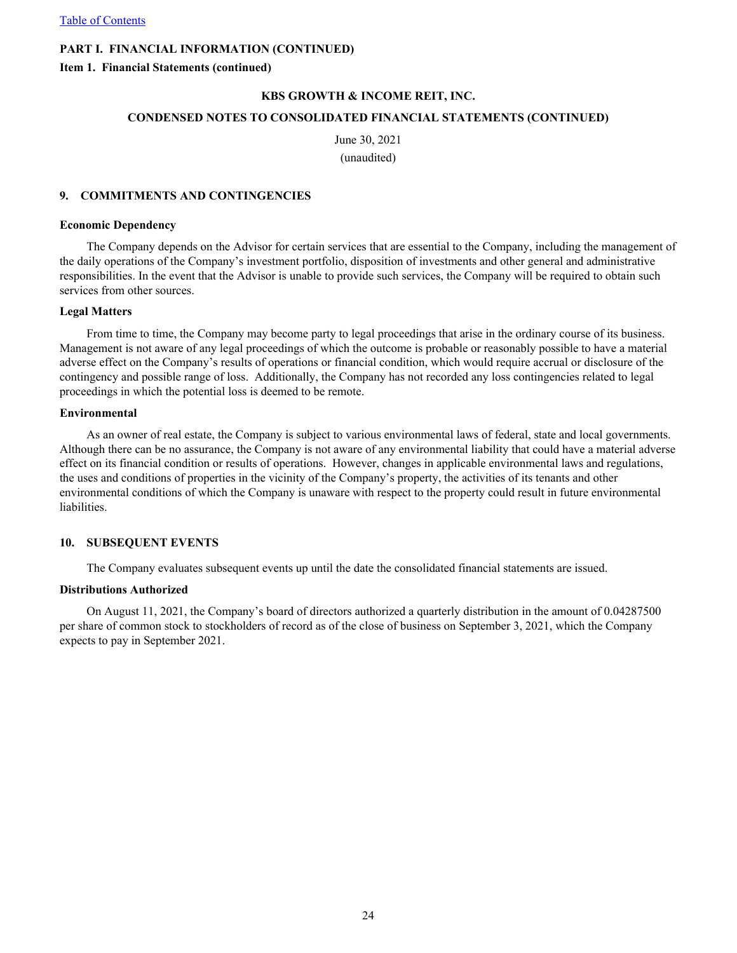**Item 1. Financial Statements (continued)**

#### **KBS GROWTH & INCOME REIT, INC.**

## **CONDENSED NOTES TO CONSOLIDATED FINANCIAL STATEMENTS (CONTINUED)**

June 30, 2021 (unaudited)

#### **9. COMMITMENTS AND CONTINGENCIES**

#### **Economic Dependency**

The Company depends on the Advisor for certain services that are essential to the Company, including the management of the daily operations of the Company's investment portfolio, disposition of investments and other general and administrative responsibilities. In the event that the Advisor is unable to provide such services, the Company will be required to obtain such services from other sources.

#### **Legal Matters**

From time to time, the Company may become party to legal proceedings that arise in the ordinary course of its business. Management is not aware of any legal proceedings of which the outcome is probable or reasonably possible to have a material adverse effect on the Company's results of operations or financial condition, which would require accrual or disclosure of the contingency and possible range of loss. Additionally, the Company has not recorded any loss contingencies related to legal proceedings in which the potential loss is deemed to be remote.

#### **Environmental**

As an owner of real estate, the Company is subject to various environmental laws of federal, state and local governments. Although there can be no assurance, the Company is not aware of any environmental liability that could have a material adverse effect on its financial condition or results of operations. However, changes in applicable environmental laws and regulations, the uses and conditions of properties in the vicinity of the Company's property, the activities of its tenants and other environmental conditions of which the Company is unaware with respect to the property could result in future environmental liabilities.

#### **10. SUBSEQUENT EVENTS**

The Company evaluates subsequent events up until the date the consolidated financial statements are issued.

#### **Distributions Authorized**

On August 11, 2021, the Company's board of directors authorized a quarterly distribution in the amount of 0.04287500 per share of common stock to stockholders of record as of the close of business on September 3, 2021, which the Company expects to pay in September 2021.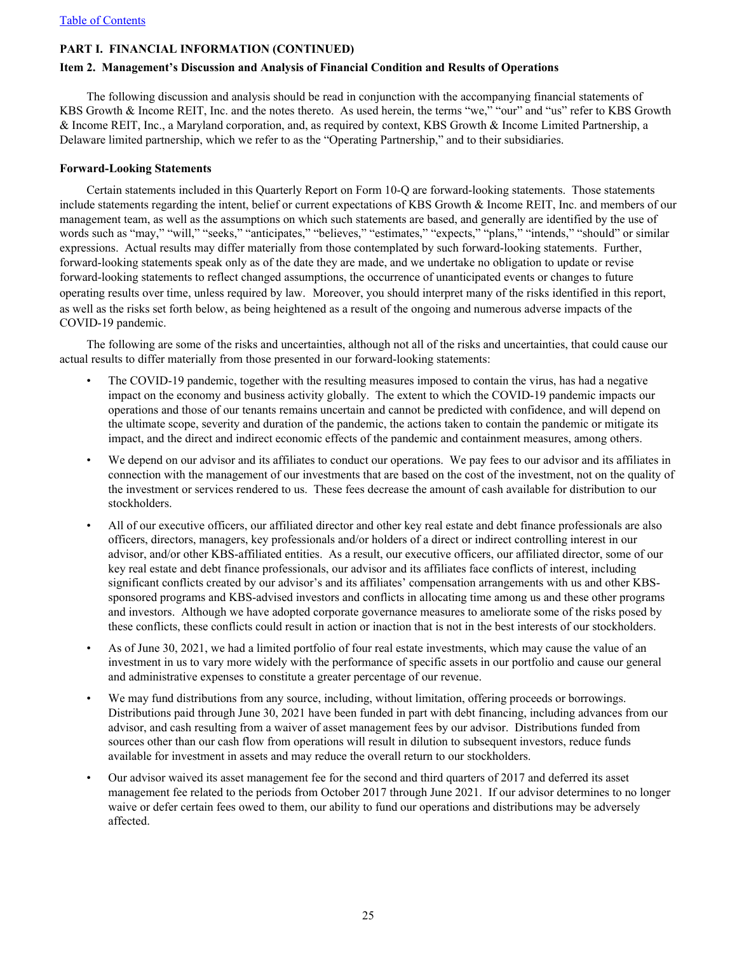## <span id="page-25-0"></span>**Item 2. Management's Discussion and Analysis of Financial Condition and Results of Operations**

The following discussion and analysis should be read in conjunction with the accompanying financial statements of KBS Growth & Income REIT, Inc. and the notes thereto. As used herein, the terms "we," "our" and "us" refer to KBS Growth & Income REIT, Inc., a Maryland corporation, and, as required by context, KBS Growth & Income Limited Partnership, a Delaware limited partnership, which we refer to as the "Operating Partnership," and to their subsidiaries.

#### **Forward-Looking Statements**

Certain statements included in this Quarterly Report on Form 10-Q are forward-looking statements. Those statements include statements regarding the intent, belief or current expectations of KBS Growth & Income REIT, Inc. and members of our management team, as well as the assumptions on which such statements are based, and generally are identified by the use of words such as "may," "will," "seeks," "anticipates," "believes," "estimates," "expects," "plans," "intends," "should" or similar expressions. Actual results may differ materially from those contemplated by such forward-looking statements. Further, forward-looking statements speak only as of the date they are made, and we undertake no obligation to update or revise forward-looking statements to reflect changed assumptions, the occurrence of unanticipated events or changes to future operating results over time, unless required by law. Moreover, you should interpret many of the risks identified in this report, as well as the risks set forth below, as being heightened as a result of the ongoing and numerous adverse impacts of the COVID-19 pandemic.

The following are some of the risks and uncertainties, although not all of the risks and uncertainties, that could cause our actual results to differ materially from those presented in our forward-looking statements:

- The COVID-19 pandemic, together with the resulting measures imposed to contain the virus, has had a negative impact on the economy and business activity globally. The extent to which the COVID-19 pandemic impacts our operations and those of our tenants remains uncertain and cannot be predicted with confidence, and will depend on the ultimate scope, severity and duration of the pandemic, the actions taken to contain the pandemic or mitigate its impact, and the direct and indirect economic effects of the pandemic and containment measures, among others.
- We depend on our advisor and its affiliates to conduct our operations. We pay fees to our advisor and its affiliates in connection with the management of our investments that are based on the cost of the investment, not on the quality of the investment or services rendered to us. These fees decrease the amount of cash available for distribution to our stockholders.
- All of our executive officers, our affiliated director and other key real estate and debt finance professionals are also officers, directors, managers, key professionals and/or holders of a direct or indirect controlling interest in our advisor, and/or other KBS-affiliated entities. As a result, our executive officers, our affiliated director, some of our key real estate and debt finance professionals, our advisor and its affiliates face conflicts of interest, including significant conflicts created by our advisor's and its affiliates' compensation arrangements with us and other KBSsponsored programs and KBS-advised investors and conflicts in allocating time among us and these other programs and investors. Although we have adopted corporate governance measures to ameliorate some of the risks posed by these conflicts, these conflicts could result in action or inaction that is not in the best interests of our stockholders.
- As of June 30, 2021, we had a limited portfolio of four real estate investments, which may cause the value of an investment in us to vary more widely with the performance of specific assets in our portfolio and cause our general and administrative expenses to constitute a greater percentage of our revenue.
- We may fund distributions from any source, including, without limitation, offering proceeds or borrowings. Distributions paid through June 30, 2021 have been funded in part with debt financing, including advances from our advisor, and cash resulting from a waiver of asset management fees by our advisor. Distributions funded from sources other than our cash flow from operations will result in dilution to subsequent investors, reduce funds available for investment in assets and may reduce the overall return to our stockholders.
- Our advisor waived its asset management fee for the second and third quarters of 2017 and deferred its asset management fee related to the periods from October 2017 through June 2021. If our advisor determines to no longer waive or defer certain fees owed to them, our ability to fund our operations and distributions may be adversely affected.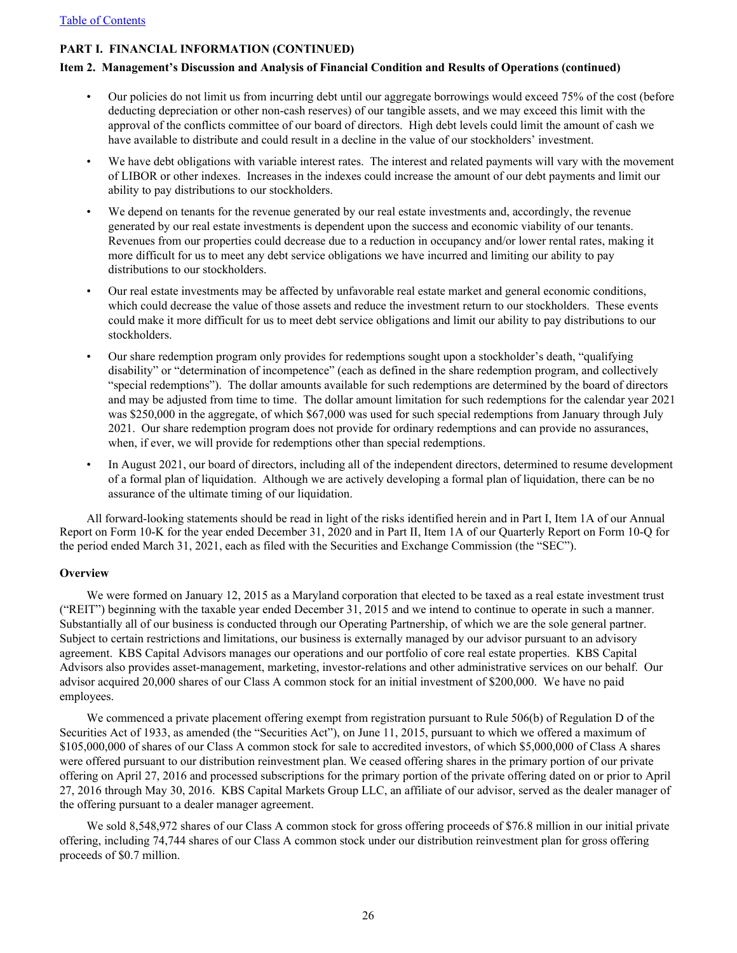## **Item 2. Management's Discussion and Analysis of Financial Condition and Results of Operations (continued)**

- Our policies do not limit us from incurring debt until our aggregate borrowings would exceed 75% of the cost (before deducting depreciation or other non-cash reserves) of our tangible assets, and we may exceed this limit with the approval of the conflicts committee of our board of directors. High debt levels could limit the amount of cash we have available to distribute and could result in a decline in the value of our stockholders' investment.
- We have debt obligations with variable interest rates. The interest and related payments will vary with the movement of LIBOR or other indexes. Increases in the indexes could increase the amount of our debt payments and limit our ability to pay distributions to our stockholders.
- We depend on tenants for the revenue generated by our real estate investments and, accordingly, the revenue generated by our real estate investments is dependent upon the success and economic viability of our tenants. Revenues from our properties could decrease due to a reduction in occupancy and/or lower rental rates, making it more difficult for us to meet any debt service obligations we have incurred and limiting our ability to pay distributions to our stockholders.
- Our real estate investments may be affected by unfavorable real estate market and general economic conditions, which could decrease the value of those assets and reduce the investment return to our stockholders. These events could make it more difficult for us to meet debt service obligations and limit our ability to pay distributions to our stockholders.
- Our share redemption program only provides for redemptions sought upon a stockholder's death, "qualifying disability" or "determination of incompetence" (each as defined in the share redemption program, and collectively "special redemptions"). The dollar amounts available for such redemptions are determined by the board of directors and may be adjusted from time to time. The dollar amount limitation for such redemptions for the calendar year 2021 was \$250,000 in the aggregate, of which \$67,000 was used for such special redemptions from January through July 2021. Our share redemption program does not provide for ordinary redemptions and can provide no assurances, when, if ever, we will provide for redemptions other than special redemptions.
- In August 2021, our board of directors, including all of the independent directors, determined to resume development of a formal plan of liquidation. Although we are actively developing a formal plan of liquidation, there can be no assurance of the ultimate timing of our liquidation.

All forward-looking statements should be read in light of the risks identified herein and in Part I, Item 1A of our Annual Report on Form 10-K for the year ended December 31, 2020 and in Part II, Item 1A of our Quarterly Report on Form 10-Q for the period ended March 31, 2021, each as filed with the Securities and Exchange Commission (the "SEC").

## **Overview**

We were formed on January 12, 2015 as a Maryland corporation that elected to be taxed as a real estate investment trust ("REIT") beginning with the taxable year ended December 31, 2015 and we intend to continue to operate in such a manner. Substantially all of our business is conducted through our Operating Partnership, of which we are the sole general partner. Subject to certain restrictions and limitations, our business is externally managed by our advisor pursuant to an advisory agreement. KBS Capital Advisors manages our operations and our portfolio of core real estate properties. KBS Capital Advisors also provides asset-management, marketing, investor-relations and other administrative services on our behalf. Our advisor acquired 20,000 shares of our Class A common stock for an initial investment of \$200,000. We have no paid employees.

We commenced a private placement offering exempt from registration pursuant to Rule 506(b) of Regulation D of the Securities Act of 1933, as amended (the "Securities Act"), on June 11, 2015, pursuant to which we offered a maximum of \$105,000,000 of shares of our Class A common stock for sale to accredited investors, of which \$5,000,000 of Class A shares were offered pursuant to our distribution reinvestment plan. We ceased offering shares in the primary portion of our private offering on April 27, 2016 and processed subscriptions for the primary portion of the private offering dated on or prior to April 27, 2016 through May 30, 2016. KBS Capital Markets Group LLC, an affiliate of our advisor, served as the dealer manager of the offering pursuant to a dealer manager agreement.

We sold 8,548,972 shares of our Class A common stock for gross offering proceeds of \$76.8 million in our initial private offering, including 74,744 shares of our Class A common stock under our distribution reinvestment plan for gross offering proceeds of \$0.7 million.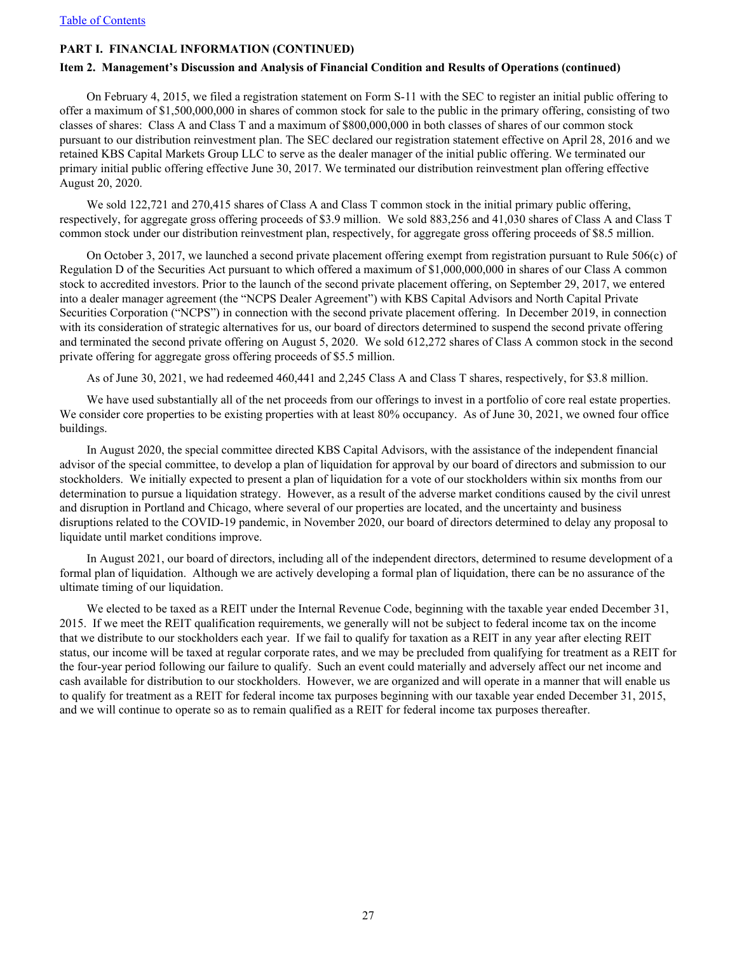## **Item 2. Management's Discussion and Analysis of Financial Condition and Results of Operations (continued)**

On February 4, 2015, we filed a registration statement on Form S-11 with the SEC to register an initial public offering to offer a maximum of \$1,500,000,000 in shares of common stock for sale to the public in the primary offering, consisting of two classes of shares: Class A and Class T and a maximum of \$800,000,000 in both classes of shares of our common stock pursuant to our distribution reinvestment plan. The SEC declared our registration statement effective on April 28, 2016 and we retained KBS Capital Markets Group LLC to serve as the dealer manager of the initial public offering. We terminated our primary initial public offering effective June 30, 2017. We terminated our distribution reinvestment plan offering effective August 20, 2020.

We sold 122,721 and 270,415 shares of Class A and Class T common stock in the initial primary public offering, respectively, for aggregate gross offering proceeds of \$3.9 million. We sold 883,256 and 41,030 shares of Class A and Class T common stock under our distribution reinvestment plan, respectively, for aggregate gross offering proceeds of \$8.5 million.

On October 3, 2017, we launched a second private placement offering exempt from registration pursuant to Rule 506(c) of Regulation D of the Securities Act pursuant to which offered a maximum of \$1,000,000,000 in shares of our Class A common stock to accredited investors. Prior to the launch of the second private placement offering, on September 29, 2017, we entered into a dealer manager agreement (the "NCPS Dealer Agreement") with KBS Capital Advisors and North Capital Private Securities Corporation ("NCPS") in connection with the second private placement offering. In December 2019, in connection with its consideration of strategic alternatives for us, our board of directors determined to suspend the second private offering and terminated the second private offering on August 5, 2020. We sold 612,272 shares of Class A common stock in the second private offering for aggregate gross offering proceeds of \$5.5 million.

As of June 30, 2021, we had redeemed 460,441 and 2,245 Class A and Class T shares, respectively, for \$3.8 million.

We have used substantially all of the net proceeds from our offerings to invest in a portfolio of core real estate properties. We consider core properties to be existing properties with at least 80% occupancy. As of June 30, 2021, we owned four office buildings.

In August 2020, the special committee directed KBS Capital Advisors, with the assistance of the independent financial advisor of the special committee, to develop a plan of liquidation for approval by our board of directors and submission to our stockholders. We initially expected to present a plan of liquidation for a vote of our stockholders within six months from our determination to pursue a liquidation strategy. However, as a result of the adverse market conditions caused by the civil unrest and disruption in Portland and Chicago, where several of our properties are located, and the uncertainty and business disruptions related to the COVID-19 pandemic, in November 2020, our board of directors determined to delay any proposal to liquidate until market conditions improve.

In August 2021, our board of directors, including all of the independent directors, determined to resume development of a formal plan of liquidation. Although we are actively developing a formal plan of liquidation, there can be no assurance of the ultimate timing of our liquidation.

We elected to be taxed as a REIT under the Internal Revenue Code, beginning with the taxable year ended December 31, 2015. If we meet the REIT qualification requirements, we generally will not be subject to federal income tax on the income that we distribute to our stockholders each year. If we fail to qualify for taxation as a REIT in any year after electing REIT status, our income will be taxed at regular corporate rates, and we may be precluded from qualifying for treatment as a REIT for the four-year period following our failure to qualify. Such an event could materially and adversely affect our net income and cash available for distribution to our stockholders. However, we are organized and will operate in a manner that will enable us to qualify for treatment as a REIT for federal income tax purposes beginning with our taxable year ended December 31, 2015, and we will continue to operate so as to remain qualified as a REIT for federal income tax purposes thereafter.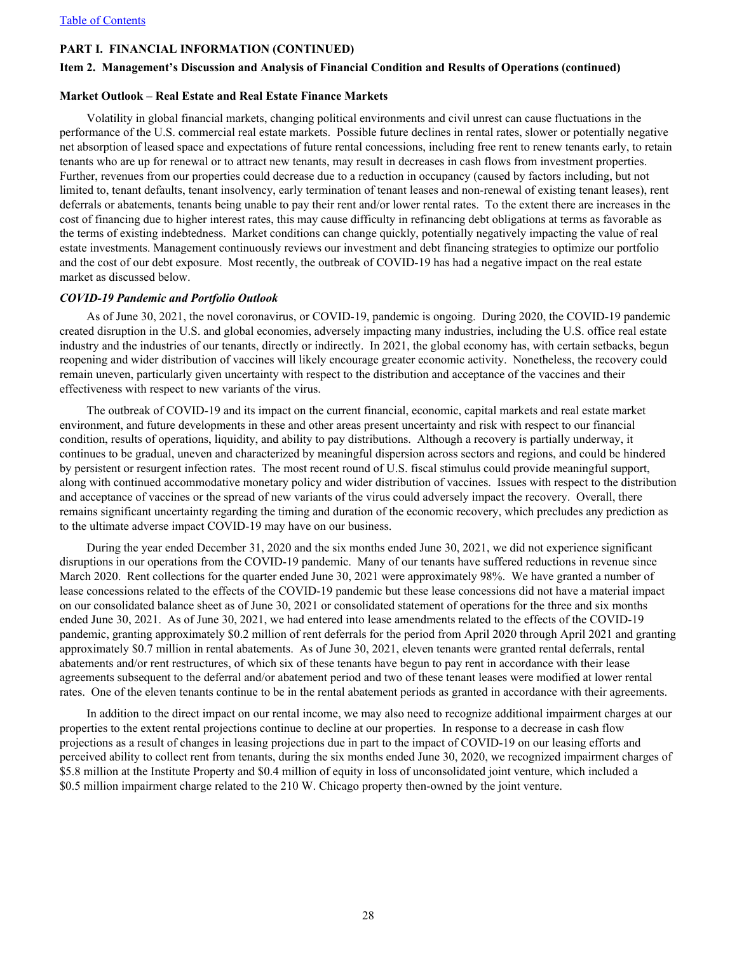#### **Item 2. Management's Discussion and Analysis of Financial Condition and Results of Operations (continued)**

#### **Market Outlook – Real Estate and Real Estate Finance Markets**

Volatility in global financial markets, changing political environments and civil unrest can cause fluctuations in the performance of the U.S. commercial real estate markets. Possible future declines in rental rates, slower or potentially negative net absorption of leased space and expectations of future rental concessions, including free rent to renew tenants early, to retain tenants who are up for renewal or to attract new tenants, may result in decreases in cash flows from investment properties. Further, revenues from our properties could decrease due to a reduction in occupancy (caused by factors including, but not limited to, tenant defaults, tenant insolvency, early termination of tenant leases and non-renewal of existing tenant leases), rent deferrals or abatements, tenants being unable to pay their rent and/or lower rental rates. To the extent there are increases in the cost of financing due to higher interest rates, this may cause difficulty in refinancing debt obligations at terms as favorable as the terms of existing indebtedness. Market conditions can change quickly, potentially negatively impacting the value of real estate investments. Management continuously reviews our investment and debt financing strategies to optimize our portfolio and the cost of our debt exposure. Most recently, the outbreak of COVID-19 has had a negative impact on the real estate market as discussed below.

#### *COVID-19 Pandemic and Portfolio Outlook*

As of June 30, 2021, the novel coronavirus, or COVID-19, pandemic is ongoing. During 2020, the COVID-19 pandemic created disruption in the U.S. and global economies, adversely impacting many industries, including the U.S. office real estate industry and the industries of our tenants, directly or indirectly. In 2021, the global economy has, with certain setbacks, begun reopening and wider distribution of vaccines will likely encourage greater economic activity. Nonetheless, the recovery could remain uneven, particularly given uncertainty with respect to the distribution and acceptance of the vaccines and their effectiveness with respect to new variants of the virus.

The outbreak of COVID-19 and its impact on the current financial, economic, capital markets and real estate market environment, and future developments in these and other areas present uncertainty and risk with respect to our financial condition, results of operations, liquidity, and ability to pay distributions. Although a recovery is partially underway, it continues to be gradual, uneven and characterized by meaningful dispersion across sectors and regions, and could be hindered by persistent or resurgent infection rates. The most recent round of U.S. fiscal stimulus could provide meaningful support, along with continued accommodative monetary policy and wider distribution of vaccines. Issues with respect to the distribution and acceptance of vaccines or the spread of new variants of the virus could adversely impact the recovery. Overall, there remains significant uncertainty regarding the timing and duration of the economic recovery, which precludes any prediction as to the ultimate adverse impact COVID-19 may have on our business.

During the year ended December 31, 2020 and the six months ended June 30, 2021, we did not experience significant disruptions in our operations from the COVID-19 pandemic. Many of our tenants have suffered reductions in revenue since March 2020. Rent collections for the quarter ended June 30, 2021 were approximately 98%. We have granted a number of lease concessions related to the effects of the COVID-19 pandemic but these lease concessions did not have a material impact on our consolidated balance sheet as of June 30, 2021 or consolidated statement of operations for the three and six months ended June 30, 2021. As of June 30, 2021, we had entered into lease amendments related to the effects of the COVID-19 pandemic, granting approximately \$0.2 million of rent deferrals for the period from April 2020 through April 2021 and granting approximately \$0.7 million in rental abatements. As of June 30, 2021, eleven tenants were granted rental deferrals, rental abatements and/or rent restructures, of which six of these tenants have begun to pay rent in accordance with their lease agreements subsequent to the deferral and/or abatement period and two of these tenant leases were modified at lower rental rates. One of the eleven tenants continue to be in the rental abatement periods as granted in accordance with their agreements.

In addition to the direct impact on our rental income, we may also need to recognize additional impairment charges at our properties to the extent rental projections continue to decline at our properties. In response to a decrease in cash flow projections as a result of changes in leasing projections due in part to the impact of COVID-19 on our leasing efforts and perceived ability to collect rent from tenants, during the six months ended June 30, 2020, we recognized impairment charges of \$5.8 million at the Institute Property and \$0.4 million of equity in loss of unconsolidated joint venture, which included a \$0.5 million impairment charge related to the 210 W. Chicago property then-owned by the joint venture.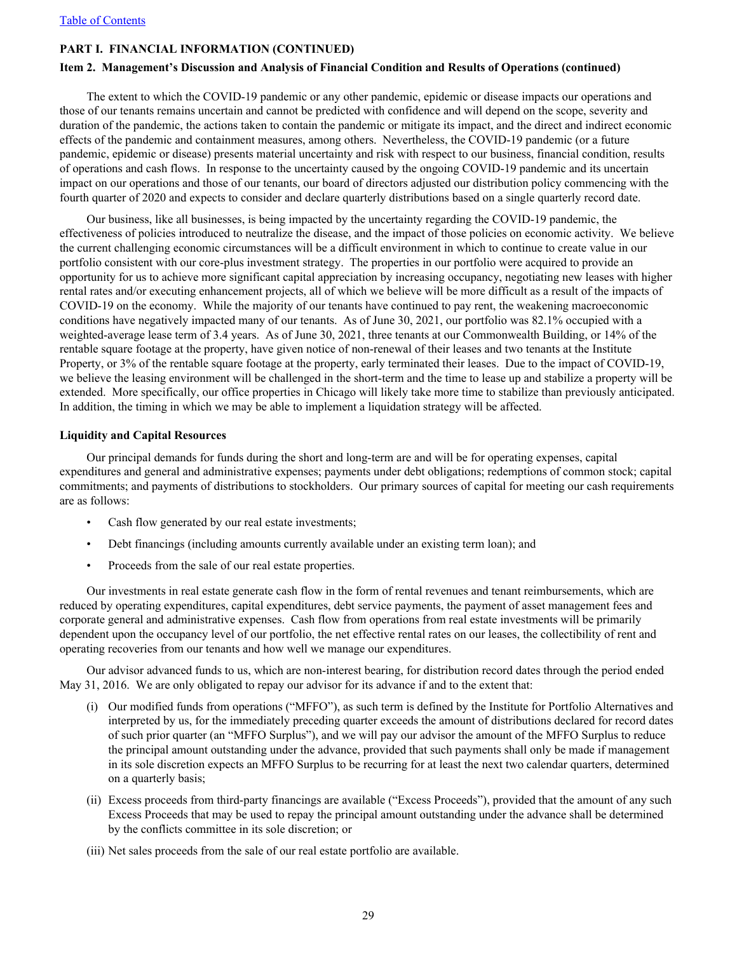## **Item 2. Management's Discussion and Analysis of Financial Condition and Results of Operations (continued)**

The extent to which the COVID-19 pandemic or any other pandemic, epidemic or disease impacts our operations and those of our tenants remains uncertain and cannot be predicted with confidence and will depend on the scope, severity and duration of the pandemic, the actions taken to contain the pandemic or mitigate its impact, and the direct and indirect economic effects of the pandemic and containment measures, among others. Nevertheless, the COVID-19 pandemic (or a future pandemic, epidemic or disease) presents material uncertainty and risk with respect to our business, financial condition, results of operations and cash flows. In response to the uncertainty caused by the ongoing COVID-19 pandemic and its uncertain impact on our operations and those of our tenants, our board of directors adjusted our distribution policy commencing with the fourth quarter of 2020 and expects to consider and declare quarterly distributions based on a single quarterly record date.

Our business, like all businesses, is being impacted by the uncertainty regarding the COVID-19 pandemic, the effectiveness of policies introduced to neutralize the disease, and the impact of those policies on economic activity. We believe the current challenging economic circumstances will be a difficult environment in which to continue to create value in our portfolio consistent with our core-plus investment strategy. The properties in our portfolio were acquired to provide an opportunity for us to achieve more significant capital appreciation by increasing occupancy, negotiating new leases with higher rental rates and/or executing enhancement projects, all of which we believe will be more difficult as a result of the impacts of COVID-19 on the economy. While the majority of our tenants have continued to pay rent, the weakening macroeconomic conditions have negatively impacted many of our tenants. As of June 30, 2021, our portfolio was 82.1% occupied with a weighted-average lease term of 3.4 years. As of June 30, 2021, three tenants at our Commonwealth Building, or 14% of the rentable square footage at the property, have given notice of non-renewal of their leases and two tenants at the Institute Property, or 3% of the rentable square footage at the property, early terminated their leases. Due to the impact of COVID-19, we believe the leasing environment will be challenged in the short-term and the time to lease up and stabilize a property will be extended. More specifically, our office properties in Chicago will likely take more time to stabilize than previously anticipated. In addition, the timing in which we may be able to implement a liquidation strategy will be affected.

#### **Liquidity and Capital Resources**

Our principal demands for funds during the short and long-term are and will be for operating expenses, capital expenditures and general and administrative expenses; payments under debt obligations; redemptions of common stock; capital commitments; and payments of distributions to stockholders. Our primary sources of capital for meeting our cash requirements are as follows:

- Cash flow generated by our real estate investments;
- Debt financings (including amounts currently available under an existing term loan); and
- Proceeds from the sale of our real estate properties.

Our investments in real estate generate cash flow in the form of rental revenues and tenant reimbursements, which are reduced by operating expenditures, capital expenditures, debt service payments, the payment of asset management fees and corporate general and administrative expenses. Cash flow from operations from real estate investments will be primarily dependent upon the occupancy level of our portfolio, the net effective rental rates on our leases, the collectibility of rent and operating recoveries from our tenants and how well we manage our expenditures.

Our advisor advanced funds to us, which are non-interest bearing, for distribution record dates through the period ended May 31, 2016. We are only obligated to repay our advisor for its advance if and to the extent that:

- (i) Our modified funds from operations ("MFFO"), as such term is defined by the Institute for Portfolio Alternatives and interpreted by us, for the immediately preceding quarter exceeds the amount of distributions declared for record dates of such prior quarter (an "MFFO Surplus"), and we will pay our advisor the amount of the MFFO Surplus to reduce the principal amount outstanding under the advance, provided that such payments shall only be made if management in its sole discretion expects an MFFO Surplus to be recurring for at least the next two calendar quarters, determined on a quarterly basis;
- (ii) Excess proceeds from third-party financings are available ("Excess Proceeds"), provided that the amount of any such Excess Proceeds that may be used to repay the principal amount outstanding under the advance shall be determined by the conflicts committee in its sole discretion; or
- (iii) Net sales proceeds from the sale of our real estate portfolio are available.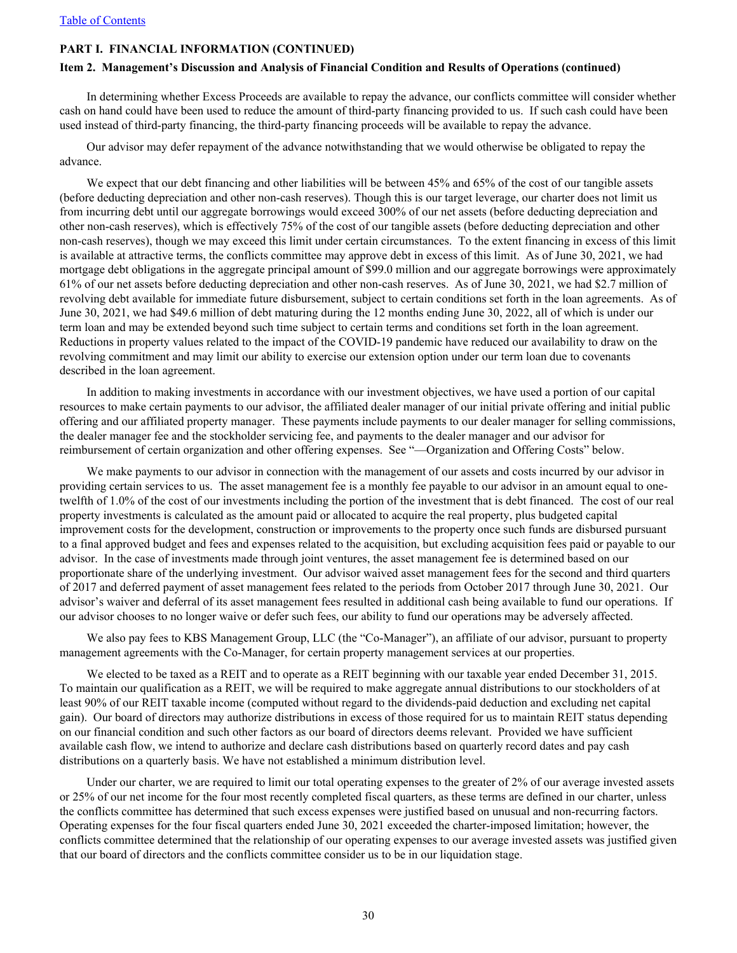## **Item 2. Management's Discussion and Analysis of Financial Condition and Results of Operations (continued)**

In determining whether Excess Proceeds are available to repay the advance, our conflicts committee will consider whether cash on hand could have been used to reduce the amount of third-party financing provided to us. If such cash could have been used instead of third-party financing, the third-party financing proceeds will be available to repay the advance.

Our advisor may defer repayment of the advance notwithstanding that we would otherwise be obligated to repay the advance.

We expect that our debt financing and other liabilities will be between 45% and 65% of the cost of our tangible assets (before deducting depreciation and other non-cash reserves). Though this is our target leverage, our charter does not limit us from incurring debt until our aggregate borrowings would exceed 300% of our net assets (before deducting depreciation and other non-cash reserves), which is effectively 75% of the cost of our tangible assets (before deducting depreciation and other non-cash reserves), though we may exceed this limit under certain circumstances. To the extent financing in excess of this limit is available at attractive terms, the conflicts committee may approve debt in excess of this limit. As of June 30, 2021, we had mortgage debt obligations in the aggregate principal amount of \$99.0 million and our aggregate borrowings were approximately 61% of our net assets before deducting depreciation and other non-cash reserves. As of June 30, 2021, we had \$2.7 million of revolving debt available for immediate future disbursement, subject to certain conditions set forth in the loan agreements. As of June 30, 2021, we had \$49.6 million of debt maturing during the 12 months ending June 30, 2022, all of which is under our term loan and may be extended beyond such time subject to certain terms and conditions set forth in the loan agreement. Reductions in property values related to the impact of the COVID-19 pandemic have reduced our availability to draw on the revolving commitment and may limit our ability to exercise our extension option under our term loan due to covenants described in the loan agreement.

In addition to making investments in accordance with our investment objectives, we have used a portion of our capital resources to make certain payments to our advisor, the affiliated dealer manager of our initial private offering and initial public offering and our affiliated property manager. These payments include payments to our dealer manager for selling commissions, the dealer manager fee and the stockholder servicing fee, and payments to the dealer manager and our advisor for reimbursement of certain organization and other offering expenses. See "—Organization and Offering Costs" below.

We make payments to our advisor in connection with the management of our assets and costs incurred by our advisor in providing certain services to us. The asset management fee is a monthly fee payable to our advisor in an amount equal to onetwelfth of 1.0% of the cost of our investments including the portion of the investment that is debt financed. The cost of our real property investments is calculated as the amount paid or allocated to acquire the real property, plus budgeted capital improvement costs for the development, construction or improvements to the property once such funds are disbursed pursuant to a final approved budget and fees and expenses related to the acquisition, but excluding acquisition fees paid or payable to our advisor. In the case of investments made through joint ventures, the asset management fee is determined based on our proportionate share of the underlying investment. Our advisor waived asset management fees for the second and third quarters of 2017 and deferred payment of asset management fees related to the periods from October 2017 through June 30, 2021. Our advisor's waiver and deferral of its asset management fees resulted in additional cash being available to fund our operations. If our advisor chooses to no longer waive or defer such fees, our ability to fund our operations may be adversely affected.

We also pay fees to KBS Management Group, LLC (the "Co-Manager"), an affiliate of our advisor, pursuant to property management agreements with the Co-Manager, for certain property management services at our properties.

We elected to be taxed as a REIT and to operate as a REIT beginning with our taxable year ended December 31, 2015. To maintain our qualification as a REIT, we will be required to make aggregate annual distributions to our stockholders of at least 90% of our REIT taxable income (computed without regard to the dividends-paid deduction and excluding net capital gain). Our board of directors may authorize distributions in excess of those required for us to maintain REIT status depending on our financial condition and such other factors as our board of directors deems relevant. Provided we have sufficient available cash flow, we intend to authorize and declare cash distributions based on quarterly record dates and pay cash distributions on a quarterly basis. We have not established a minimum distribution level.

Under our charter, we are required to limit our total operating expenses to the greater of 2% of our average invested assets or 25% of our net income for the four most recently completed fiscal quarters, as these terms are defined in our charter, unless the conflicts committee has determined that such excess expenses were justified based on unusual and non-recurring factors. Operating expenses for the four fiscal quarters ended June 30, 2021 exceeded the charter-imposed limitation; however, the conflicts committee determined that the relationship of our operating expenses to our average invested assets was justified given that our board of directors and the conflicts committee consider us to be in our liquidation stage.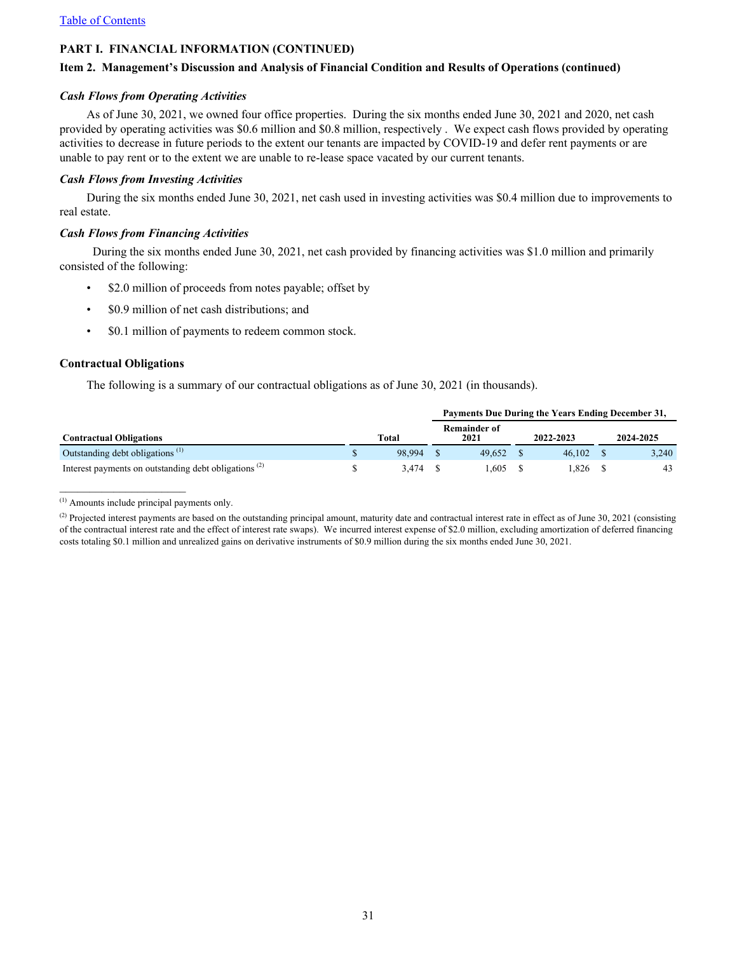### **Item 2. Management's Discussion and Analysis of Financial Condition and Results of Operations (continued)**

#### *Cash Flows from Operating Activities*

As of June 30, 2021, we owned four office properties. During the six months ended June 30, 2021 and 2020, net cash provided by operating activities was \$0.6 million and \$0.8 million, respectively . We expect cash flows provided by operating activities to decrease in future periods to the extent our tenants are impacted by COVID-19 and defer rent payments or are unable to pay rent or to the extent we are unable to re-lease space vacated by our current tenants.

#### *Cash Flows from Investing Activities*

During the six months ended June 30, 2021, net cash used in investing activities was \$0.4 million due to improvements to real estate.

#### *Cash Flows from Financing Activities*

 During the six months ended June 30, 2021, net cash provided by financing activities was \$1.0 million and primarily consisted of the following:

- \$2.0 million of proceeds from notes payable; offset by
- \$0.9 million of net cash distributions; and
- \$0.1 million of payments to redeem common stock.

#### **Contractual Obligations**

 $\mathcal{L}_\text{max}$  and  $\mathcal{L}_\text{max}$  and  $\mathcal{L}_\text{max}$ 

The following is a summary of our contractual obligations as of June 30, 2021 (in thousands).

|                                                         |            |                             | Payments Due During the Years Ending December 31, |           |
|---------------------------------------------------------|------------|-----------------------------|---------------------------------------------------|-----------|
| <b>Contractual Obligations</b>                          | Total      | <b>Remainder of</b><br>2021 | 2022-2023                                         | 2024-2025 |
| Outstanding debt obligations <sup>(1)</sup>             | 98.994     | 49.652                      | 46.102                                            | 3.240     |
| Interest payments on outstanding debt obligations $(2)$ | $3.474$ \$ | 1.605 \$                    | 1.826                                             | 43        |

(1) Amounts include principal payments only.

 $^{(2)}$  Projected interest payments are based on the outstanding principal amount, maturity date and contractual interest rate in effect as of June 30, 2021 (consisting of the contractual interest rate and the effect of interest rate swaps). We incurred interest expense of \$2.0 million, excluding amortization of deferred financing costs totaling \$0.1 million and unrealized gains on derivative instruments of \$0.9 million during the six months ended June 30, 2021.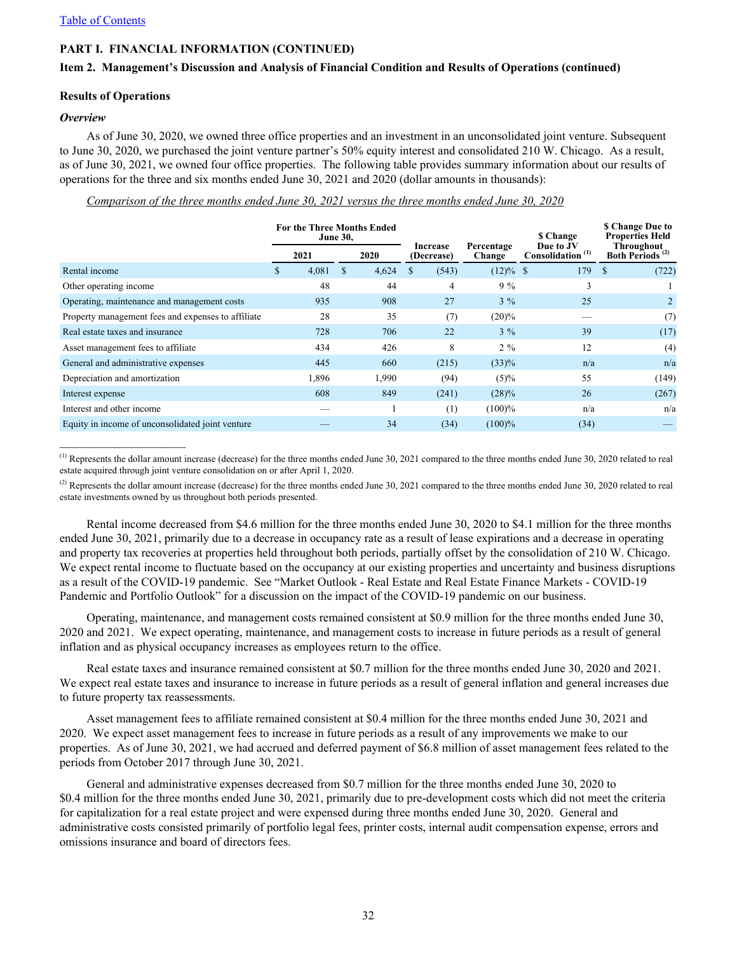## **Item 2. Management's Discussion and Analysis of Financial Condition and Results of Operations (continued)**

#### **Results of Operations**

 $\mathcal{L}_\text{max}$  and  $\mathcal{L}_\text{max}$  and  $\mathcal{L}_\text{max}$ 

#### *Overview*

As of June 30, 2020, we owned three office properties and an investment in an unconsolidated joint venture. Subsequent to June 30, 2020, we purchased the joint venture partner's 50% equity interest and consolidated 210 W. Chicago. As a result, as of June 30, 2021, we owned four office properties. The following table provides summary information about our results of operations for the three and six months ended June 30, 2021 and 2020 (dollar amounts in thousands):

*Comparison of the three months ended June 30, 2021 versus the three months ended June 30, 2020*

|                                                    |             | <b>For the Three Months Ended</b><br><b>June 30,</b> |                        |                      | \$ Change                                 | <b>S</b> Change Due to<br><b>Properties Held</b><br><b>Throughout</b><br>Both Periods <sup>(2)</sup> |  |
|----------------------------------------------------|-------------|------------------------------------------------------|------------------------|----------------------|-------------------------------------------|------------------------------------------------------------------------------------------------------|--|
|                                                    | 2021        | 2020                                                 | Increase<br>(Decrease) | Percentage<br>Change | Due to JV<br>Consolidation <sup>(1)</sup> |                                                                                                      |  |
| Rental income                                      | 4,081<br>S. | 4,624<br>\$                                          | (543)<br>S             | $(12)\%$ \$          | 179                                       | (722)                                                                                                |  |
| Other operating income                             | 48          | 44                                                   | 4                      | $9\%$                | 3                                         |                                                                                                      |  |
| Operating, maintenance and management costs        | 935         | 908                                                  | 27                     | $3\%$                | 25                                        | 2                                                                                                    |  |
| Property management fees and expenses to affiliate | 28          | 35                                                   | (7)                    | (20)%                |                                           | (7)                                                                                                  |  |
| Real estate taxes and insurance                    | 728         | 706                                                  | 22                     | $3\%$                | 39                                        | (17)                                                                                                 |  |
| Asset management fees to affiliate                 | 434         | 426                                                  | 8                      | $2\%$                | 12                                        | (4)                                                                                                  |  |
| General and administrative expenses                | 445         | 660                                                  | (215)                  | (33)%                | n/a                                       | n/a                                                                                                  |  |
| Depreciation and amortization                      | 1,896       | 1,990                                                | (94)                   | $(5)\%$              | 55                                        | (149)                                                                                                |  |
| Interest expense                                   | 608         | 849                                                  | (241)                  | $(28)\%$             | 26                                        | (267)                                                                                                |  |
| Interest and other income                          |             |                                                      | (1)                    | (100)%               | n/a                                       | n/a                                                                                                  |  |
| Equity in income of unconsolidated joint venture   |             | 34                                                   | (34)                   | $(100)\%$            | (34)                                      |                                                                                                      |  |

<sup>(1)</sup> Represents the dollar amount increase (decrease) for the three months ended June 30, 2021 compared to the three months ended June 30, 2020 related to real estate acquired through joint venture consolidation on or after April 1, 2020.

<sup>(2)</sup> Represents the dollar amount increase (decrease) for the three months ended June 30, 2021 compared to the three months ended June 30, 2020 related to real estate investments owned by us throughout both periods presented.

Rental income decreased from \$4.6 million for the three months ended June 30, 2020 to \$4.1 million for the three months ended June 30, 2021, primarily due to a decrease in occupancy rate as a result of lease expirations and a decrease in operating and property tax recoveries at properties held throughout both periods, partially offset by the consolidation of 210 W. Chicago. We expect rental income to fluctuate based on the occupancy at our existing properties and uncertainty and business disruptions as a result of the COVID-19 pandemic. See "Market Outlook - Real Estate and Real Estate Finance Markets - COVID-19 Pandemic and Portfolio Outlook" for a discussion on the impact of the COVID-19 pandemic on our business.

Operating, maintenance, and management costs remained consistent at \$0.9 million for the three months ended June 30, 2020 and 2021. We expect operating, maintenance, and management costs to increase in future periods as a result of general inflation and as physical occupancy increases as employees return to the office.

Real estate taxes and insurance remained consistent at \$0.7 million for the three months ended June 30, 2020 and 2021. We expect real estate taxes and insurance to increase in future periods as a result of general inflation and general increases due to future property tax reassessments.

Asset management fees to affiliate remained consistent at \$0.4 million for the three months ended June 30, 2021 and 2020. We expect asset management fees to increase in future periods as a result of any improvements we make to our properties. As of June 30, 2021, we had accrued and deferred payment of \$6.8 million of asset management fees related to the periods from October 2017 through June 30, 2021.

General and administrative expenses decreased from \$0.7 million for the three months ended June 30, 2020 to \$0.4 million for the three months ended June 30, 2021, primarily due to pre-development costs which did not meet the criteria for capitalization for a real estate project and were expensed during three months ended June 30, 2020. General and administrative costs consisted primarily of portfolio legal fees, printer costs, internal audit compensation expense, errors and omissions insurance and board of directors fees.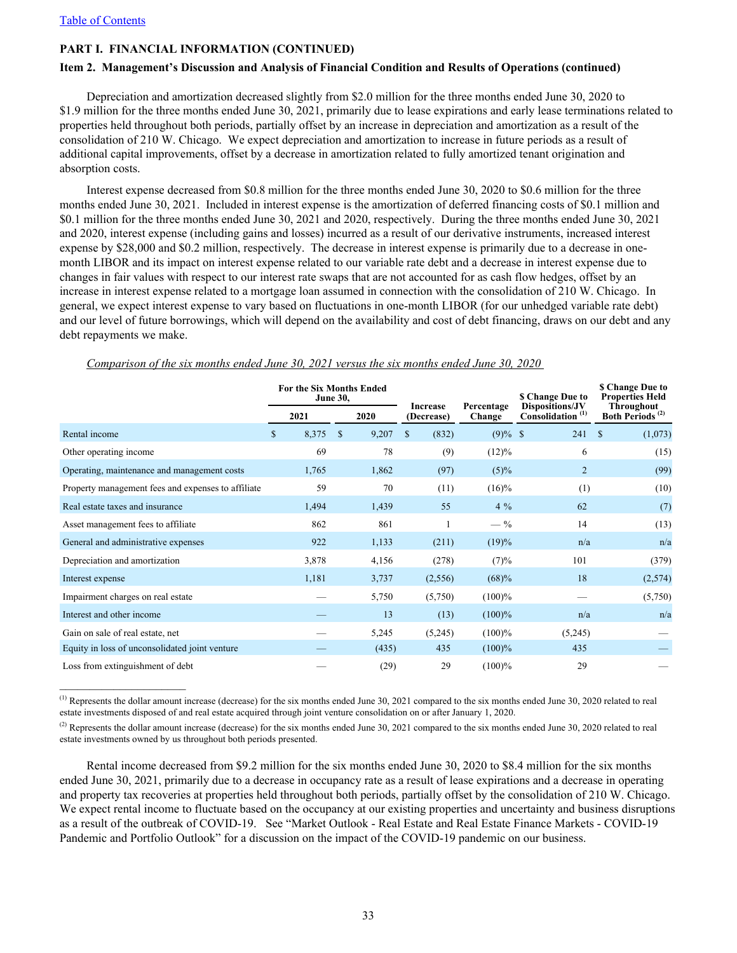$\mathcal{L}_\text{max}$  and  $\mathcal{L}_\text{max}$  and  $\mathcal{L}_\text{max}$ 

## **PART I. FINANCIAL INFORMATION (CONTINUED)**

## **Item 2. Management's Discussion and Analysis of Financial Condition and Results of Operations (continued)**

Depreciation and amortization decreased slightly from \$2.0 million for the three months ended June 30, 2020 to \$1.9 million for the three months ended June 30, 2021, primarily due to lease expirations and early lease terminations related to properties held throughout both periods, partially offset by an increase in depreciation and amortization as a result of the consolidation of 210 W. Chicago. We expect depreciation and amortization to increase in future periods as a result of additional capital improvements, offset by a decrease in amortization related to fully amortized tenant origination and absorption costs.

Interest expense decreased from \$0.8 million for the three months ended June 30, 2020 to \$0.6 million for the three months ended June 30, 2021. Included in interest expense is the amortization of deferred financing costs of \$0.1 million and \$0.1 million for the three months ended June 30, 2021 and 2020, respectively. During the three months ended June 30, 2021 and 2020, interest expense (including gains and losses) incurred as a result of our derivative instruments, increased interest expense by \$28,000 and \$0.2 million, respectively. The decrease in interest expense is primarily due to a decrease in onemonth LIBOR and its impact on interest expense related to our variable rate debt and a decrease in interest expense due to changes in fair values with respect to our interest rate swaps that are not accounted for as cash flow hedges, offset by an increase in interest expense related to a mortgage loan assumed in connection with the consolidation of 210 W. Chicago. In general, we expect interest expense to vary based on fluctuations in one-month LIBOR (for our unhedged variable rate debt) and our level of future borrowings, which will depend on the availability and cost of debt financing, draws on our debt and any debt repayments we make.

|                                                    | <b>For the Six Months Ended</b><br><b>June 30,</b> |       |               |       |                        |         | <b>S</b> Change Due to | <b>S Change Due to</b><br><b>Properties Held</b><br><b>Throughout</b> |                             |  |
|----------------------------------------------------|----------------------------------------------------|-------|---------------|-------|------------------------|---------|------------------------|-----------------------------------------------------------------------|-----------------------------|--|
|                                                    |                                                    | 2021  |               | 2020  | Increase<br>(Decrease) |         | Percentage<br>Change   | Dispositions/JV<br>Consolidation <sup>(1)</sup>                       | Both Periods <sup>(2)</sup> |  |
| Rental income                                      | $\mathbf S$                                        | 8,375 | <sup>\$</sup> | 9,207 | <sup>\$</sup>          | (832)   | $(9) \%$ \$            | 241                                                                   | (1,073)<br><sup>\$</sup>    |  |
| Other operating income                             |                                                    | 69    |               | 78    |                        | (9)     | $(12)\%$               | 6                                                                     | (15)                        |  |
| Operating, maintenance and management costs        |                                                    | 1,765 |               | 1,862 |                        | (97)    | $(5)\%$                | $\overline{2}$                                                        | (99)                        |  |
| Property management fees and expenses to affiliate |                                                    | 59    |               | 70    |                        | (11)    | $(16)\%$               | (1)                                                                   | (10)                        |  |
| Real estate taxes and insurance                    |                                                    | 1,494 |               | 1,439 |                        | 55      | $4\%$                  | 62                                                                    | (7)                         |  |
| Asset management fees to affiliate                 |                                                    | 862   |               | 861   |                        |         | $-$ %                  | 14                                                                    | (13)                        |  |
| General and administrative expenses                |                                                    | 922   |               | 1,133 |                        | (211)   | (19)%                  | n/a                                                                   | n/a                         |  |
| Depreciation and amortization                      |                                                    | 3,878 |               | 4,156 |                        | (278)   | (7)%                   | 101                                                                   | (379)                       |  |
| Interest expense                                   |                                                    | 1,181 |               | 3,737 |                        | (2,556) | (68)%                  | 18                                                                    | (2,574)                     |  |
| Impairment charges on real estate                  |                                                    |       |               | 5,750 |                        | (5,750) | (100)%                 |                                                                       | (5,750)                     |  |
| Interest and other income                          |                                                    |       |               | 13    |                        | (13)    | $(100)\%$              | n/a                                                                   | n/a                         |  |
| Gain on sale of real estate, net                   |                                                    |       |               | 5,245 |                        | (5,245) | (100)%                 | (5,245)                                                               |                             |  |
| Equity in loss of unconsolidated joint venture     |                                                    |       |               | (435) |                        | 435     | $(100)\%$              | 435                                                                   |                             |  |
| Loss from extinguishment of debt                   |                                                    |       |               | (29)  |                        | 29      | (100)%                 | 29                                                                    |                             |  |

*Comparison of the six months ended June 30, 2021 versus the six months ended June 30, 2020*

(1) Represents the dollar amount increase (decrease) for the six months ended June 30, 2021 compared to the six months ended June 30, 2020 related to real estate investments disposed of and real estate acquired through joint venture consolidation on or after January 1, 2020.

<sup>(2)</sup> Represents the dollar amount increase (decrease) for the six months ended June 30, 2021 compared to the six months ended June 30, 2020 related to real estate investments owned by us throughout both periods presented.

Rental income decreased from \$9.2 million for the six months ended June 30, 2020 to \$8.4 million for the six months ended June 30, 2021, primarily due to a decrease in occupancy rate as a result of lease expirations and a decrease in operating and property tax recoveries at properties held throughout both periods, partially offset by the consolidation of 210 W. Chicago. We expect rental income to fluctuate based on the occupancy at our existing properties and uncertainty and business disruptions as a result of the outbreak of COVID-19. See "Market Outlook - Real Estate and Real Estate Finance Markets - COVID-19 Pandemic and Portfolio Outlook" for a discussion on the impact of the COVID-19 pandemic on our business.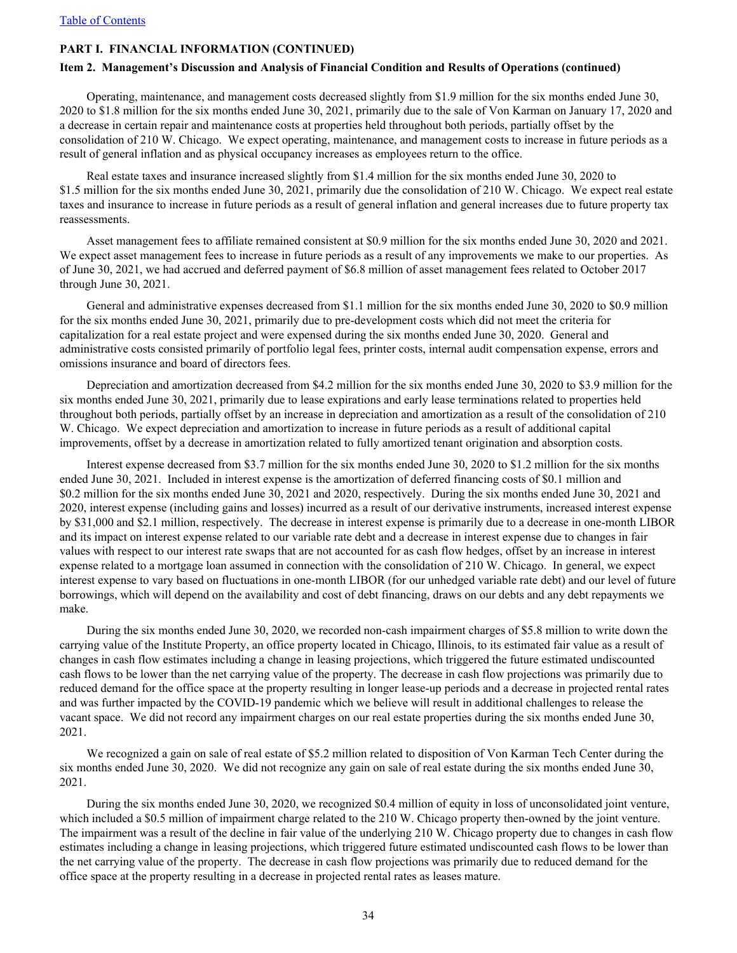## **Item 2. Management's Discussion and Analysis of Financial Condition and Results of Operations (continued)**

Operating, maintenance, and management costs decreased slightly from \$1.9 million for the six months ended June 30, 2020 to \$1.8 million for the six months ended June 30, 2021, primarily due to the sale of Von Karman on January 17, 2020 and a decrease in certain repair and maintenance costs at properties held throughout both periods, partially offset by the consolidation of 210 W. Chicago. We expect operating, maintenance, and management costs to increase in future periods as a result of general inflation and as physical occupancy increases as employees return to the office.

Real estate taxes and insurance increased slightly from \$1.4 million for the six months ended June 30, 2020 to \$1.5 million for the six months ended June 30, 2021, primarily due the consolidation of 210 W. Chicago. We expect real estate taxes and insurance to increase in future periods as a result of general inflation and general increases due to future property tax reassessments.

Asset management fees to affiliate remained consistent at \$0.9 million for the six months ended June 30, 2020 and 2021. We expect asset management fees to increase in future periods as a result of any improvements we make to our properties. As of June 30, 2021, we had accrued and deferred payment of \$6.8 million of asset management fees related to October 2017 through June 30, 2021.

General and administrative expenses decreased from \$1.1 million for the six months ended June 30, 2020 to \$0.9 million for the six months ended June 30, 2021, primarily due to pre-development costs which did not meet the criteria for capitalization for a real estate project and were expensed during the six months ended June 30, 2020. General and administrative costs consisted primarily of portfolio legal fees, printer costs, internal audit compensation expense, errors and omissions insurance and board of directors fees.

Depreciation and amortization decreased from \$4.2 million for the six months ended June 30, 2020 to \$3.9 million for the six months ended June 30, 2021, primarily due to lease expirations and early lease terminations related to properties held throughout both periods, partially offset by an increase in depreciation and amortization as a result of the consolidation of 210 W. Chicago. We expect depreciation and amortization to increase in future periods as a result of additional capital improvements, offset by a decrease in amortization related to fully amortized tenant origination and absorption costs.

Interest expense decreased from \$3.7 million for the six months ended June 30, 2020 to \$1.2 million for the six months ended June 30, 2021. Included in interest expense is the amortization of deferred financing costs of \$0.1 million and \$0.2 million for the six months ended June 30, 2021 and 2020, respectively. During the six months ended June 30, 2021 and 2020, interest expense (including gains and losses) incurred as a result of our derivative instruments, increased interest expense by \$31,000 and \$2.1 million, respectively. The decrease in interest expense is primarily due to a decrease in one-month LIBOR and its impact on interest expense related to our variable rate debt and a decrease in interest expense due to changes in fair values with respect to our interest rate swaps that are not accounted for as cash flow hedges, offset by an increase in interest expense related to a mortgage loan assumed in connection with the consolidation of 210 W. Chicago. In general, we expect interest expense to vary based on fluctuations in one-month LIBOR (for our unhedged variable rate debt) and our level of future borrowings, which will depend on the availability and cost of debt financing, draws on our debts and any debt repayments we make.

During the six months ended June 30, 2020, we recorded non-cash impairment charges of \$5.8 million to write down the carrying value of the Institute Property, an office property located in Chicago, Illinois, to its estimated fair value as a result of changes in cash flow estimates including a change in leasing projections, which triggered the future estimated undiscounted cash flows to be lower than the net carrying value of the property. The decrease in cash flow projections was primarily due to reduced demand for the office space at the property resulting in longer lease-up periods and a decrease in projected rental rates and was further impacted by the COVID-19 pandemic which we believe will result in additional challenges to release the vacant space. We did not record any impairment charges on our real estate properties during the six months ended June 30, 2021.

We recognized a gain on sale of real estate of \$5.2 million related to disposition of Von Karman Tech Center during the six months ended June 30, 2020. We did not recognize any gain on sale of real estate during the six months ended June 30, 2021.

During the six months ended June 30, 2020, we recognized \$0.4 million of equity in loss of unconsolidated joint venture, which included a \$0.5 million of impairment charge related to the 210 W. Chicago property then-owned by the joint venture. The impairment was a result of the decline in fair value of the underlying 210 W. Chicago property due to changes in cash flow estimates including a change in leasing projections, which triggered future estimated undiscounted cash flows to be lower than the net carrying value of the property. The decrease in cash flow projections was primarily due to reduced demand for the office space at the property resulting in a decrease in projected rental rates as leases mature.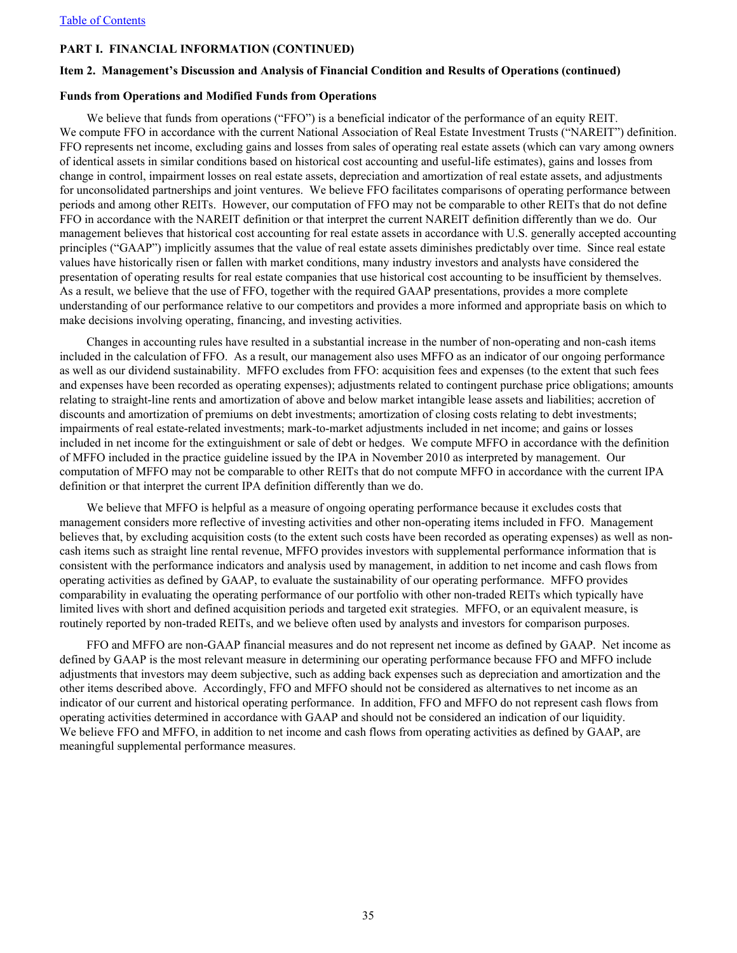#### **Item 2. Management's Discussion and Analysis of Financial Condition and Results of Operations (continued)**

#### **Funds from Operations and Modified Funds from Operations**

We believe that funds from operations ("FFO") is a beneficial indicator of the performance of an equity REIT. We compute FFO in accordance with the current National Association of Real Estate Investment Trusts ("NAREIT") definition. FFO represents net income, excluding gains and losses from sales of operating real estate assets (which can vary among owners of identical assets in similar conditions based on historical cost accounting and useful-life estimates), gains and losses from change in control, impairment losses on real estate assets, depreciation and amortization of real estate assets, and adjustments for unconsolidated partnerships and joint ventures. We believe FFO facilitates comparisons of operating performance between periods and among other REITs. However, our computation of FFO may not be comparable to other REITs that do not define FFO in accordance with the NAREIT definition or that interpret the current NAREIT definition differently than we do. Our management believes that historical cost accounting for real estate assets in accordance with U.S. generally accepted accounting principles ("GAAP") implicitly assumes that the value of real estate assets diminishes predictably over time. Since real estate values have historically risen or fallen with market conditions, many industry investors and analysts have considered the presentation of operating results for real estate companies that use historical cost accounting to be insufficient by themselves. As a result, we believe that the use of FFO, together with the required GAAP presentations, provides a more complete understanding of our performance relative to our competitors and provides a more informed and appropriate basis on which to make decisions involving operating, financing, and investing activities.

Changes in accounting rules have resulted in a substantial increase in the number of non-operating and non-cash items included in the calculation of FFO. As a result, our management also uses MFFO as an indicator of our ongoing performance as well as our dividend sustainability. MFFO excludes from FFO: acquisition fees and expenses (to the extent that such fees and expenses have been recorded as operating expenses); adjustments related to contingent purchase price obligations; amounts relating to straight-line rents and amortization of above and below market intangible lease assets and liabilities; accretion of discounts and amortization of premiums on debt investments; amortization of closing costs relating to debt investments; impairments of real estate-related investments; mark-to-market adjustments included in net income; and gains or losses included in net income for the extinguishment or sale of debt or hedges. We compute MFFO in accordance with the definition of MFFO included in the practice guideline issued by the IPA in November 2010 as interpreted by management. Our computation of MFFO may not be comparable to other REITs that do not compute MFFO in accordance with the current IPA definition or that interpret the current IPA definition differently than we do.

We believe that MFFO is helpful as a measure of ongoing operating performance because it excludes costs that management considers more reflective of investing activities and other non-operating items included in FFO. Management believes that, by excluding acquisition costs (to the extent such costs have been recorded as operating expenses) as well as noncash items such as straight line rental revenue, MFFO provides investors with supplemental performance information that is consistent with the performance indicators and analysis used by management, in addition to net income and cash flows from operating activities as defined by GAAP, to evaluate the sustainability of our operating performance. MFFO provides comparability in evaluating the operating performance of our portfolio with other non-traded REITs which typically have limited lives with short and defined acquisition periods and targeted exit strategies. MFFO, or an equivalent measure, is routinely reported by non-traded REITs, and we believe often used by analysts and investors for comparison purposes.

FFO and MFFO are non-GAAP financial measures and do not represent net income as defined by GAAP. Net income as defined by GAAP is the most relevant measure in determining our operating performance because FFO and MFFO include adjustments that investors may deem subjective, such as adding back expenses such as depreciation and amortization and the other items described above. Accordingly, FFO and MFFO should not be considered as alternatives to net income as an indicator of our current and historical operating performance. In addition, FFO and MFFO do not represent cash flows from operating activities determined in accordance with GAAP and should not be considered an indication of our liquidity. We believe FFO and MFFO, in addition to net income and cash flows from operating activities as defined by GAAP, are meaningful supplemental performance measures.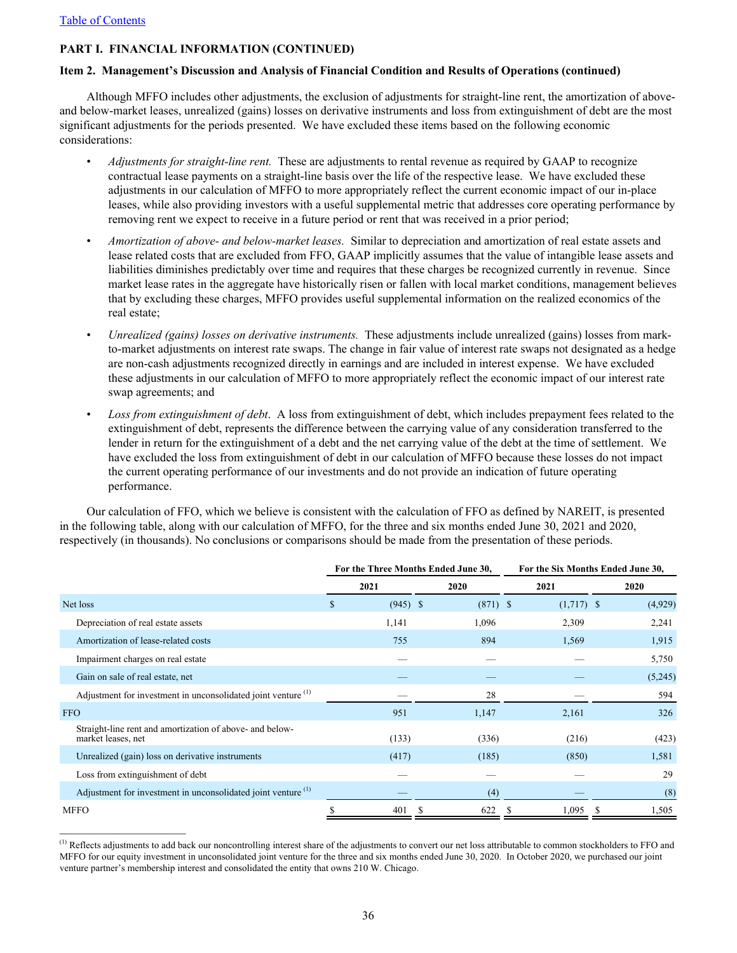$\mathcal{L}_\text{max}$  and  $\mathcal{L}_\text{max}$  and  $\mathcal{L}_\text{max}$ 

## **PART I. FINANCIAL INFORMATION (CONTINUED)**

#### **Item 2. Management's Discussion and Analysis of Financial Condition and Results of Operations (continued)**

Although MFFO includes other adjustments, the exclusion of adjustments for straight-line rent, the amortization of aboveand below-market leases, unrealized (gains) losses on derivative instruments and loss from extinguishment of debt are the most significant adjustments for the periods presented. We have excluded these items based on the following economic considerations:

- *Adjustments for straight-line rent.* These are adjustments to rental revenue as required by GAAP to recognize contractual lease payments on a straight-line basis over the life of the respective lease. We have excluded these adjustments in our calculation of MFFO to more appropriately reflect the current economic impact of our in-place leases, while also providing investors with a useful supplemental metric that addresses core operating performance by removing rent we expect to receive in a future period or rent that was received in a prior period;
- *Amortization of above- and below-market leases.* Similar to depreciation and amortization of real estate assets and lease related costs that are excluded from FFO, GAAP implicitly assumes that the value of intangible lease assets and liabilities diminishes predictably over time and requires that these charges be recognized currently in revenue. Since market lease rates in the aggregate have historically risen or fallen with local market conditions, management believes that by excluding these charges, MFFO provides useful supplemental information on the realized economics of the real estate;
- *Unrealized (gains) losses on derivative instruments.* These adjustments include unrealized (gains) losses from markto-market adjustments on interest rate swaps. The change in fair value of interest rate swaps not designated as a hedge are non-cash adjustments recognized directly in earnings and are included in interest expense. We have excluded these adjustments in our calculation of MFFO to more appropriately reflect the economic impact of our interest rate swap agreements; and
- *Loss from extinguishment of debt*. A loss from extinguishment of debt, which includes prepayment fees related to the extinguishment of debt, represents the difference between the carrying value of any consideration transferred to the lender in return for the extinguishment of a debt and the net carrying value of the debt at the time of settlement. We have excluded the loss from extinguishment of debt in our calculation of MFFO because these losses do not impact the current operating performance of our investments and do not provide an indication of future operating performance.

Our calculation of FFO, which we believe is consistent with the calculation of FFO as defined by NAREIT, is presented in the following table, along with our calculation of MFFO, for the three and six months ended June 30, 2021 and 2020, respectively (in thousands). No conclusions or comparisons should be made from the presentation of these periods.

|                                                                                |                  | For the Three Months Ended June 30, |            | For the Six Months Ended June 30, |  |         |  |
|--------------------------------------------------------------------------------|------------------|-------------------------------------|------------|-----------------------------------|--|---------|--|
|                                                                                | 2021             | 2020                                |            | 2021                              |  | 2020    |  |
| Net loss                                                                       | \$<br>$(945)$ \$ |                                     | $(871)$ \$ | $(1,717)$ \$                      |  | (4,929) |  |
| Depreciation of real estate assets                                             | 1,141            | 1,096                               |            | 2,309                             |  | 2,241   |  |
| Amortization of lease-related costs                                            | 755              | 894                                 |            | 1,569                             |  | 1,915   |  |
| Impairment charges on real estate                                              |                  |                                     |            |                                   |  | 5,750   |  |
| Gain on sale of real estate, net                                               |                  |                                     |            |                                   |  | (5,245) |  |
| Adjustment for investment in unconsolidated joint venture <sup>(1)</sup>       |                  |                                     | 28         |                                   |  | 594     |  |
| <b>FFO</b>                                                                     | 951              | 1,147                               |            | 2,161                             |  | 326     |  |
| Straight-line rent and amortization of above- and below-<br>market leases, net | (133)            | (336)                               |            | (216)                             |  | (423)   |  |
| Unrealized (gain) loss on derivative instruments                               | (417)            | (185)                               |            | (850)                             |  | 1,581   |  |
| Loss from extinguishment of debt                                               |                  |                                     |            |                                   |  | 29      |  |
| Adjustment for investment in unconsolidated joint venture <sup>(1)</sup>       |                  |                                     | (4)        |                                   |  | (8)     |  |
| <b>MFFO</b>                                                                    | 401              | 622                                 |            | 1,095                             |  | 1,505   |  |

<sup>(1)</sup> Reflects adjustments to add back our noncontrolling interest share of the adjustments to convert our net loss attributable to common stockholders to FFO and MFFO for our equity investment in unconsolidated joint venture for the three and six months ended June 30, 2020. In October 2020, we purchased our joint venture partner's membership interest and consolidated the entity that owns 210 W. Chicago.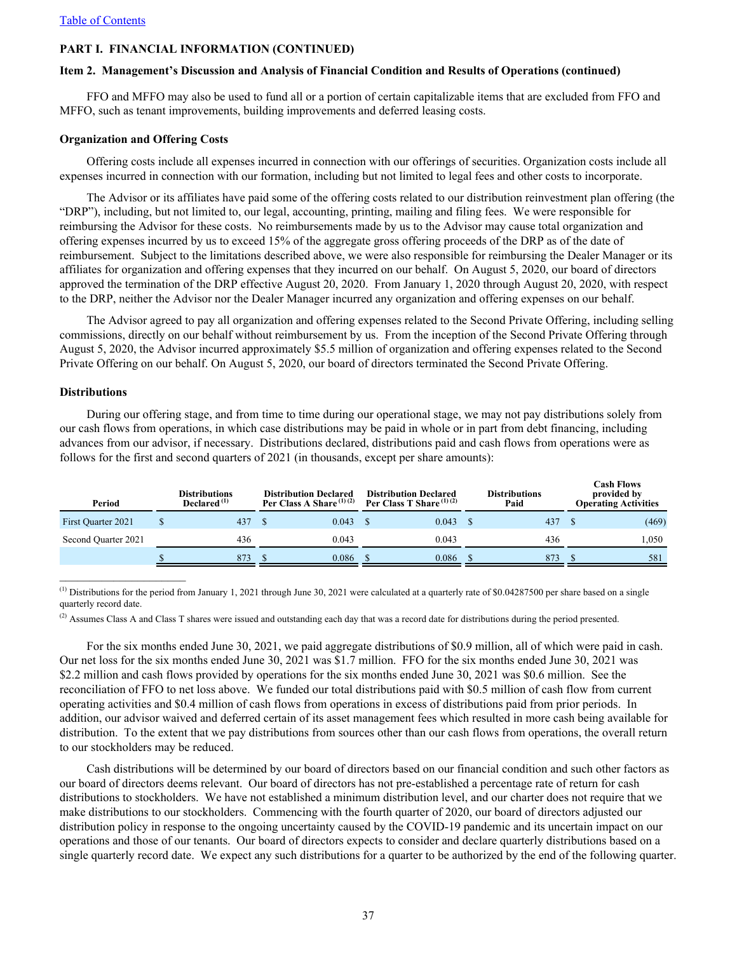#### **Item 2. Management's Discussion and Analysis of Financial Condition and Results of Operations (continued)**

FFO and MFFO may also be used to fund all or a portion of certain capitalizable items that are excluded from FFO and MFFO, such as tenant improvements, building improvements and deferred leasing costs.

#### **Organization and Offering Costs**

Offering costs include all expenses incurred in connection with our offerings of securities. Organization costs include all expenses incurred in connection with our formation, including but not limited to legal fees and other costs to incorporate.

The Advisor or its affiliates have paid some of the offering costs related to our distribution reinvestment plan offering (the "DRP"), including, but not limited to, our legal, accounting, printing, mailing and filing fees. We were responsible for reimbursing the Advisor for these costs. No reimbursements made by us to the Advisor may cause total organization and offering expenses incurred by us to exceed 15% of the aggregate gross offering proceeds of the DRP as of the date of reimbursement. Subject to the limitations described above, we were also responsible for reimbursing the Dealer Manager or its affiliates for organization and offering expenses that they incurred on our behalf. On August 5, 2020, our board of directors approved the termination of the DRP effective August 20, 2020. From January 1, 2020 through August 20, 2020, with respect to the DRP, neither the Advisor nor the Dealer Manager incurred any organization and offering expenses on our behalf.

The Advisor agreed to pay all organization and offering expenses related to the Second Private Offering, including selling commissions, directly on our behalf without reimbursement by us. From the inception of the Second Private Offering through August 5, 2020, the Advisor incurred approximately \$5.5 million of organization and offering expenses related to the Second Private Offering on our behalf. On August 5, 2020, our board of directors terminated the Second Private Offering.

#### **Distributions**

 $\mathcal{L}_\text{max}$  and  $\mathcal{L}_\text{max}$  and  $\mathcal{L}_\text{max}$ 

During our offering stage, and from time to time during our operational stage, we may not pay distributions solely from our cash flows from operations, in which case distributions may be paid in whole or in part from debt financing, including advances from our advisor, if necessary. Distributions declared, distributions paid and cash flows from operations were as follows for the first and second quarters of 2021 (in thousands, except per share amounts):

| Period              | <b>Distributions</b><br>Declared <sup>(1)</sup> | <b>Distribution Declared</b><br>Per Class A Share $(1)(2)$ |       | <b>Distribution Declared</b><br>Per Class T Share $(1)(2)$ |       | <b>Distributions</b><br>Paid |     |  | <b>Cash Flows</b><br>provided by<br><b>Operating Activities</b> |  |  |
|---------------------|-------------------------------------------------|------------------------------------------------------------|-------|------------------------------------------------------------|-------|------------------------------|-----|--|-----------------------------------------------------------------|--|--|
| First Ouarter 2021  | 437                                             |                                                            | 0.043 |                                                            | 0.043 |                              | 437 |  | (469)                                                           |  |  |
| Second Ouarter 2021 | 436                                             |                                                            | 0.043 |                                                            | 0.043 |                              | 436 |  | 1,050                                                           |  |  |
|                     | 873                                             |                                                            | 0.086 |                                                            | 0.086 |                              | 873 |  | 581                                                             |  |  |

(1) Distributions for the period from January 1, 2021 through June 30, 2021 were calculated at a quarterly rate of \$0.04287500 per share based on a single quarterly record date.

<sup>(2)</sup> Assumes Class A and Class T shares were issued and outstanding each day that was a record date for distributions during the period presented.

For the six months ended June 30, 2021, we paid aggregate distributions of \$0.9 million, all of which were paid in cash. Our net loss for the six months ended June 30, 2021 was \$1.7 million. FFO for the six months ended June 30, 2021 was \$2.2 million and cash flows provided by operations for the six months ended June 30, 2021 was \$0.6 million. See the reconciliation of FFO to net loss above. We funded our total distributions paid with \$0.5 million of cash flow from current operating activities and \$0.4 million of cash flows from operations in excess of distributions paid from prior periods. In addition, our advisor waived and deferred certain of its asset management fees which resulted in more cash being available for distribution. To the extent that we pay distributions from sources other than our cash flows from operations, the overall return to our stockholders may be reduced.

Cash distributions will be determined by our board of directors based on our financial condition and such other factors as our board of directors deems relevant. Our board of directors has not pre-established a percentage rate of return for cash distributions to stockholders. We have not established a minimum distribution level, and our charter does not require that we make distributions to our stockholders. Commencing with the fourth quarter of 2020, our board of directors adjusted our distribution policy in response to the ongoing uncertainty caused by the COVID-19 pandemic and its uncertain impact on our operations and those of our tenants. Our board of directors expects to consider and declare quarterly distributions based on a single quarterly record date. We expect any such distributions for a quarter to be authorized by the end of the following quarter.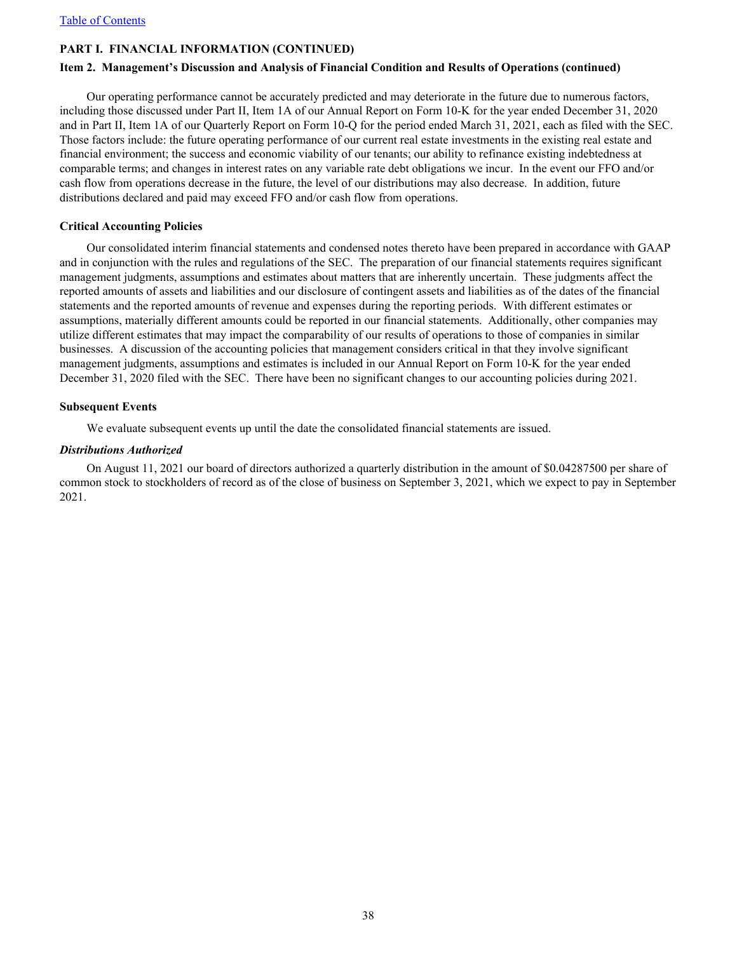## **Item 2. Management's Discussion and Analysis of Financial Condition and Results of Operations (continued)**

Our operating performance cannot be accurately predicted and may deteriorate in the future due to numerous factors, including those discussed under Part II, Item 1A of our Annual Report on Form 10-K for the year ended December 31, 2020 and in Part II, Item 1A of our Quarterly Report on Form 10-Q for the period ended March 31, 2021, each as filed with the SEC. Those factors include: the future operating performance of our current real estate investments in the existing real estate and financial environment; the success and economic viability of our tenants; our ability to refinance existing indebtedness at comparable terms; and changes in interest rates on any variable rate debt obligations we incur. In the event our FFO and/or cash flow from operations decrease in the future, the level of our distributions may also decrease. In addition, future distributions declared and paid may exceed FFO and/or cash flow from operations.

#### **Critical Accounting Policies**

Our consolidated interim financial statements and condensed notes thereto have been prepared in accordance with GAAP and in conjunction with the rules and regulations of the SEC. The preparation of our financial statements requires significant management judgments, assumptions and estimates about matters that are inherently uncertain. These judgments affect the reported amounts of assets and liabilities and our disclosure of contingent assets and liabilities as of the dates of the financial statements and the reported amounts of revenue and expenses during the reporting periods. With different estimates or assumptions, materially different amounts could be reported in our financial statements. Additionally, other companies may utilize different estimates that may impact the comparability of our results of operations to those of companies in similar businesses. A discussion of the accounting policies that management considers critical in that they involve significant management judgments, assumptions and estimates is included in our Annual Report on Form 10-K for the year ended December 31, 2020 filed with the SEC. There have been no significant changes to our accounting policies during 2021.

#### **Subsequent Events**

We evaluate subsequent events up until the date the consolidated financial statements are issued.

#### *Distributions Authorized*

On August 11, 2021 our board of directors authorized a quarterly distribution in the amount of \$0.04287500 per share of common stock to stockholders of record as of the close of business on September 3, 2021, which we expect to pay in September 2021.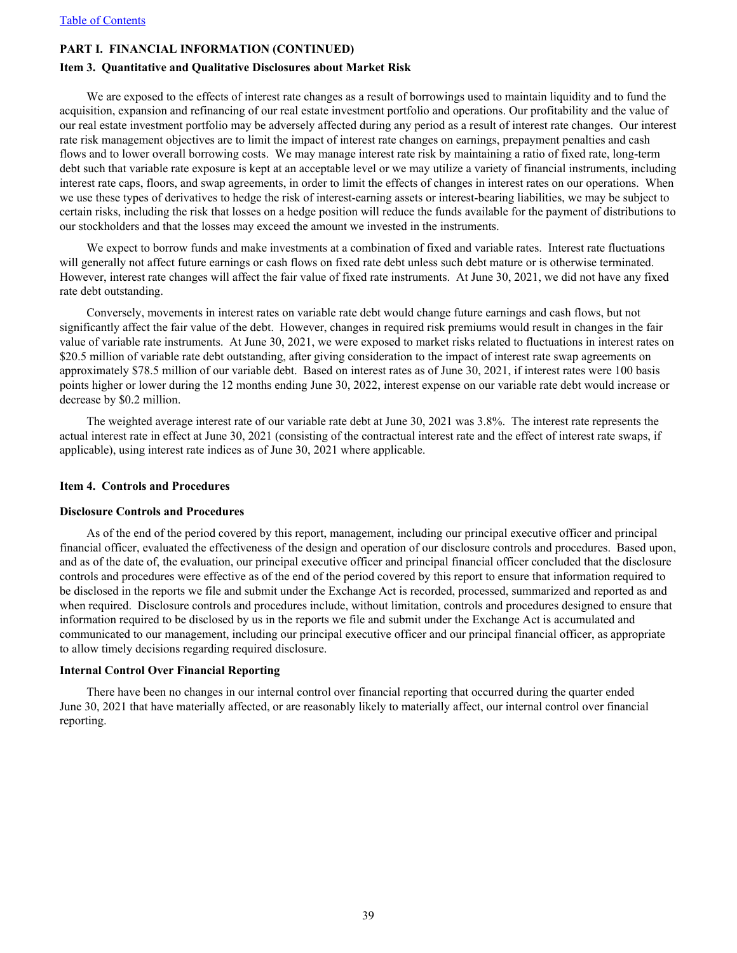#### <span id="page-39-0"></span>**Item 3. Quantitative and Qualitative Disclosures about Market Risk**

We are exposed to the effects of interest rate changes as a result of borrowings used to maintain liquidity and to fund the acquisition, expansion and refinancing of our real estate investment portfolio and operations. Our profitability and the value of our real estate investment portfolio may be adversely affected during any period as a result of interest rate changes. Our interest rate risk management objectives are to limit the impact of interest rate changes on earnings, prepayment penalties and cash flows and to lower overall borrowing costs. We may manage interest rate risk by maintaining a ratio of fixed rate, long-term debt such that variable rate exposure is kept at an acceptable level or we may utilize a variety of financial instruments, including interest rate caps, floors, and swap agreements, in order to limit the effects of changes in interest rates on our operations. When we use these types of derivatives to hedge the risk of interest-earning assets or interest-bearing liabilities, we may be subject to certain risks, including the risk that losses on a hedge position will reduce the funds available for the payment of distributions to our stockholders and that the losses may exceed the amount we invested in the instruments.

We expect to borrow funds and make investments at a combination of fixed and variable rates. Interest rate fluctuations will generally not affect future earnings or cash flows on fixed rate debt unless such debt mature or is otherwise terminated. However, interest rate changes will affect the fair value of fixed rate instruments. At June 30, 2021, we did not have any fixed rate debt outstanding.

Conversely, movements in interest rates on variable rate debt would change future earnings and cash flows, but not significantly affect the fair value of the debt. However, changes in required risk premiums would result in changes in the fair value of variable rate instruments. At June 30, 2021, we were exposed to market risks related to fluctuations in interest rates on \$20.5 million of variable rate debt outstanding, after giving consideration to the impact of interest rate swap agreements on approximately \$78.5 million of our variable debt. Based on interest rates as of June 30, 2021, if interest rates were 100 basis points higher or lower during the 12 months ending June 30, 2022, interest expense on our variable rate debt would increase or decrease by \$0.2 million.

The weighted average interest rate of our variable rate debt at June 30, 2021 was 3.8%. The interest rate represents the actual interest rate in effect at June 30, 2021 (consisting of the contractual interest rate and the effect of interest rate swaps, if applicable), using interest rate indices as of June 30, 2021 where applicable.

#### **Item 4. Controls and Procedures**

#### **Disclosure Controls and Procedures**

As of the end of the period covered by this report, management, including our principal executive officer and principal financial officer, evaluated the effectiveness of the design and operation of our disclosure controls and procedures. Based upon, and as of the date of, the evaluation, our principal executive officer and principal financial officer concluded that the disclosure controls and procedures were effective as of the end of the period covered by this report to ensure that information required to be disclosed in the reports we file and submit under the Exchange Act is recorded, processed, summarized and reported as and when required. Disclosure controls and procedures include, without limitation, controls and procedures designed to ensure that information required to be disclosed by us in the reports we file and submit under the Exchange Act is accumulated and communicated to our management, including our principal executive officer and our principal financial officer, as appropriate to allow timely decisions regarding required disclosure.

#### **Internal Control Over Financial Reporting**

There have been no changes in our internal control over financial reporting that occurred during the quarter ended June 30, 2021 that have materially affected, or are reasonably likely to materially affect, our internal control over financial reporting.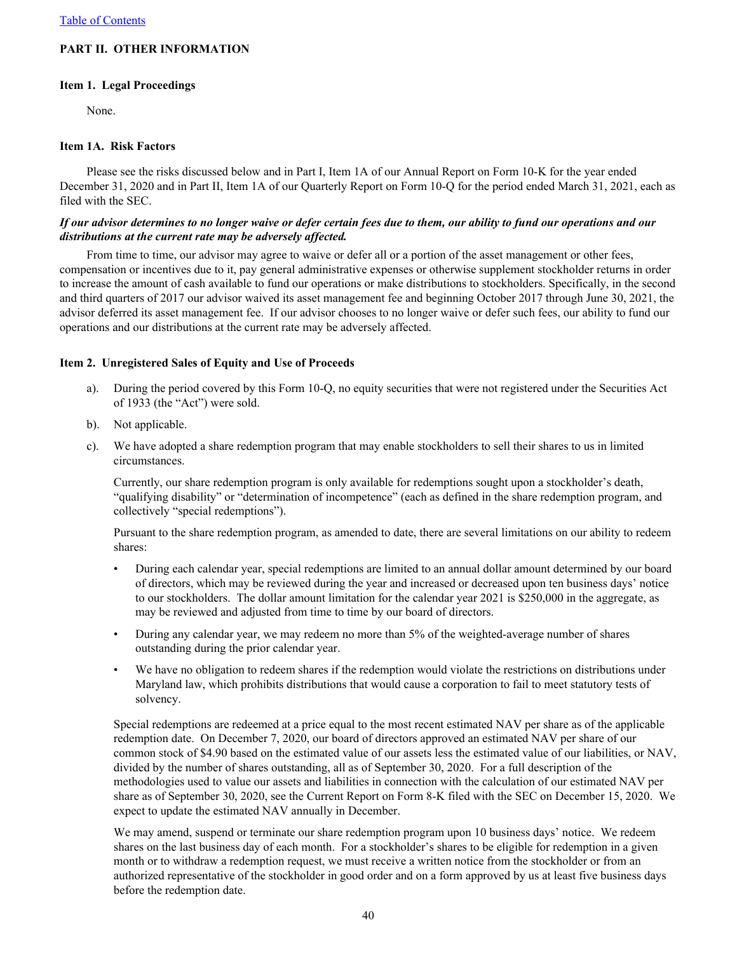## <span id="page-40-0"></span>**PART II. OTHER INFORMATION**

### **Item 1. Legal Proceedings**

None.

#### **Item 1A. Risk Factors**

Please see the risks discussed below and in Part I, Item 1A of our Annual Report on Form 10-K for the year ended December 31, 2020 and in Part II, Item 1A of our Quarterly Report on Form 10-Q for the period ended March 31, 2021, each as filed with the SEC.

## *If our advisor determines to no longer waive or defer certain fees due to them, our ability to fund our operations and our distributions at the current rate may be adversely affected.*

From time to time, our advisor may agree to waive or defer all or a portion of the asset management or other fees, compensation or incentives due to it, pay general administrative expenses or otherwise supplement stockholder returns in order to increase the amount of cash available to fund our operations or make distributions to stockholders. Specifically, in the second and third quarters of 2017 our advisor waived its asset management fee and beginning October 2017 through June 30, 2021, the advisor deferred its asset management fee. If our advisor chooses to no longer waive or defer such fees, our ability to fund our operations and our distributions at the current rate may be adversely affected.

## **Item 2. Unregistered Sales of Equity and Use of Proceeds**

- a). During the period covered by this Form 10-Q, no equity securities that were not registered under the Securities Act of 1933 (the "Act") were sold.
- b). Not applicable.
- c). We have adopted a share redemption program that may enable stockholders to sell their shares to us in limited circumstances.

Currently, our share redemption program is only available for redemptions sought upon a stockholder's death, "qualifying disability" or "determination of incompetence" (each as defined in the share redemption program, and collectively "special redemptions").

Pursuant to the share redemption program, as amended to date, there are several limitations on our ability to redeem shares:

- During each calendar year, special redemptions are limited to an annual dollar amount determined by our board of directors, which may be reviewed during the year and increased or decreased upon ten business days' notice to our stockholders. The dollar amount limitation for the calendar year 2021 is \$250,000 in the aggregate, as may be reviewed and adjusted from time to time by our board of directors.
- During any calendar year, we may redeem no more than 5% of the weighted-average number of shares outstanding during the prior calendar year.
- We have no obligation to redeem shares if the redemption would violate the restrictions on distributions under Maryland law, which prohibits distributions that would cause a corporation to fail to meet statutory tests of solvency.

Special redemptions are redeemed at a price equal to the most recent estimated NAV per share as of the applicable redemption date. On December 7, 2020, our board of directors approved an estimated NAV per share of our common stock of \$4.90 based on the estimated value of our assets less the estimated value of our liabilities, or NAV, divided by the number of shares outstanding, all as of September 30, 2020. For a full description of the methodologies used to value our assets and liabilities in connection with the calculation of our estimated NAV per share as of September 30, 2020, see the Current Report on Form 8-K filed with the SEC on December 15, 2020. We expect to update the estimated NAV annually in December.

We may amend, suspend or terminate our share redemption program upon 10 business days' notice. We redeem shares on the last business day of each month. For a stockholder's shares to be eligible for redemption in a given month or to withdraw a redemption request, we must receive a written notice from the stockholder or from an authorized representative of the stockholder in good order and on a form approved by us at least five business days before the redemption date.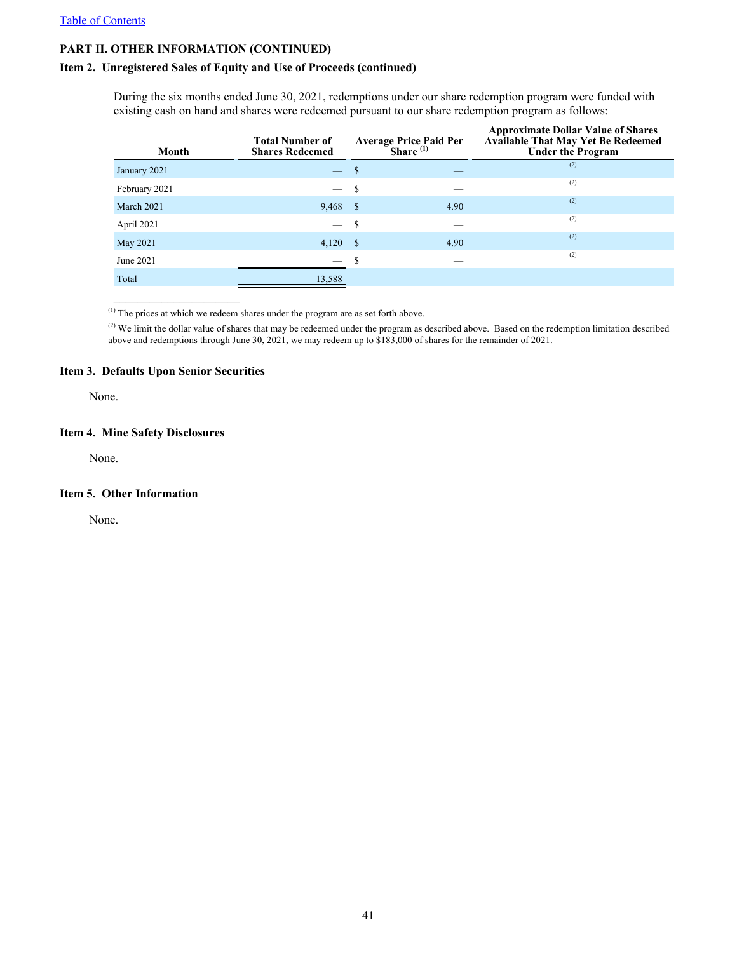## <span id="page-41-0"></span>**PART II. OTHER INFORMATION (CONTINUED)**

## **Item 2. Unregistered Sales of Equity and Use of Proceeds (continued)**

During the six months ended June 30, 2021, redemptions under our share redemption program were funded with existing cash on hand and shares were redeemed pursuant to our share redemption program as follows:

| Month         | <b>Total Number of</b><br><b>Shares Redeemed</b> |      | <b>Average Price Paid Per<br/>Share</b> <sup>(1)</sup> | <b>Approximate Dollar Value of Shares</b><br><b>Available That May Yet Be Redeemed</b><br><b>Under the Program</b> |
|---------------|--------------------------------------------------|------|--------------------------------------------------------|--------------------------------------------------------------------------------------------------------------------|
| January 2021  |                                                  | S    |                                                        | (2)                                                                                                                |
| February 2021 |                                                  | S    |                                                        | (2)                                                                                                                |
| March 2021    | 9,468                                            | - \$ | 4.90                                                   | (2)                                                                                                                |
| April 2021    |                                                  | S    |                                                        | (2)                                                                                                                |
| May 2021      | 4,120                                            | - \$ | 4.90                                                   | (2)                                                                                                                |
| June 2021     |                                                  | S    |                                                        | (2)                                                                                                                |
| Total         | 13,588                                           |      |                                                        |                                                                                                                    |
|               |                                                  |      |                                                        |                                                                                                                    |

(1) The prices at which we redeem shares under the program are as set forth above.

(2) We limit the dollar value of shares that may be redeemed under the program as described above. Based on the redemption limitation described above and redemptions through June 30, 2021, we may redeem up to \$183,000 of shares for the remainder of 2021.

#### **Item 3. Defaults Upon Senior Securities**

None.

#### **Item 4. Mine Safety Disclosures**

None.

#### **Item 5. Other Information**

None.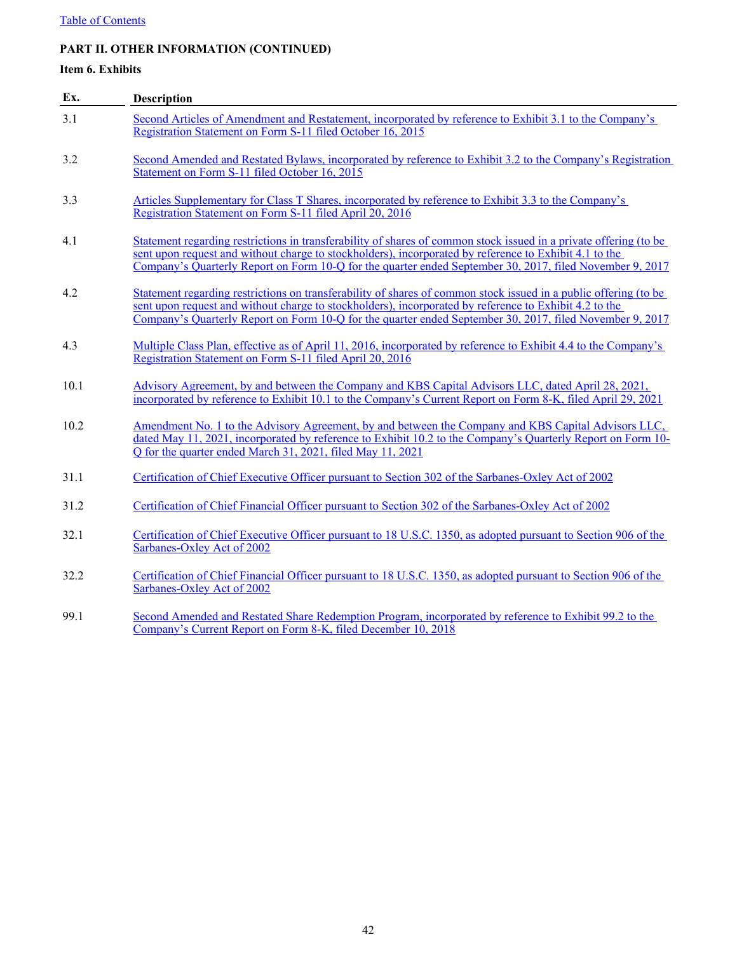# <span id="page-42-0"></span>**PART II. OTHER INFORMATION (CONTINUED)**

## **Item 6. Exhibits**

| Ex.  | <b>Description</b>                                                                                                                                                                                                                                                                                                                      |
|------|-----------------------------------------------------------------------------------------------------------------------------------------------------------------------------------------------------------------------------------------------------------------------------------------------------------------------------------------|
| 3.1  | Second Articles of Amendment and Restatement, incorporated by reference to Exhibit 3.1 to the Company's<br>Registration Statement on Form S-11 filed October 16, 2015                                                                                                                                                                   |
| 3.2  | Second Amended and Restated Bylaws, incorporated by reference to Exhibit 3.2 to the Company's Registration<br>Statement on Form S-11 filed October 16, 2015                                                                                                                                                                             |
| 3.3  | Articles Supplementary for Class T Shares, incorporated by reference to Exhibit 3.3 to the Company's<br>Registration Statement on Form S-11 filed April 20, 2016                                                                                                                                                                        |
| 4.1  | Statement regarding restrictions in transferability of shares of common stock issued in a private offering (to be<br>sent upon request and without charge to stockholders), incorporated by reference to Exhibit 4.1 to the<br>Company's Quarterly Report on Form 10-Q for the quarter ended September 30, 2017, filed November 9, 2017 |
| 4.2  | Statement regarding restrictions on transferability of shares of common stock issued in a public offering (to be<br>sent upon request and without charge to stockholders), incorporated by reference to Exhibit 4.2 to the<br>Company's Quarterly Report on Form 10-Q for the quarter ended September 30, 2017, filed November 9, 2017  |
| 4.3  | Multiple Class Plan, effective as of April 11, 2016, incorporated by reference to Exhibit 4.4 to the Company's<br>Registration Statement on Form S-11 filed April 20, 2016                                                                                                                                                              |
| 10.1 | Advisory Agreement, by and between the Company and KBS Capital Advisors LLC, dated April 28, 2021,<br>incorporated by reference to Exhibit 10.1 to the Company's Current Report on Form 8-K, filed April 29, 2021                                                                                                                       |
| 10.2 | Amendment No. 1 to the Advisory Agreement, by and between the Company and KBS Capital Advisors LLC,<br>dated May 11, 2021, incorporated by reference to Exhibit 10.2 to the Company's Quarterly Report on Form 10-<br>O for the quarter ended March 31, 2021, filed May 11, 2021                                                        |
| 31.1 | Certification of Chief Executive Officer pursuant to Section 302 of the Sarbanes-Oxley Act of 2002                                                                                                                                                                                                                                      |
| 31.2 | Certification of Chief Financial Officer pursuant to Section 302 of the Sarbanes-Oxley Act of 2002                                                                                                                                                                                                                                      |
| 32.1 | Certification of Chief Executive Officer pursuant to 18 U.S.C. 1350, as adopted pursuant to Section 906 of the<br>Sarbanes-Oxley Act of 2002                                                                                                                                                                                            |
| 32.2 | Certification of Chief Financial Officer pursuant to 18 U.S.C. 1350, as adopted pursuant to Section 906 of the<br>Sarbanes-Oxley Act of 2002                                                                                                                                                                                            |
| 99.1 | Second Amended and Restated Share Redemption Program, incorporated by reference to Exhibit 99.2 to the<br>Company's Current Report on Form 8-K, filed December 10, 2018                                                                                                                                                                 |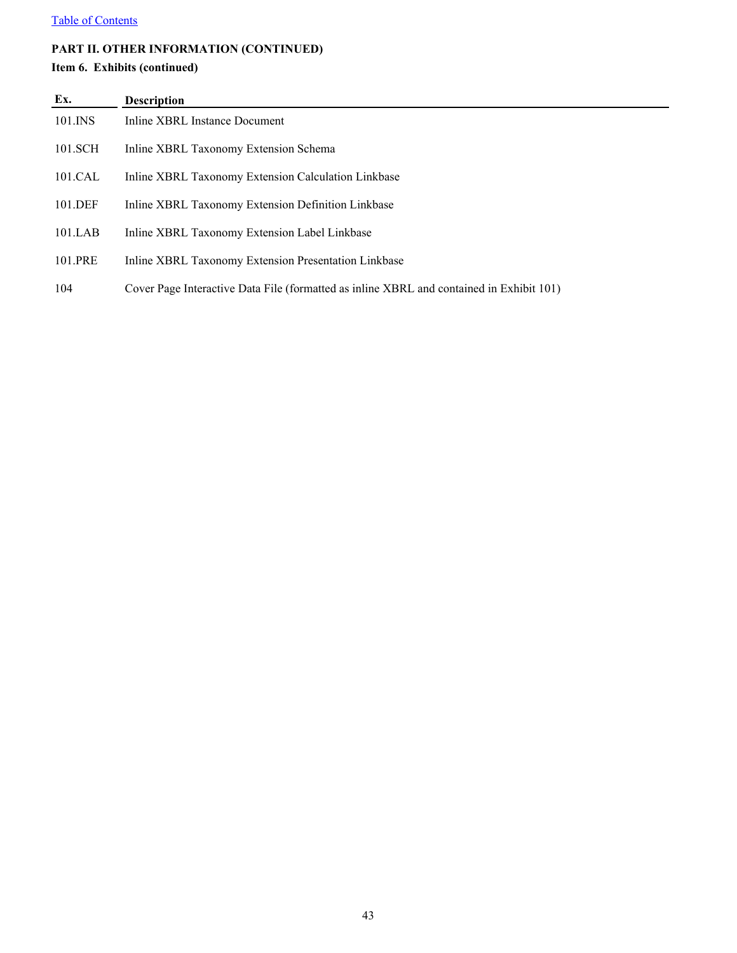## <span id="page-43-0"></span>[Table of Contents](#page-1-0)

# **PART II. OTHER INFORMATION (CONTINUED)**

# **Item 6. Exhibits (continued)**

| Ex.        | <b>Description</b>                                                                       |
|------------|------------------------------------------------------------------------------------------|
| 101.INS    | Inline XBRL Instance Document                                                            |
| 101.SCH    | Inline XBRL Taxonomy Extension Schema                                                    |
| 101.CAL    | Inline XBRL Taxonomy Extension Calculation Linkbase                                      |
| 101.DEF    | Inline XBRL Taxonomy Extension Definition Linkbase                                       |
| $101$ .LAB | Inline XBRL Taxonomy Extension Label Linkbase                                            |
| 101.PRE    | Inline XBRL Taxonomy Extension Presentation Linkbase                                     |
| 104        | Cover Page Interactive Data File (formatted as inline XBRL and contained in Exhibit 101) |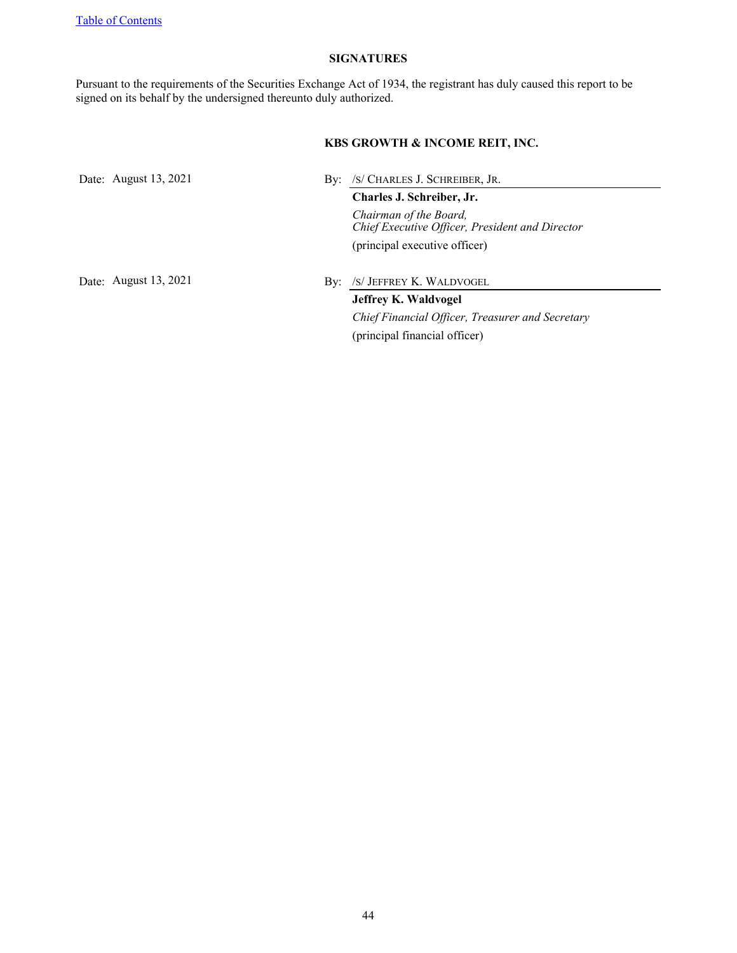## **SIGNATURES**

<span id="page-44-0"></span>Pursuant to the requirements of the Securities Exchange Act of 1934, the registrant has duly caused this report to be signed on its behalf by the undersigned thereunto duly authorized.

## **KBS GROWTH & INCOME REIT, INC.**

|                       |     | Jeffrey K. Waldvogel                                                      |
|-----------------------|-----|---------------------------------------------------------------------------|
| Date: August 13, 2021 |     | By: /S/ JEFFREY K. WALDVOGEL                                              |
|                       |     | (principal executive officer)                                             |
|                       |     | Chairman of the Board,<br>Chief Executive Officer, President and Director |
|                       |     | Charles J. Schreiber, Jr.                                                 |
| Date: August 13, 2021 | Bv: | /S/ CHARLES J. SCHREIBER, JR.                                             |
|                       |     |                                                                           |

*Chief Financial Officer, Treasurer and Secretary* (principal financial officer)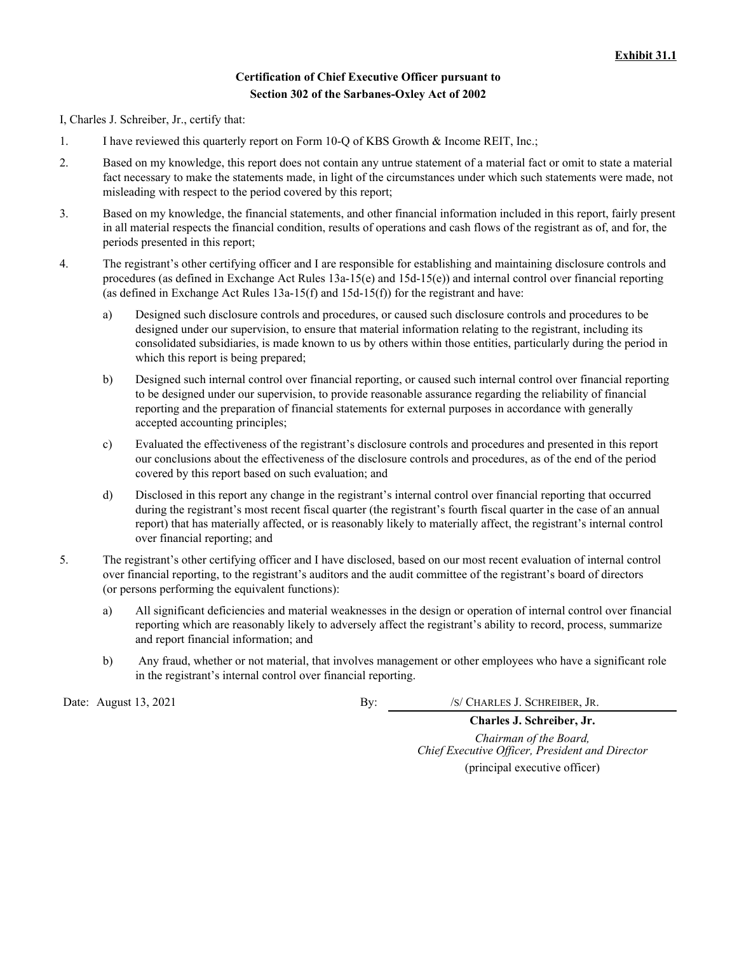## **Certification of Chief Executive Officer pursuant to Section 302 of the Sarbanes-Oxley Act of 2002**

I, Charles J. Schreiber, Jr., certify that:

- 1. I have reviewed this quarterly report on Form 10-Q of KBS Growth & Income REIT, Inc.;
- 2. Based on my knowledge, this report does not contain any untrue statement of a material fact or omit to state a material fact necessary to make the statements made, in light of the circumstances under which such statements were made, not misleading with respect to the period covered by this report;
- 3. Based on my knowledge, the financial statements, and other financial information included in this report, fairly present in all material respects the financial condition, results of operations and cash flows of the registrant as of, and for, the periods presented in this report;
- 4. The registrant's other certifying officer and I are responsible for establishing and maintaining disclosure controls and procedures (as defined in Exchange Act Rules 13a-15(e) and 15d-15(e)) and internal control over financial reporting (as defined in Exchange Act Rules  $13a-15(f)$  and  $15d-15(f)$ ) for the registrant and have:
	- a) Designed such disclosure controls and procedures, or caused such disclosure controls and procedures to be designed under our supervision, to ensure that material information relating to the registrant, including its consolidated subsidiaries, is made known to us by others within those entities, particularly during the period in which this report is being prepared;
	- b) Designed such internal control over financial reporting, or caused such internal control over financial reporting to be designed under our supervision, to provide reasonable assurance regarding the reliability of financial reporting and the preparation of financial statements for external purposes in accordance with generally accepted accounting principles;
	- c) Evaluated the effectiveness of the registrant's disclosure controls and procedures and presented in this report our conclusions about the effectiveness of the disclosure controls and procedures, as of the end of the period covered by this report based on such evaluation; and
	- d) Disclosed in this report any change in the registrant's internal control over financial reporting that occurred during the registrant's most recent fiscal quarter (the registrant's fourth fiscal quarter in the case of an annual report) that has materially affected, or is reasonably likely to materially affect, the registrant's internal control over financial reporting; and
- 5. The registrant's other certifying officer and I have disclosed, based on our most recent evaluation of internal control over financial reporting, to the registrant's auditors and the audit committee of the registrant's board of directors (or persons performing the equivalent functions):
	- a) All significant deficiencies and material weaknesses in the design or operation of internal control over financial reporting which are reasonably likely to adversely affect the registrant's ability to record, process, summarize and report financial information; and
	- b) Any fraud, whether or not material, that involves management or other employees who have a significant role in the registrant's internal control over financial reporting.

Date: August 13, 2021 By: /S/ CHARLES J. SCHREIBER, JR.

**Charles J. Schreiber, Jr.** *Chairman of the Board, Chief Executive Officer, President and Director* (principal executive officer)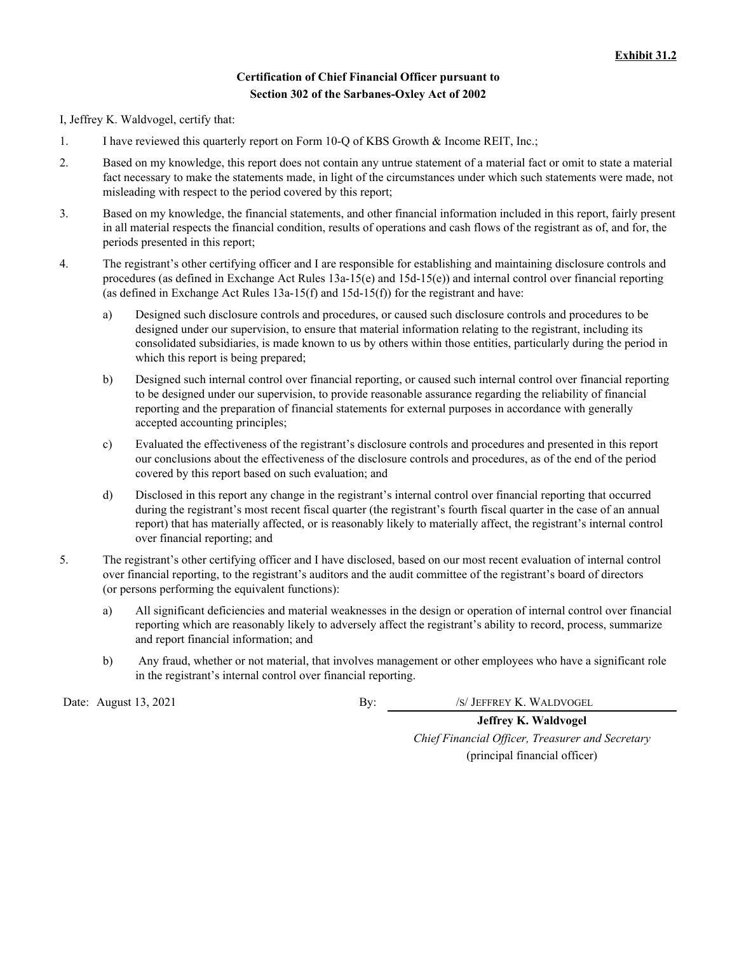## **Certification of Chief Financial Officer pursuant to Section 302 of the Sarbanes-Oxley Act of 2002**

I, Jeffrey K. Waldvogel, certify that:

- 1. I have reviewed this quarterly report on Form 10-Q of KBS Growth & Income REIT, Inc.;
- 2. Based on my knowledge, this report does not contain any untrue statement of a material fact or omit to state a material fact necessary to make the statements made, in light of the circumstances under which such statements were made, not misleading with respect to the period covered by this report;
- 3. Based on my knowledge, the financial statements, and other financial information included in this report, fairly present in all material respects the financial condition, results of operations and cash flows of the registrant as of, and for, the periods presented in this report;
- 4. The registrant's other certifying officer and I are responsible for establishing and maintaining disclosure controls and procedures (as defined in Exchange Act Rules 13a-15(e) and 15d-15(e)) and internal control over financial reporting (as defined in Exchange Act Rules  $13a-15(f)$  and  $15d-15(f)$ ) for the registrant and have:
	- a) Designed such disclosure controls and procedures, or caused such disclosure controls and procedures to be designed under our supervision, to ensure that material information relating to the registrant, including its consolidated subsidiaries, is made known to us by others within those entities, particularly during the period in which this report is being prepared;
	- b) Designed such internal control over financial reporting, or caused such internal control over financial reporting to be designed under our supervision, to provide reasonable assurance regarding the reliability of financial reporting and the preparation of financial statements for external purposes in accordance with generally accepted accounting principles;
	- c) Evaluated the effectiveness of the registrant's disclosure controls and procedures and presented in this report our conclusions about the effectiveness of the disclosure controls and procedures, as of the end of the period covered by this report based on such evaluation; and
	- d) Disclosed in this report any change in the registrant's internal control over financial reporting that occurred during the registrant's most recent fiscal quarter (the registrant's fourth fiscal quarter in the case of an annual report) that has materially affected, or is reasonably likely to materially affect, the registrant's internal control over financial reporting; and
- 5. The registrant's other certifying officer and I have disclosed, based on our most recent evaluation of internal control over financial reporting, to the registrant's auditors and the audit committee of the registrant's board of directors (or persons performing the equivalent functions):
	- a) All significant deficiencies and material weaknesses in the design or operation of internal control over financial reporting which are reasonably likely to adversely affect the registrant's ability to record, process, summarize and report financial information; and
	- b) Any fraud, whether or not material, that involves management or other employees who have a significant role in the registrant's internal control over financial reporting.

Date: August 13, 2021 By: /S/ JEFFREY K. WALDVOGEL

**Jeffrey K. Waldvogel** *Chief Financial Officer, Treasurer and Secretary* (principal financial officer)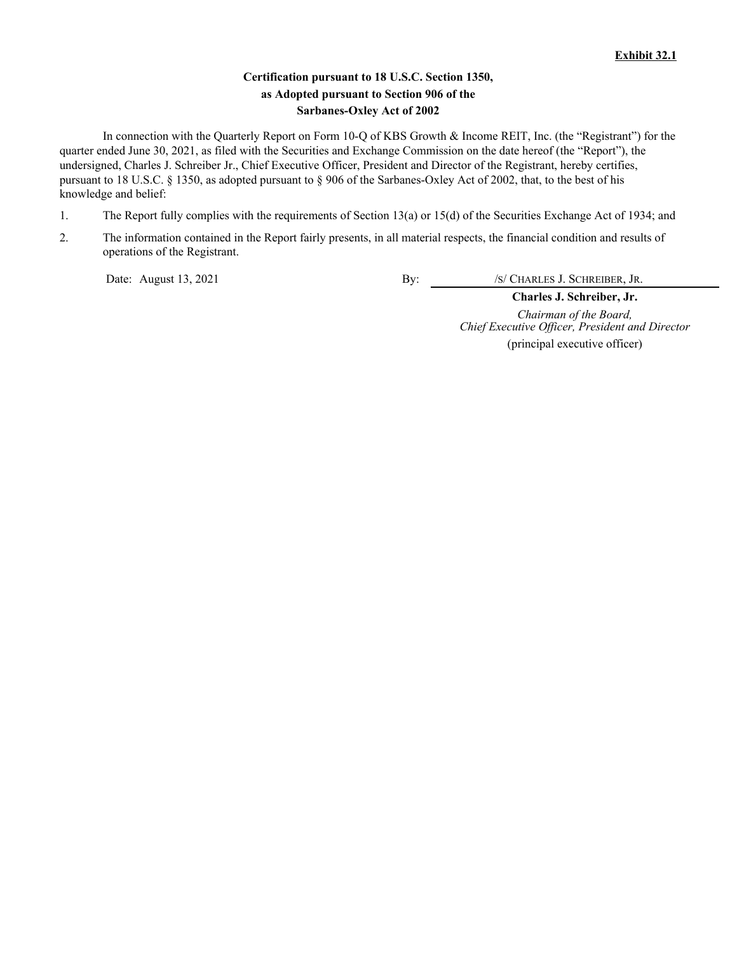## **Certification pursuant to 18 U.S.C. Section 1350, as Adopted pursuant to Section 906 of the Sarbanes-Oxley Act of 2002**

In connection with the Quarterly Report on Form 10-Q of KBS Growth & Income REIT, Inc. (the "Registrant") for the quarter ended June 30, 2021, as filed with the Securities and Exchange Commission on the date hereof (the "Report"), the undersigned, Charles J. Schreiber Jr., Chief Executive Officer, President and Director of the Registrant, hereby certifies, pursuant to 18 U.S.C. § 1350, as adopted pursuant to § 906 of the Sarbanes-Oxley Act of 2002, that, to the best of his knowledge and belief:

- 1. The Report fully complies with the requirements of Section 13(a) or 15(d) of the Securities Exchange Act of 1934; and
- 2. The information contained in the Report fairly presents, in all material respects, the financial condition and results of operations of the Registrant.

Date: August 13, 2021 By: /S/ CHARLES J. SCHREIBER, JR.

**Charles J. Schreiber, Jr.** *Chairman of the Board, Chief Executive Officer, President and Director* (principal executive officer)